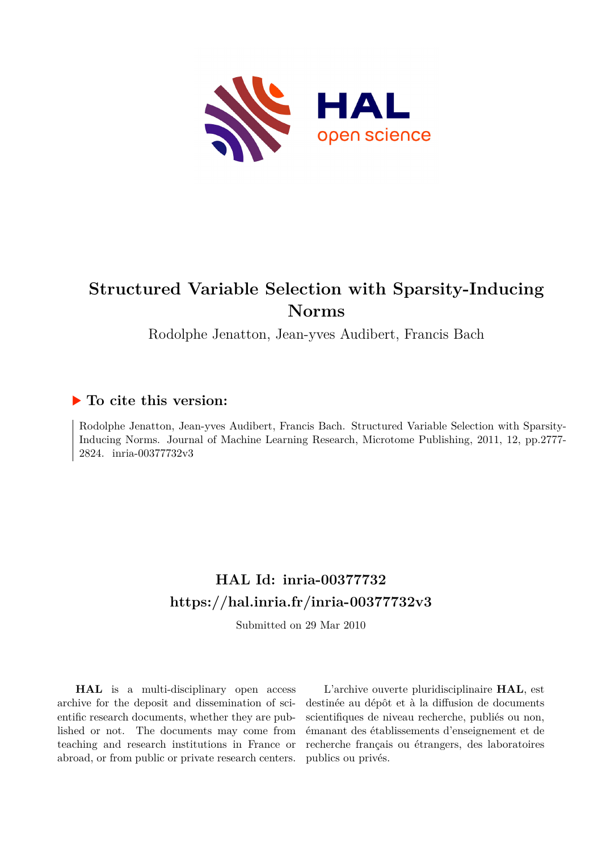

# **Structured Variable Selection with Sparsity-Inducing Norms**

Rodolphe Jenatton, Jean-yves Audibert, Francis Bach

# **To cite this version:**

Rodolphe Jenatton, Jean-yves Audibert, Francis Bach. Structured Variable Selection with Sparsity-Inducing Norms. Journal of Machine Learning Research, Microtome Publishing, 2011, 12, pp.2777- 2824. inria-00377732v3

# **HAL Id: inria-00377732 <https://hal.inria.fr/inria-00377732v3>**

Submitted on 29 Mar 2010

**HAL** is a multi-disciplinary open access archive for the deposit and dissemination of scientific research documents, whether they are published or not. The documents may come from teaching and research institutions in France or abroad, or from public or private research centers.

L'archive ouverte pluridisciplinaire **HAL**, est destinée au dépôt et à la diffusion de documents scientifiques de niveau recherche, publiés ou non, émanant des établissements d'enseignement et de recherche français ou étrangers, des laboratoires publics ou privés.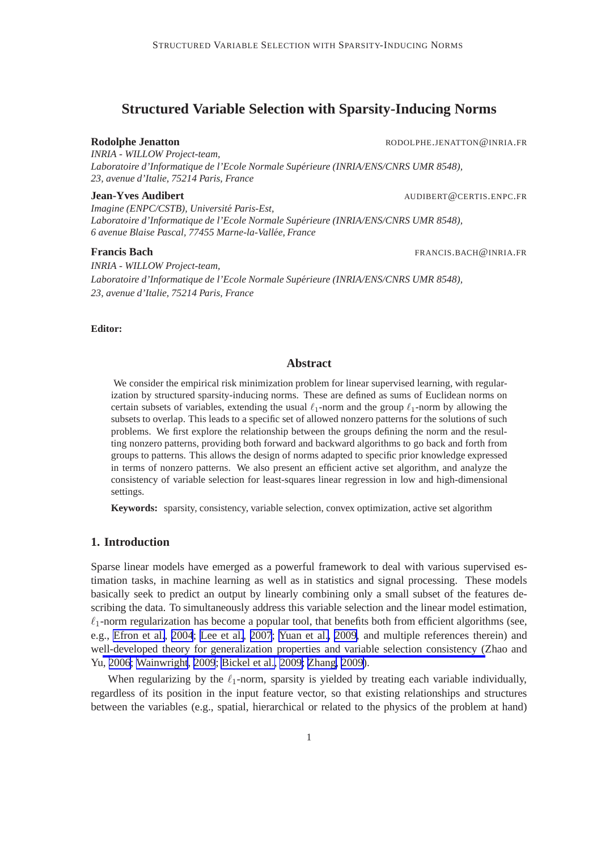## **Structured Variable Selection with Sparsity-Inducing Norms**

**Rodolphe Jenatton** RODOLPHE.JENATTON@INRIA.FR

*INRIA - WILLOW Project-team, Laboratoire d'Informatique de l'Ecole Normale Superieure (INRIA/ENS/CNRS UMR 8548), ´ 23, avenue d'Italie, 75214 Paris, France*

#### **Jean-Yves Audibert** AUDIBERT@CERTIS.ENPC.FR

*Imagine (ENPC/CSTB), Universite Paris-Est, ´ Laboratoire d'Informatique de l'Ecole Normale Superieure (INRIA/ENS/CNRS UMR 8548), ´ 6 avenue Blaise Pascal, 77455 Marne-la-Vallee, France ´*

**Francis Bach** FRANCIS.BACH **EXECUTE IN EXAMPLE 2008** FRANCIS.BACH **CONSUMISTION** 

*INRIA - WILLOW Project-team, Laboratoire d'Informatique de l'Ecole Normale Superieure (INRIA/ENS/CNRS UMR 8548), ´ 23, avenue d'Italie, 75214 Paris, France*

**Editor:**

### **Abstract**

We consider the empirical risk minimization problem for linear supervised learning, with regularization by structured sparsity-inducing norms. These are defined as sums of Euclidean norms on certain subsets of variables, extending the usual  $\ell_1$ -norm and the group  $\ell_1$ -norm by allowing the subsets to overlap. This leads to a specific set of allowed nonzero patterns for the solutions of such problems. We first explore the relationship between the groups defining the norm and the resulting nonzero patterns, providing both forward and backward algorithms to go back and forth from groups to patterns. This allows the design of norms adapted to specific prior knowledge expressed in terms of nonzero patterns. We also present an efficient active set algorithm, and analyze the consistency of variable selection for least-squares linear regression in low and high-dimensional settings.

**Keywords:** sparsity, consistency, variable selection, convex optimization, active set algorithm

### **1. Introduction**

Sparse linear models have emerged as a powerful framework to deal with various supervised estimation tasks, in machine learning as well as in statistics and signal processing. These models basically seek to predict an output by linearly combining only a small subset of the features describing the data. To simultaneously address this variable selection and the linear model estimation,  $\ell_1$ -norm regularization has become a popular tool, that benefits both from efficient algorithms (see, e.g., [Efron et al.](#page-44-0), [2004](#page-44-0); [Lee et al., 2007](#page-45-0); [Yuan et al., 2009](#page-46-0), and multiple references therein) and well-developed theory for generalization properties and variable selection consistency (Zhao and Yu, [2006](#page-46-0); [Wainwright](#page-46-0), [2009](#page-46-0); [Bickel et al., 2009;](#page-44-0) [Zhang, 2009\)](#page-46-0).

When regularizing by the  $\ell_1$ -norm, sparsity is yielded by treating each variable individually, regardless of its position in the input feature vector, so that existing relationships and structures between the variables (e.g., spatial, hierarchical or related to the physics of the problem at hand)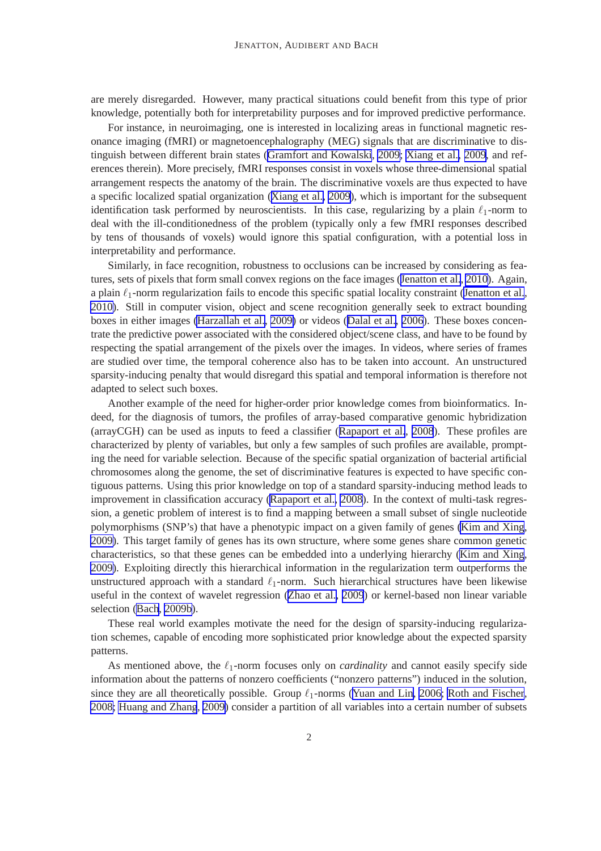are merely disregarded. However, many practical situations could benefit from this type of prior knowledge, potentially both for interpretability purposes and for improved predictive performance.

For instance, in neuroimaging, one is interested in localizing areas in functional magnetic resonance imaging (fMRI) or magnetoencephalography (MEG) signals that are discriminative to distinguish between different brain states ([Gramfort and Kowalski](#page-44-0), [2009;](#page-44-0) [Xiang et al., 2009](#page-46-0), and references therein). More precisely, fMRI responses consist in voxels whose three-dimensional spatial arrangement respects the anatomy of the brain. The discriminative voxels are thus expected to have a specific localized spatial organization ([Xiang et al., 2009\)](#page-46-0), which is important for the subsequent identification task performed by neuroscientists. In this case, regularizing by a plain  $\ell_1$ -norm to deal with the ill-conditionedness of the problem (typically only a few fMRI responses described by tens of thousands of voxels) would ignore this spatial configuration, with a potential loss in interpretability and performance.

Similarly, in face recognition, robustness to occlusions can be increased by considering as features, sets of pixels that form small convex regions on the face images ([Jenatton et al.](#page-45-0), [2010\)](#page-45-0). Again, a plain  $\ell_1$ -norm regularization fails to encode this specific spatial locality constraint [\(Jenatton et al.](#page-45-0), [2010\)](#page-45-0). Still in computer vision, object and scene recognition generally seek to extract bounding boxes in either images [\(Harzallah et al.](#page-45-0), [2009\)](#page-45-0) or videos ([Dalal et al., 2006](#page-44-0)). These boxes concentrate the predictive power associated with the considered object/scene class, and have to be found by respecting the spatial arrangement of the pixels over the images. In videos, where series of frames are studied over time, the temporal coherence also has to be taken into account. An unstructured sparsity-inducing penalty that would disregard this spatial and temporal information is therefore not adapted to select such boxes.

Another example of the need for higher-order prior knowledge comes from bioinformatics. Indeed, for the diagnosis of tumors, the profiles of array-based comparative genomic hybridization (arrayCGH) can be used as inputs to feed a classifier ([Rapaport et al.](#page-45-0), [2008](#page-45-0)). These profiles are characterized by plenty of variables, but only a few samples of such profiles are available, prompting the need for variable selection. Because of the specific spatial organization of bacterial artificial chromosomes along the genome, the set of discriminative features is expected to have specific contiguous patterns. Using this prior knowledge on top of a standard sparsity-inducing method leads to improvement in classification accuracy [\(Rapaport et al., 2008\)](#page-45-0). In the context of multi-task regression, a genetic problem of interest is to find a mapping between a small subset of single nucleotide polymorphisms (SNP's) that have a phenotypic impact on a given family of genes [\(Kim and Xing](#page-45-0), [2009\)](#page-45-0). This target family of genes has its own structure, where some genes share common genetic characteristics, so that these genes can be embedded into a underlying hierarchy [\(Kim and Xing](#page-45-0), [2009\)](#page-45-0). Exploiting directly this hierarchical information in the regularization term outperforms the unstructured approach with a standard  $\ell_1$ -norm. Such hierarchical structures have been likewise useful in the context of wavelet regression [\(Zhao et al., 2009](#page-46-0)) or kernel-based non linear variable selection [\(Bach](#page-44-0), [2009b\)](#page-44-0).

These real world examples motivate the need for the design of sparsity-inducing regularization schemes, capable of encoding more sophisticated prior knowledge about the expected sparsity patterns.

As mentioned above, the  $\ell_1$ -norm focuses only on *cardinality* and cannot easily specify side information about the patterns of nonzero coefficients ("nonzero patterns") induced in the solution, since they are all theoretically possible. Group  $\ell_1$ -norms ([Yuan and Lin](#page-46-0), [2006; Roth and Fischer](#page-46-0), [2008;](#page-46-0) [Huang and Zhang](#page-45-0), [2009\)](#page-45-0) consider a partition of all variables into a certain number of subsets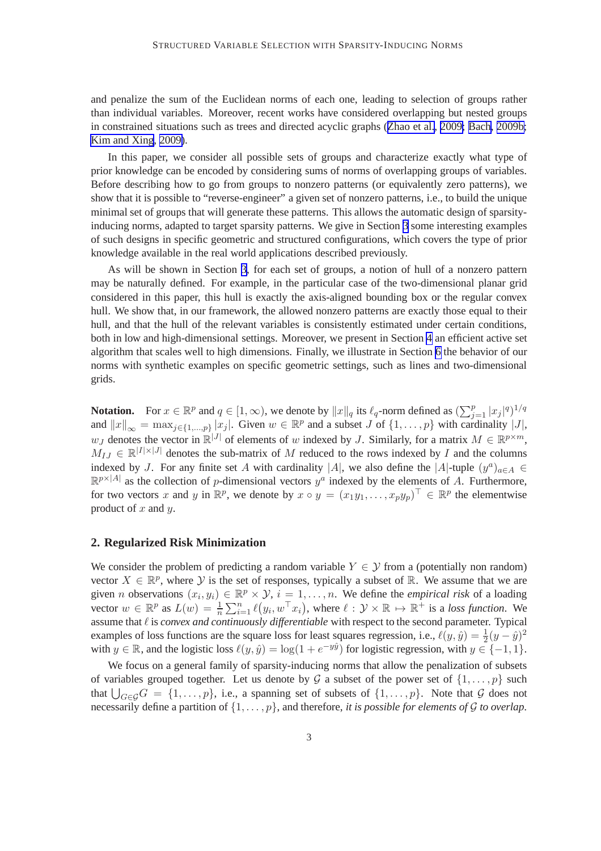<span id="page-3-0"></span>and penalize the sum of the Euclidean norms of each one, leading to selection of groups rather than individual variables. Moreover, recent works have considered overlapping but nested groups in constrained situations such as trees and directed acyclic graphs ([Zhao et al.](#page-46-0), [2009;](#page-46-0) [Bach, 2009b;](#page-44-0) [Kim and Xing](#page-45-0), [2009\)](#page-45-0).

In this paper, we consider all possible sets of groups and characterize exactly what type of prior knowledge can be encoded by considering sums of norms of overlapping groups of variables. Before describing how to go from groups to nonzero patterns (or equivalently zero patterns), we show that it is possible to "reverse-engineer" a given set of nonzero patterns, i.e., to build the unique minimal set of groups that will generate these patterns. This allows the automatic design of sparsityinducing norms, adapted to target sparsity patterns. We give in Section [3](#page-4-0) some interesting examples of such designs in specific geometric and structured configurations, which covers the type of prior knowledge available in the real world applications described previously.

As will be shown in Section [3](#page-4-0), for each set of groups, a notion of hull of a nonzero pattern may be naturally defined. For example, in the particular case of the two-dimensional planar grid considered in this paper, this hull is exactly the axis-aligned bounding box or the regular convex hull. We show that, in our framework, the allowed nonzero patterns are exactly those equal to their hull, and that the hull of the relevant variables is consistently estimated under certain conditions, both in low and high-dimensional settings. Moreover, we present in Section [4](#page-12-0) an efficient active set algorithm that scales well to high dimensions. Finally, we illustrate in Section [6](#page-21-0) the behavior of our norms with synthetic examples on specific geometric settings, such as lines and two-dimensional grids.

**Notation.** For  $x \in \mathbb{R}^p$  and  $q \in [1, \infty)$ , we denote by  $||x||_q$  its  $\ell_q$ -norm defined as  $(\sum_{j=1}^p |x_j|^q)^{1/q}$ and  $||x||_{\infty} = \max_{j \in \{1, ..., p\}} |x_j|$ . Given  $w \in \mathbb{R}^p$  and a subset J of  $\{1, ..., p\}$  with cardinality  $|J|$ ,  $w_J$  denotes the vector in  $\mathbb{R}^{|J|}$  of elements of w indexed by J. Similarly, for a matrix  $M \in \mathbb{R}^{p \times m}$ ,  $M_{IJ} \in \mathbb{R}^{|I| \times |J|}$  denotes the sub-matrix of M reduced to the rows indexed by I and the columns indexed by J. For any finite set A with cardinality |A|, we also define the |A|-tuple  $(y^a)_{a \in A} \in$  $\mathbb{R}^{p\times|A|}$  as the collection of p-dimensional vectors  $y^a$  indexed by the elements of A. Furthermore, for two vectors x and y in  $\mathbb{R}^p$ , we denote by  $x \circ y = (x_1y_1, \dots, x_py_p)^\top \in \mathbb{R}^p$  the elementwise product of  $x$  and  $y$ .

#### **2. Regularized Risk Minimization**

We consider the problem of predicting a random variable  $Y \in \mathcal{Y}$  from a (potentially non random) vector  $X \in \mathbb{R}^p$ , where  $\mathcal Y$  is the set of responses, typically a subset of  $\mathbb{R}$ . We assume that we are given *n* observations  $(x_i, y_i) \in \mathbb{R}^p \times \mathcal{Y}$ ,  $i = 1, \ldots, n$ . We define the *empirical risk* of a loading vector  $w \in \mathbb{R}^p$  as  $L(w) = \frac{1}{n} \sum_{i=1}^n \ell(y_i, w^\top x_i)$ , where  $\ell : \mathcal{Y} \times \mathbb{R} \mapsto \mathbb{R}^+$  is a loss function. We assume that ℓ is *convex and continuously differentiable* with respect to the second parameter. Typical examples of loss functions are the square loss for least squares regression, i.e.,  $\ell(y, \hat{y}) = \frac{1}{2}(y - \hat{y})^2$ with  $y \in \mathbb{R}$ , and the logistic loss  $\ell(y, \hat{y}) = \log(1 + e^{-y\hat{y}})$  for logistic regression, with  $y \in \{-1, 1\}$ .

We focus on a general family of sparsity-inducing norms that allow the penalization of subsets of variables grouped together. Let us denote by G a subset of the power set of  $\{1, \ldots, p\}$  such that  $\bigcup_{G\in\mathcal{G}}G = \{1,\ldots,p\}$ , i.e., a spanning set of subsets of  $\{1,\ldots,p\}$ . Note that  $\mathcal G$  does not necessarily define a partition of  $\{1, \ldots, p\}$ , and therefore, *it is possible for elements of G to overlap*.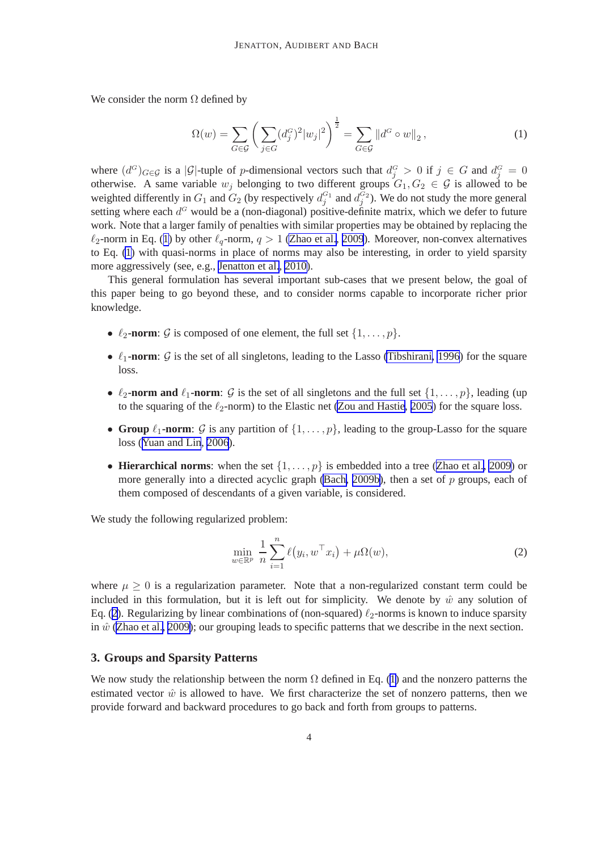<span id="page-4-0"></span>We consider the norm  $\Omega$  defined by

$$
\Omega(w) = \sum_{G \in \mathcal{G}} \left( \sum_{j \in G} (d_j^G)^2 |w_j|^2 \right)^{\frac{1}{2}} = \sum_{G \in \mathcal{G}} ||d^G \circ w||_2, \tag{1}
$$

where  $(d^G)_{G \in \mathcal{G}}$  is a | $\mathcal{G}$ |-tuple of p-dimensional vectors such that  $d_j^G > 0$  if  $j \in G$  and  $d_j^G = 0$ otherwise. A same variable  $w_j$  belonging to two different groups  $G_1, G_2 \in \mathcal{G}$  is allowed to be weighted differently in  $G_1$  and  $G_2$  (by respectively  $d_j^{G_1}$  and  $d_j^{G_2}$ ). We do not study the more general setting where each  $d^G$  would be a (non-diagonal) positive-definite matrix, which we defer to future work. Note that a larger family of penalties with similar properties may be obtained by replacing the  $\ell_2$ -norm in Eq. (1) by other  $\ell_q$ -norm,  $q > 1$  [\(Zhao et al., 2009](#page-46-0)). Moreover, non-convex alternatives to Eq. (1) with quasi-norms in place of norms may also be interesting, in order to yield sparsity more aggressively (see, e.g., [Jenatton et al.](#page-45-0), [2010\)](#page-45-0).

This general formulation has several important sub-cases that we present below, the goal of this paper being to go beyond these, and to consider norms capable to incorporate richer prior knowledge.

- $\ell_2$ **-norm**:  $\mathcal{G}$  is composed of one element, the full set  $\{1, \ldots, p\}$ .
- $\ell_1$ **-norm**: G is the set of all singletons, leading to the Lasso [\(Tibshirani, 1996](#page-46-0)) for the square loss.
- $\ell_2$ **-norm and**  $\ell_1$ **-norm**:  $\mathcal{G}$  is the set of all singletons and the full set  $\{1, \ldots, p\}$ , leading (up) to the squaring of the  $\ell_2$ -norm) to the Elastic net [\(Zou and Hastie, 2005](#page-46-0)) for the square loss.
- **Group**  $\ell_1$ -norm:  $\mathcal{G}$  is any partition of  $\{1, \ldots, p\}$ , leading to the group-Lasso for the square loss ([Yuan and Lin](#page-46-0), [2006](#page-46-0)).
- **Hierarchical norms**: when the set  $\{1, \ldots, p\}$  is embedded into a tree ([Zhao et al., 2009](#page-46-0)) or more generally into a directed acyclic graph [\(Bach, 2009b\)](#page-44-0), then a set of  $p$  groups, each of them composed of descendants of a given variable, is considered.

We study the following regularized problem:

$$
\min_{w \in \mathbb{R}^p} \frac{1}{n} \sum_{i=1}^n \ell(y_i, w^\top x_i) + \mu \Omega(w), \tag{2}
$$

where  $\mu \geq 0$  is a regularization parameter. Note that a non-regularized constant term could be included in this formulation, but it is left out for simplicity. We denote by  $\hat{w}$  any solution of Eq. (2). Regularizing by linear combinations of (non-squared)  $\ell_2$ -norms is known to induce sparsity in  $\hat{w}$  [\(Zhao et al., 2009\)](#page-46-0); our grouping leads to specific patterns that we describe in the next section.

### **3. Groups and Sparsity Patterns**

We now study the relationship between the norm  $\Omega$  defined in Eq. (1) and the nonzero patterns the estimated vector  $\hat{w}$  is allowed to have. We first characterize the set of nonzero patterns, then we provide forward and backward procedures to go back and forth from groups to patterns.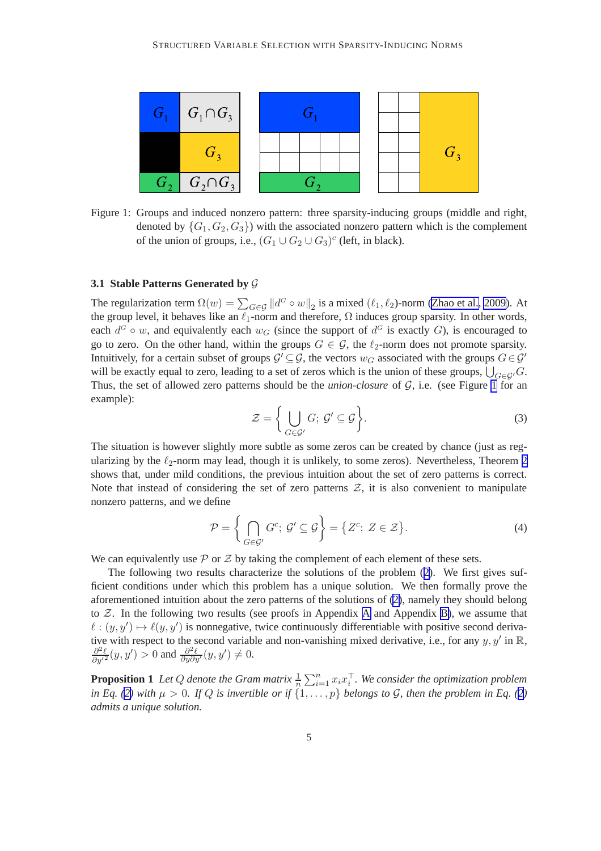<span id="page-5-0"></span>

Figure 1: Groups and induced nonzero pattern: three sparsity-inducing groups (middle and right, denoted by  $\{G_1, G_2, G_3\}$  with the associated nonzero pattern which is the complement of the union of groups, i.e.,  $(G_1 \cup G_2 \cup G_3)^c$  (left, in black).

#### **3.1 Stable Patterns Generated by** G

The regularization term  $\Omega(w) = \sum_{G \in \mathcal{G}} ||d^G \circ w||_2$  is a mixed  $(\ell_1, \ell_2)$ -norm [\(Zhao et al., 2009\)](#page-46-0). At the group level, it behaves like an  $\ell_1$ -norm and therefore,  $\Omega$  induces group sparsity. In other words, each  $d^G \circ w$ , and equivalently each  $w_G$  (since the support of  $d^G$  is exactly G), is encouraged to go to zero. On the other hand, within the groups  $G \in \mathcal{G}$ , the  $\ell_2$ -norm does not promote sparsity. Intuitively, for a certain subset of groups  $\mathcal{G}' \subseteq \mathcal{G}$ , the vectors  $w_G$  associated with the groups  $G \in \mathcal{G}'$ will be exactly equal to zero, leading to a set of zeros which is the union of these groups,  $\bigcup_{G \in \mathcal{G}'} G$ . Thus, the set of allowed zero patterns should be the *union-closure* of G, i.e. (see Figure 1 for an example):

$$
\mathcal{Z} = \left\{ \bigcup_{G \in \mathcal{G}'} G; \, \mathcal{G}' \subseteq \mathcal{G} \right\}.
$$
 (3)

The situation is however slightly more subtle as some zeros can be created by chance (just as regularizing by the  $\ell_2$ -norm may lead, though it is unlikely, to some zeros). Nevertheless, Theorem [2](#page-6-0) shows that, under mild conditions, the previous intuition about the set of zero patterns is correct. Note that instead of considering the set of zero patterns  $Z$ , it is also convenient to manipulate nonzero patterns, and we define

$$
\mathcal{P} = \left\{ \bigcap_{G \in \mathcal{G}'} G^c; \, \mathcal{G}' \subseteq \mathcal{G} \right\} = \left\{ Z^c; \, Z \in \mathcal{Z} \right\}.
$$
\n(4)

We can equivalently use  $\mathcal P$  or  $\mathcal Z$  by taking the complement of each element of these sets.

The following two results characterize the solutions of the problem ([2\)](#page-4-0). We first gives sufficient conditions under which this problem has a unique solution. We then formally prove the aforementioned intuition about the zero patterns of the solutions of [\(2\)](#page-4-0), namely they should belong to  $Z$ . In the following two results (see proofs in [A](#page-28-0)ppendix A and Appendix [B\)](#page-28-0), we assume that  $\ell : (y, y') \mapsto \ell(y, y')$  is nonnegative, twice continuously differentiable with positive second derivative with respect to the second variable and non-vanishing mixed derivative, i.e., for any  $y, y'$  in  $\mathbb{R}$ ,  $\frac{\partial^2 \ell}{\partial y'^2}(y, y') > 0$  and  $\frac{\partial^2 \ell}{\partial y \partial y'}(y, y') \neq 0$ .

**Proposition 1** Let Q denote the Gram matrix  $\frac{1}{n} \sum_{i=1}^{n} x_i x_i^{\top}$ . We consider the optimization problem *in Eq. [\(2\)](#page-4-0)* with  $\mu > 0$ . If Q is invertible or if  $\{1, \ldots, p\}$  belongs to G, then the problem in Eq. ([2](#page-4-0)) *admits a unique solution.*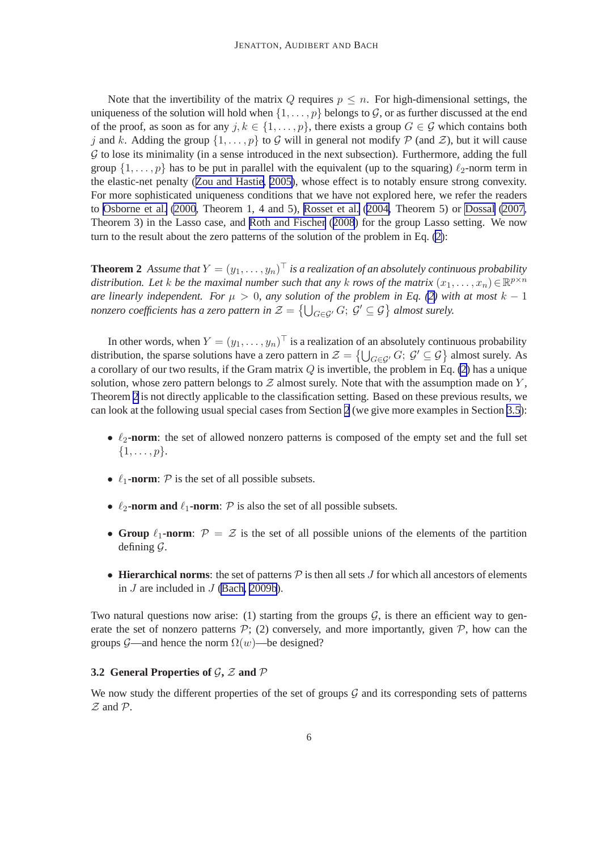<span id="page-6-0"></span>Note that the invertibility of the matrix Q requires  $p \leq n$ . For high-dimensional settings, the uniqueness of the solution will hold when  $\{1, \ldots, p\}$  belongs to G, or as further discussed at the end of the proof, as soon as for any  $j, k \in \{1, \ldots, p\}$ , there exists a group  $G \in \mathcal{G}$  which contains both j and k. Adding the group  $\{1, \ldots, p\}$  to G will in general not modify P (and Z), but it will cause  $G$  to lose its minimality (in a sense introduced in the next subsection). Furthermore, adding the full group  $\{1,\ldots,p\}$  has to be put in parallel with the equivalent (up to the squaring)  $\ell_2$ -norm term in the elastic-net penalty ([Zou and Hastie, 2005\)](#page-46-0), whose effect is to notably ensure strong convexity. For more sophisticated uniqueness conditions that we have not explored here, we refer the readers to [Osborne et al.](#page-45-0) [\(2000](#page-45-0), Theorem 1, 4 and 5), [Rosset et al.](#page-45-0) [\(2004,](#page-45-0) Theorem 5) or [Dossal](#page-44-0) [\(2007,](#page-44-0) Theorem 3) in the Lasso case, and [Roth and Fischer](#page-46-0) ([2008](#page-46-0)) for the group Lasso setting. We now turn to the result about the zero patterns of the solution of the problem in Eq. [\(2\)](#page-4-0):

**Theorem 2** Assume that  $Y = (y_1, \ldots, y_n)^\top$  is a realization of an absolutely continuous probability *distribution. Let k be the maximal number such that any k rows of the matrix*  $(x_1, \ldots, x_n) \in \mathbb{R}^{p \times n}$ *are linearly independent. For*  $\mu > 0$ *, any solution of the problem in Eq. [\(2\)](#page-4-0) with at most*  $k - 1$ *nonzero coefficients has a zero pattern in*  $\mathcal{Z} = \bigcup_{G \in \mathcal{G}'} G; \ \mathcal{G}' \subseteq \mathcal{G} \big\}$  *almost surely.* 

In other words, when  $Y = (y_1, \dots, y_n)^\top$  is a realization of an absolutely continuous probability distribution, the sparse solutions have a zero pattern in  $\mathcal{Z} = \{\bigcup_{G \in \mathcal{G}'} G; \ \mathcal{G}' \subseteq \mathcal{G}\}\$ almost surely. As a corollary of our two results, if the Gram matrix  $Q$  is invertible, the problem in Eq. [\(2\)](#page-4-0) has a unique solution, whose zero pattern belongs to  $Z$  almost surely. Note that with the assumption made on  $Y$ , Theorem 2 is not directly applicable to the classification setting. Based on these previous results, we can look at the following usual special cases from Section [2](#page-3-0) (we give more examples in Section [3.5](#page-10-0)):

- $\ell_2$ -**norm**: the set of allowed nonzero patterns is composed of the empty set and the full set  $\{1, \ldots, p\}.$
- $\ell_1$ -norm:  $\mathcal P$  is the set of all possible subsets.
- $\ell_2$ **-norm and**  $\ell_1$ **-norm**:  $\mathcal{P}$  is also the set of all possible subsets.
- **Group**  $\ell_1$ **-norm**:  $\mathcal{P} = \mathcal{Z}$  is the set of all possible unions of the elements of the partition defining G.
- **Hierarchical norms**: the set of patterns  $P$  is then all sets  $J$  for which all ancestors of elements in J are included in J [\(Bach, 2009b](#page-44-0)).

Two natural questions now arise: (1) starting from the groups  $G$ , is there an efficient way to generate the set of nonzero patterns  $P$ ; (2) conversely, and more importantly, given  $P$ , how can the groups G—and hence the norm  $\Omega(w)$ —be designed?

#### **3.2 General Properties of** G**,** Z **and** P

We now study the different properties of the set of groups  $G$  and its corresponding sets of patterns  $Z$  and  $P$ .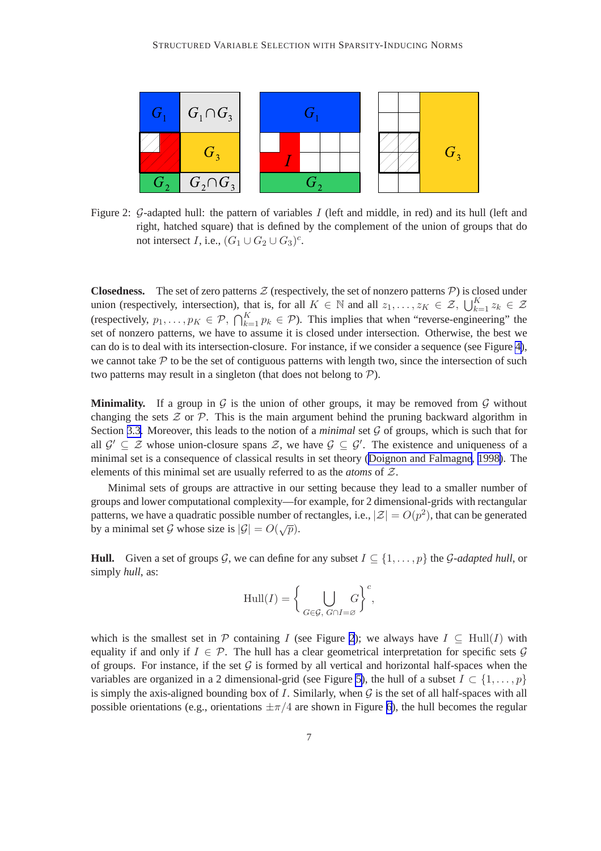

Figure 2: G-adapted hull: the pattern of variables I (left and middle, in red) and its hull (left and right, hatched square) that is defined by the complement of the union of groups that do not intersect *I*, i.e.,  $(G_1 \cup G_2 \cup G_3)^c$ .

**Closedness.** The set of zero patterns  $Z$  (respectively, the set of nonzero patterns  $P$ ) is closed under union (respectively, intersection), that is, for all  $K \in \mathbb{N}$  and all  $z_1, \ldots, z_K \in \mathcal{Z}$ ,  $\bigcup_{k=1}^K z_k \in \mathcal{Z}$ (respectively,  $p_1, \ldots, p_K \in \mathcal{P}, \bigcap_{k=1}^K p_k \in \mathcal{P}$ ). This implies that when "reverse-engineering" the set of nonzero patterns, we have to assume it is closed under intersection. Otherwise, the best we can do is to deal with its intersection-closure. For instance, if we consider a sequence (see Figure [4\)](#page-10-0), we cannot take  $P$  to be the set of contiguous patterns with length two, since the intersection of such two patterns may result in a singleton (that does not belong to  $P$ ).

**Minimality.** If a group in  $\mathcal G$  is the union of other groups, it may be removed from  $\mathcal G$  without changing the sets  $\mathcal Z$  or  $\mathcal P$ . This is the main argument behind the pruning backward algorithm in Section [3.3](#page-8-0). Moreover, this leads to the notion of a *minimal* set  $G$  of groups, which is such that for all  $\mathcal{G}' \subseteq \mathcal{Z}$  whose union-closure spans  $\mathcal{Z}$ , we have  $\mathcal{G} \subseteq \mathcal{G}'$ . The existence and uniqueness of a minimal set is a consequence of classical results in set theory ([Doignon and Falmagne](#page-44-0), [1998\)](#page-44-0). The elements of this minimal set are usually referred to as the *atoms* of Z.

Minimal sets of groups are attractive in our setting because they lead to a smaller number of groups and lower computational complexity—for example, for 2 dimensional-grids with rectangular patterns, we have a quadratic possible number of rectangles, i.e.,  $|\mathcal{Z}| = O(p^2)$ , that can be generated by a minimal set G whose size is  $|\mathcal{G}| = O(\sqrt{p}).$ 

**Hull.** Given a set of groups G, we can define for any subset  $I \subseteq \{1, \ldots, p\}$  the G-adapted hull, or simply *hull*, as:

$$
\mathrm{Hull}(I) = \bigg\{\bigcup_{G \in \mathcal{G},\; G \cap I = \varnothing} \bigg\}^c,
$$

which is the smallest set in P containing I (see Figure 2); we always have  $I \subseteq Hull(I)$  with equality if and only if  $I \in \mathcal{P}$ . The hull has a clear geometrical interpretation for specific sets  $\mathcal{G}$ of groups. For instance, if the set  $G$  is formed by all vertical and horizontal half-spaces when the variables are organized in a 2 dimensional-grid (see Figure [5\)](#page-11-0), the hull of a subset  $I \subset \{1, \ldots, p\}$ is simply the axis-aligned bounding box of I. Similarly, when  $G$  is the set of all half-spaces with all possible orientations (e.g., orientations  $\pm \pi/4$  are shown in Figure [6\)](#page-11-0), the hull becomes the regular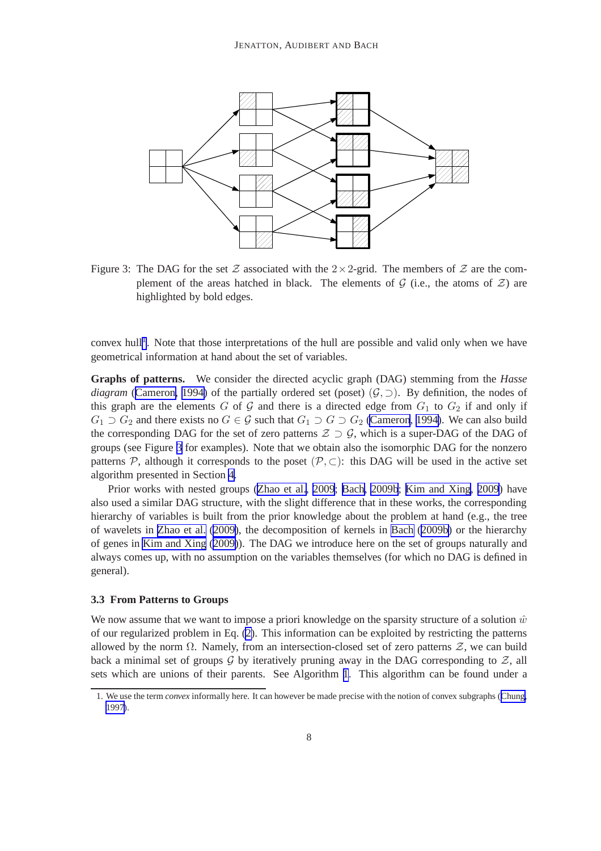<span id="page-8-0"></span>

Figure 3: The DAG for the set Z associated with the  $2 \times 2$ -grid. The members of Z are the complement of the areas hatched in black. The elements of  $G$  (i.e., the atoms of  $\mathcal Z$ ) are highlighted by bold edges.

convex hull<sup>1</sup>. Note that those interpretations of the hull are possible and valid only when we have geometrical information at hand about the set of variables.

**Graphs of patterns.** We consider the directed acyclic graph (DAG) stemming from the *Hasse diagram* ([Cameron, 1994\)](#page-44-0) of the partially ordered set (poset) ( $G$ ,  $\supset$ ). By definition, the nodes of this graph are the elements G of G and there is a directed edge from  $G_1$  to  $G_2$  if and only if  $G_1 \supset G_2$  and there exists no  $G \in \mathcal{G}$  such that  $G_1 \supset G \supset G_2$  [\(Cameron](#page-44-0), [1994\)](#page-44-0). We can also build the corresponding DAG for the set of zero patterns  $Z \supset Q$ , which is a super-DAG of the DAG of groups (see Figure 3 for examples). Note that we obtain also the isomorphic DAG for the nonzero patterns P, although it corresponds to the poset  $(P, \subset)$ : this DAG will be used in the active set algorithm presented in Section [4.](#page-12-0)

Prior works with nested groups ([Zhao et al.](#page-46-0), [2009](#page-46-0); [Bach, 2009b](#page-44-0); [Kim and Xing, 2009](#page-45-0)) have also used a similar DAG structure, with the slight difference that in these works, the corresponding hierarchy of variables is built from the prior knowledge about the problem at hand (e.g., the tree of wavelets in [Zhao et al.](#page-46-0) [\(2009\)](#page-46-0), the decomposition of kernels in [Bach](#page-44-0) ([2009b\)](#page-44-0) or the hierarchy of genes in [Kim and Xing](#page-45-0) ([2009\)](#page-45-0)). The DAG we introduce here on the set of groups naturally and always comes up, with no assumption on the variables themselves (for which no DAG is defined in general).

#### **3.3 From Patterns to Groups**

We now assume that we want to impose a priori knowledge on the sparsity structure of a solution  $\hat{w}$ of our regularized problem in Eq. [\(2\)](#page-4-0). This information can be exploited by restricting the patterns allowed by the norm  $\Omega$ . Namely, from an intersection-closed set of zero patterns  $\mathcal{Z}$ , we can build back a minimal set of groups G by iteratively pruning away in the DAG corresponding to  $Z$ , all sets which are unions of their parents. See Algorithm [1](#page-9-0). This algorithm can be found under a

<sup>1.</sup> We use the term *convex* informally here. It can however be made precise with the notion of convex subgraphs ([Chung,](#page-44-0) [1997\)](#page-44-0).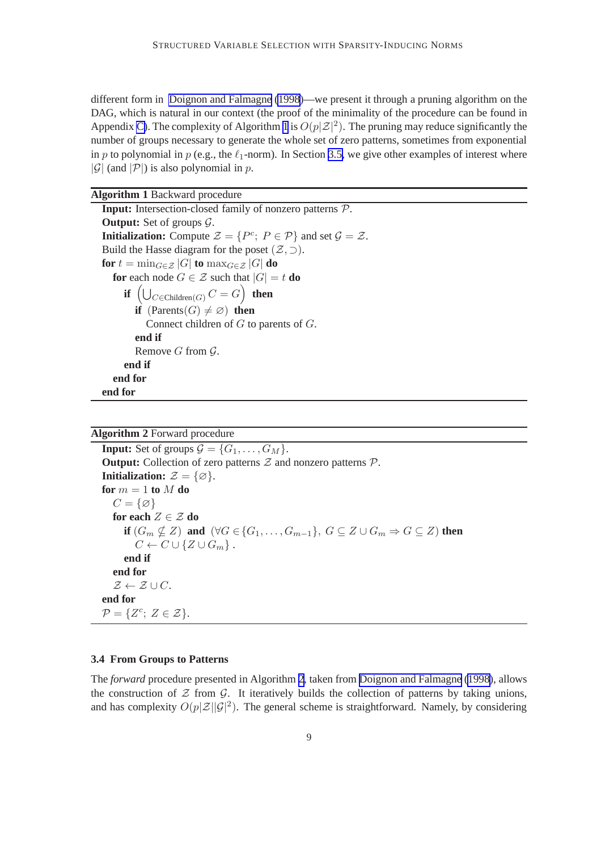<span id="page-9-0"></span>different form in [Doignon and Falmagne](#page-44-0) [\(1998](#page-44-0))—we present it through a pruning algorithm on the DAG, which is natural in our context (the proof of the minimality of the procedure can be found in Appendix [C\)](#page-30-0). The complexity of Algorithm 1 is  $O(p|\mathcal{Z}|^2)$ . The pruning may reduce significantly the number of groups necessary to generate the whole set of zero patterns, sometimes from exponential in p to polynomial in p (e.g., the  $\ell_1$ -norm). In Section [3.5,](#page-10-0) we give other examples of interest where | $\mathcal{G}$ | (and  $|\mathcal{P}|$ ) is also polynomial in p.

| <b>Algorithm 1 Backward procedure</b>                                                                            |
|------------------------------------------------------------------------------------------------------------------|
| <b>Input:</b> Intersection-closed family of nonzero patterns $P$ .                                               |
| <b>Output:</b> Set of groups $\mathcal{G}$ .                                                                     |
| <b>Initialization:</b> Compute $\mathcal{Z} = \{P^c; P \in \mathcal{P}\}\$ and set $\mathcal{G} = \mathcal{Z}$ . |
| Build the Hasse diagram for the poset $(\mathcal{Z}, \supset)$ .                                                 |
| for $t = \min_{G \in \mathcal{Z}}  G $ to $\max_{G \in \mathcal{Z}}  G $ do                                      |
| <b>for</b> each node $G \in \mathcal{Z}$ such that $ G  = t$ <b>do</b>                                           |
| if $\left(\bigcup_{C \in \text{Children}(G)} C = G\right)$ then                                                  |
| <b>if</b> $(Parents(G) \neq \emptyset)$ then                                                                     |
| Connect children of $G$ to parents of $G$ .                                                                      |
| end if                                                                                                           |
| Remove G from $\mathcal{G}$ .                                                                                    |
| end if                                                                                                           |
| end for                                                                                                          |
| end for                                                                                                          |

|  |  |  | <b>Algorithm 2 Forward procedure</b> |
|--|--|--|--------------------------------------|
|--|--|--|--------------------------------------|

**Input:** Set of groups  $\mathcal{G} = \{G_1, \ldots, G_M\}.$ **Output:** Collection of zero patterns  $Z$  and nonzero patterns  $P$ . **Initialization:**  $\mathcal{Z} = \{\emptyset\}.$ **for**  $m = 1$  **to**  $M$  **do**  $C = \{\varnothing\}$ **for each**  $Z \in \mathcal{Z}$  **do if**  $(G_m \not\subseteq Z)$  **and**  $(\forall G \in \{G_1, \ldots, G_{m-1}\}, G \subseteq Z \cup G_m \Rightarrow G \subseteq Z)$  **then**  $C \leftarrow C \cup \{Z \cup G_m\}$ . **end if end for**  $\mathcal{Z} \leftarrow \mathcal{Z} \cup C.$ **end for**  $\mathcal{P} = \{Z^c; Z \in \mathcal{Z}\}.$ 

#### **3.4 From Groups to Patterns**

The *forward* procedure presented in Algorithm 2, taken from [Doignon and Falmagne](#page-44-0) [\(1998\)](#page-44-0), allows the construction of  $Z$  from  $G$ . It iteratively builds the collection of patterns by taking unions, and has complexity  $O(p|\mathcal{Z}||\mathcal{G}|^2)$ . The general scheme is straightforward. Namely, by considering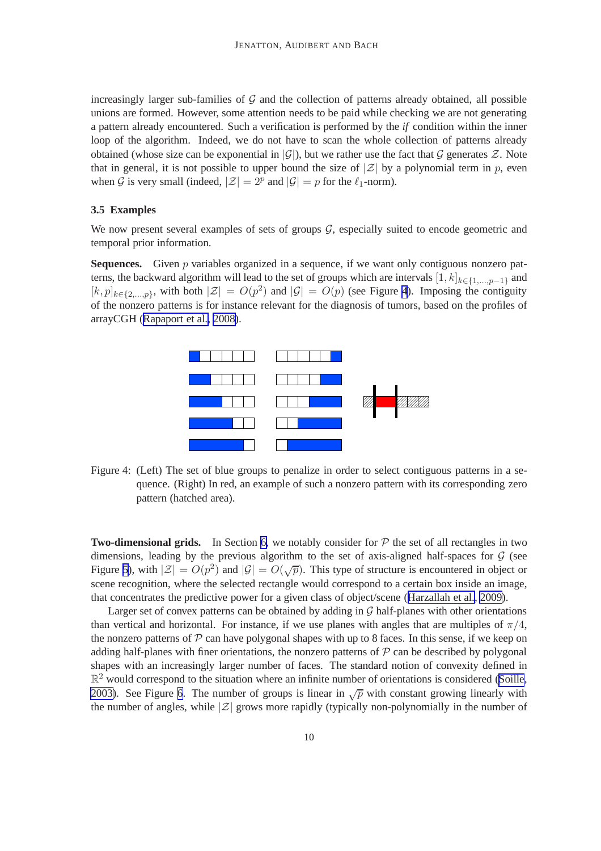<span id="page-10-0"></span>increasingly larger sub-families of  $G$  and the collection of patterns already obtained, all possible unions are formed. However, some attention needs to be paid while checking we are not generating a pattern already encountered. Such a verification is performed by the *if* condition within the inner loop of the algorithm. Indeed, we do not have to scan the whole collection of patterns already obtained (whose size can be exponential in  $|\mathcal{G}|$ ), but we rather use the fact that G generates Z. Note that in general, it is not possible to upper bound the size of  $|\mathcal{Z}|$  by a polynomial term in p, even when G is very small (indeed,  $|\mathcal{Z}| = 2^p$  and  $|\mathcal{G}| = p$  for the  $\ell_1$ -norm).

#### **3.5 Examples**

We now present several examples of sets of groups  $G$ , especially suited to encode geometric and temporal prior information.

**Sequences.** Given p variables organized in a sequence, if we want only contiguous nonzero patterns, the backward algorithm will lead to the set of groups which are intervals  $[1, k]_{k \in \{1,\dots,p-1\}}$  and  $[k, p]_{k \in \{2,\dots,p\}}$ , with both  $|\mathcal{Z}| = O(p^2)$  and  $|\mathcal{G}| = O(p)$  (see Figure 4). Imposing the contiguity of the nonzero patterns is for instance relevant for the diagnosis of tumors, based on the profiles of arrayCGH ([Rapaport et al., 2008\)](#page-45-0).



Figure 4: (Left) The set of blue groups to penalize in order to select contiguous patterns in a sequence. (Right) In red, an example of such a nonzero pattern with its corresponding zero pattern (hatched area).

**Two-dimensional grids.** In Section [6,](#page-21-0) we notably consider for  $P$  the set of all rectangles in two dimensions, leading by the previous algorithm to the set of axis-aligned half-spaces for  $G$  (see Figure [5\)](#page-11-0), with  $|\mathcal{Z}| = O(p^2)$  and  $|\mathcal{G}| = O(\sqrt{p})$ . This type of structure is encountered in object or scene recognition, where the selected rectangle would correspond to a certain box inside an image, that concentrates the predictive power for a given class of object/scene ([Harzallah et al., 2009](#page-45-0)).

Larger set of convex patterns can be obtained by adding in  $G$  half-planes with other orientations than vertical and horizontal. For instance, if we use planes with angles that are multiples of  $\pi/4$ , the nonzero patterns of  $P$  can have polygonal shapes with up to 8 faces. In this sense, if we keep on adding half-planes with finer orientations, the nonzero patterns of  $P$  can be described by polygonal shapes with an increasingly larger number of faces. The standard notion of convexity defined in  $\mathbb{R}^2$  would correspond to the situation where an infinite number of orientations is considered ([Soille](#page-46-0), [2003\)](#page-46-0). See Figure [6](#page-11-0). The number of groups is linear in  $\sqrt{p}$  with constant growing linearly with the number of angles, while  $|\mathcal{Z}|$  grows more rapidly (typically non-polynomially in the number of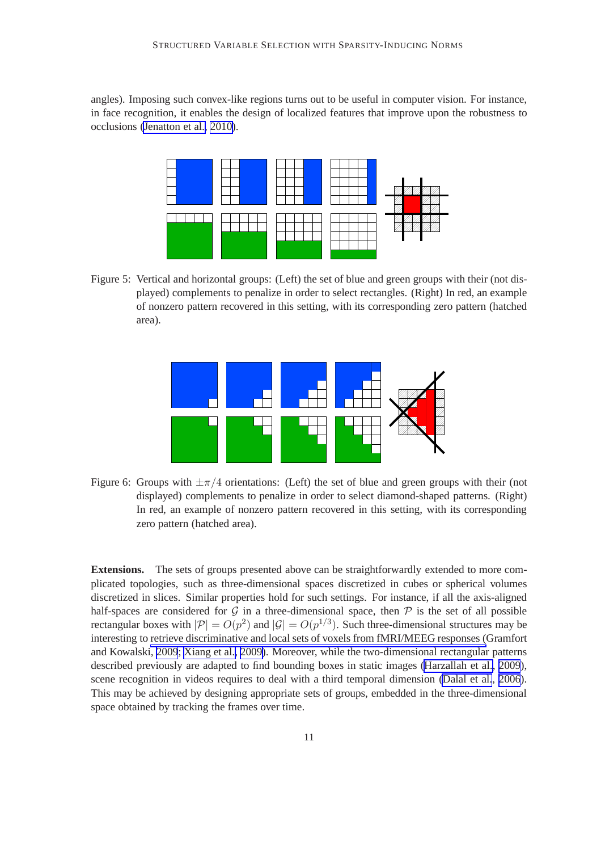<span id="page-11-0"></span>angles). Imposing such convex-like regions turns out to be useful in computer vision. For instance, in face recognition, it enables the design of localized features that improve upon the robustness to occlusions [\(Jenatton et al., 2010\)](#page-45-0).



Figure 5: Vertical and horizontal groups: (Left) the set of blue and green groups with their (not displayed) complements to penalize in order to select rectangles. (Right) In red, an example of nonzero pattern recovered in this setting, with its corresponding zero pattern (hatched area).



Figure 6: Groups with  $\pm \pi/4$  orientations: (Left) the set of blue and green groups with their (not displayed) complements to penalize in order to select diamond-shaped patterns. (Right) In red, an example of nonzero pattern recovered in this setting, with its corresponding zero pattern (hatched area).

**Extensions.** The sets of groups presented above can be straightforwardly extended to more complicated topologies, such as three-dimensional spaces discretized in cubes or spherical volumes discretized in slices. Similar properties hold for such settings. For instance, if all the axis-aligned half-spaces are considered for  $G$  in a three-dimensional space, then  $P$  is the set of all possible rectangular boxes with  $|\mathcal{P}| = O(p^2)$  and  $|\mathcal{G}| = O(p^{1/3})$ . Such three-dimensional structures may be interesting to retrieve discriminative and local sets of voxels from fMRI/MEEG responses (Gramfort and Kowalski, [2009](#page-44-0); [Xiang et al., 2009\)](#page-46-0). Moreover, while the two-dimensional rectangular patterns described previously are adapted to find bounding boxes in static images [\(Harzallah et al., 2009](#page-45-0)), scene recognition in videos requires to deal with a third temporal dimension [\(Dalal et al.](#page-44-0), [2006](#page-44-0)). This may be achieved by designing appropriate sets of groups, embedded in the three-dimensional space obtained by tracking the frames over time.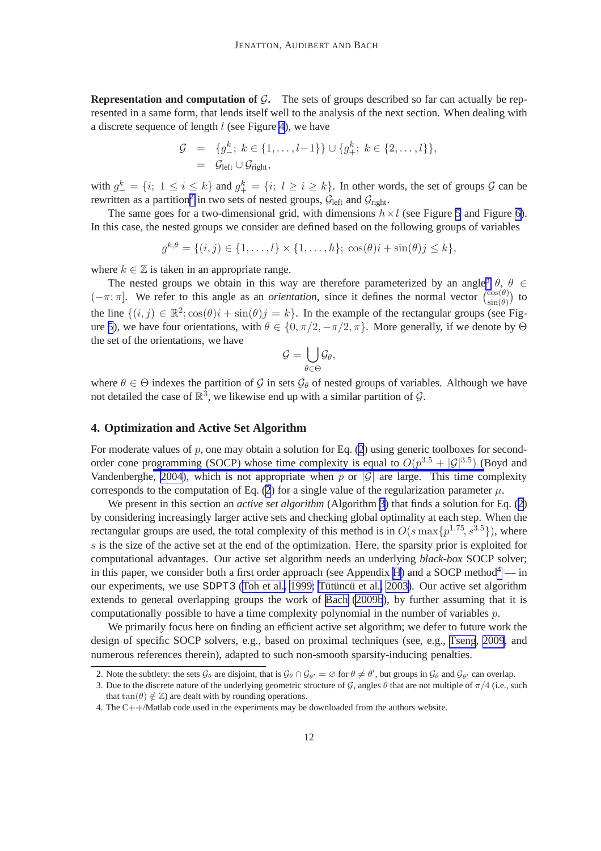<span id="page-12-0"></span>**Representation and computation of**  $G$ **. The sets of groups described so far can actually be rep**resented in a same form, that lends itself well to the analysis of the next section. When dealing with a discrete sequence of length  $l$  (see Figure [4\)](#page-10-0), we have

$$
\mathcal{G} = \{g^k_{-}; k \in \{1, ..., l-1\}\} \cup \{g^k_{+}; k \in \{2, ..., l\}\},
$$
  
=  $\mathcal{G}_{left} \cup \mathcal{G}_{right}$ ,

with  $g^k_-=\{i; 1 \le i \le k\}$  and  $g^k_+=\{i; l \ge i \ge k\}$ . In other words, the set of groups  $\mathcal G$  can be rewritten as a partition<sup>2</sup> in two sets of nested groups,  $\mathcal{G}_{left}$  and  $\mathcal{G}_{right}$ .

The same goes for a two-dimensional grid, with dimensions  $h \times l$  (see Figure [5](#page-11-0) and Figure [6\)](#page-11-0). In this case, the nested groups we consider are defined based on the following groups of variables

$$
g^{k,\theta} = \{(i,j) \in \{1,\ldots,l\} \times \{1,\ldots,h\}; \cos(\theta)i + \sin(\theta)j \leq k\},\
$$

where  $k \in \mathbb{Z}$  is taken in an appropriate range.

The nested groups we obtain in this way are therefore parameterized by an angle<sup>3</sup>  $\theta$ ,  $\theta \in$  $(-\pi; \pi]$ . We refer to this angle as an *orientation*, since it defines the normal vector  $\binom{\cos(\theta)}{\sin(\theta)}$  to the line  $\{(i, j) \in \mathbb{R}^2; \cos(\theta)i + \sin(\theta)j = k\}$ . In the example of the rectangular groups (see Fig-ure [5](#page-11-0)), we have four orientations, with  $\theta \in \{0, \pi/2, -\pi/2, \pi\}$ . More generally, if we denote by  $\Theta$ the set of the orientations, we have

$$
\mathcal{G} = \bigcup_{\theta \in \Theta} \mathcal{G}_\theta,
$$

where  $\theta \in \Theta$  indexes the partition of G in sets  $\mathcal{G}_{\theta}$  of nested groups of variables. Although we have not detailed the case of  $\mathbb{R}^3$ , we likewise end up with a similar partition of  $\mathcal{G}$ .

#### **4. Optimization and Active Set Algorithm**

For moderate values of  $p$ , one may obtain a solution for Eq. [\(2](#page-4-0)) using generic toolboxes for secondorder cone programming (SOCP) whose time complexity is equal to  $O(p^{3.5} + |\mathcal{G}|^{3.5})$  (Boyd and Vandenberghe, [2004\)](#page-44-0), which is not appropriate when p or  $|\mathcal{G}|$  are large. This time complexity corresponds to the computation of Eq. ([2](#page-4-0)) for a single value of the regularization parameter  $\mu$ .

We present in this section an *active set algorithm* (Algorithm [3](#page-17-0)) that finds a solution for Eq. ([2](#page-4-0)) by considering increasingly larger active sets and checking global optimality at each step. When the rectangular groups are used, the total complexity of this method is in  $O(s \max\{p^{1.75}, s^{3.5}\})$ , where s is the size of the active set at the end of the optimization. Here, the sparsity prior is exploited for computational advantages. Our active set algorithm needs an underlying *black-box* SOCP solver; in this paper, we consider both a first order approach (see Appendix [H\)](#page-39-0) and a SOCP method<sup>4</sup> — in our experiments, we use SDPT3 (Toh et al., 1999; Tütüncü et al., 2003). Our active set algorithm extends to general overlapping groups the work of [Bach](#page-44-0) [\(2009b](#page-44-0)), by further assuming that it is computationally possible to have a time complexity polynomial in the number of variables  $p$ .

We primarily focus here on finding an efficient active set algorithm; we defer to future work the design of specific SOCP solvers, e.g., based on proximal techniques (see, e.g., [Tseng](#page-46-0), [2009](#page-46-0), and numerous references therein), adapted to such non-smooth sparsity-inducing penalties.

<sup>2.</sup> Note the subtlety: the sets  $\mathcal{G}_{\theta}$  are disjoint, that is  $\mathcal{G}_{\theta} \cap \mathcal{G}_{\theta'} = \emptyset$  for  $\theta \neq \theta'$ , but groups in  $\mathcal{G}_{\theta}$  and  $\mathcal{G}_{\theta'}$  can overlap.

<sup>3.</sup> Due to the discrete nature of the underlying geometric structure of G, angles  $\theta$  that are not multiple of  $\pi/4$  (i.e., such that  $tan(\theta) \notin \mathbb{Z}$ ) are dealt with by rounding operations.

<sup>4.</sup> The C++/Matlab code used in the experiments may be downloaded from the authors website.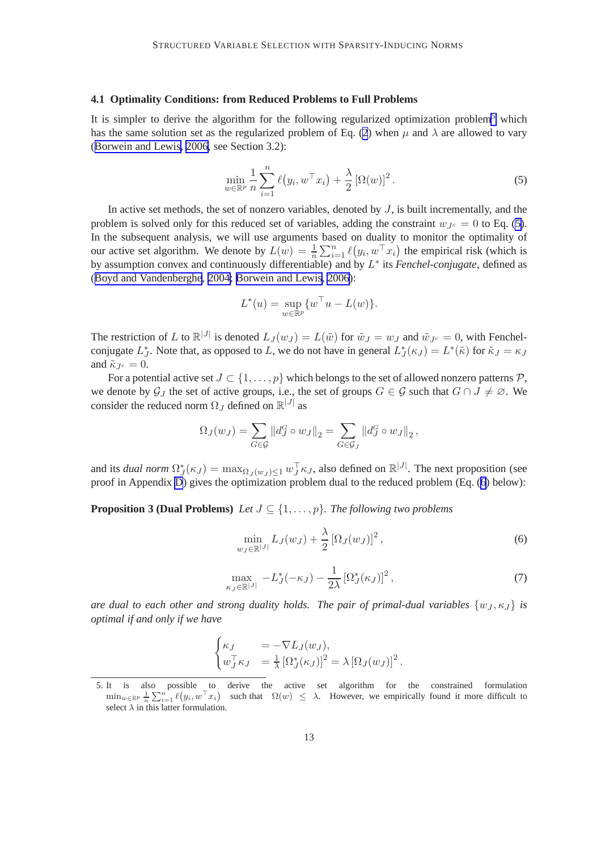#### <span id="page-13-0"></span>**4.1 Optimality Conditions: from Reduced Problems to Full Problems**

It is simpler to derive the algorithm for the following regularized optimization problem<sup>5</sup> which has the same solution set as the regularized problem of Eq. [\(2](#page-4-0)) when  $\mu$  and  $\lambda$  are allowed to vary ([Borwein and Lewis, 2006,](#page-44-0) see Section 3.2):

$$
\min_{w \in \mathbb{R}^p} \frac{1}{n} \sum_{i=1}^n \ell(y_i, w^\top x_i) + \frac{\lambda}{2} \left[ \Omega(w) \right]^2.
$$
 (5)

In active set methods, the set of nonzero variables, denoted by  $J$ , is built incrementally, and the problem is solved only for this reduced set of variables, adding the constraint  $w_{Jc} = 0$  to Eq. (5). In the subsequent analysis, we will use arguments based on duality to monitor the optimality of our active set algorithm. We denote by  $L(w) = \frac{1}{n} \sum_{i=1}^{n} \ell(y_i, w^\top x_i)$  the empirical risk (which is by assumption convex and continuously differentiable) and by L ∗ its *Fenchel-conjugate*, defined as ([Boyd and Vandenberghe](#page-44-0), [2004; Borwein and Lewis, 2006\)](#page-44-0):

$$
L^*(u) = \sup_{w \in \mathbb{R}^p} \{ w^\top u - L(w) \}.
$$

The restriction of L to  $\mathbb{R}^{|J|}$  is denoted  $L_J(w_J) = L(\tilde{w})$  for  $\tilde{w}_J = w_J$  and  $\tilde{w}_{J^c} = 0$ , with Fenchelconjugate  $L_J^*$ . Note that, as opposed to L, we do not have in general  $L_J^*(\kappa J) = L^*(\tilde{\kappa})$  for  $\tilde{\kappa} J = \kappa J$ and  $\tilde{\kappa}_{Je} = 0$ .

For a potential active set  $J \subset \{1, \ldots, p\}$  which belongs to the set of allowed nonzero patterns  $\mathcal{P}$ , we denote by  $\mathcal{G}_J$  the set of active groups, i.e., the set of groups  $G \in \mathcal{G}$  such that  $G \cap J \neq \emptyset$ . We consider the reduced norm  $\Omega_J$  defined on  $\mathbb{R}^{|J|}$  as

$$
\Omega_J(w_J) = \sum_{G \in \mathcal{G}} ||d_J^G \circ w_J||_2 = \sum_{G \in \mathcal{G}_J} ||d_J^G \circ w_J||_2,
$$

and its *dual norm*  $\Omega_J^*(\kappa_J) = \max_{\Omega_J(w_J) \leq 1} w_J^{\top} \kappa_J$ , also defined on  $\mathbb{R}^{|J|}$ . The next proposition (see proof in Appendix [D](#page-30-0)) gives the optimization problem dual to the reduced problem (Eq. (6) below):

**Proposition 3 (Dual Problems)** *Let*  $J \subseteq \{1, \ldots, p\}$ *. The following two problems* 

$$
\min_{w_J \in \mathbb{R}^{|J|}} L_J(w_J) + \frac{\lambda}{2} \left[ \Omega_J(w_J) \right]^2, \tag{6}
$$

$$
\max_{\kappa_J \in \mathbb{R}^{|J|}} -L_J^*(-\kappa_J) - \frac{1}{2\lambda} \left[ \Omega_J^*(\kappa_J) \right]^2, \tag{7}
$$

*are dual to each other and strong duality holds. The pair of primal-dual variables*  $\{w_J, \kappa_J\}$  *is optimal if and only if we have*

$$
\begin{cases} \kappa_J &= -\nabla L_J(w_J), \\ w_J^\top \kappa_J &= \frac{1}{\lambda} \left[ \Omega_J^*(\kappa_J) \right]^2 = \lambda \left[ \Omega_J(w_J) \right]^2. \end{cases}
$$

<sup>5.</sup> It is also possible to derive the active set algorithm for the constrained formulation  $\min_{w \in \mathbb{R}^p} \frac{1}{n} \sum_{i=1}^n \ell(y_i, w^\top x_i)$  such that  $\Omega(w) \leq \lambda$ . However, we empirically found it more difficult to select  $\lambda$  in this latter formulation.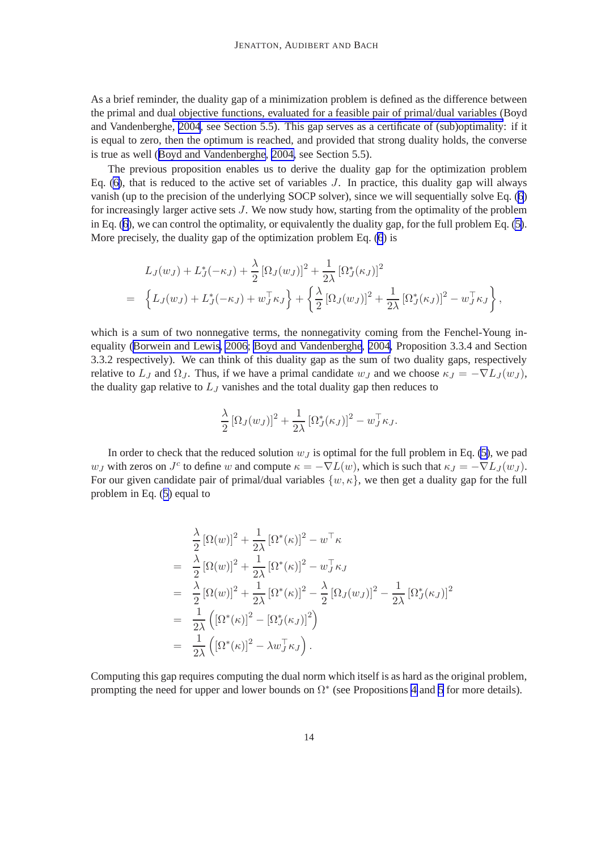As a brief reminder, the duality gap of a minimization problem is defined as the difference between the primal and dual objective functions, evaluated for a feasible pair of primal/dual variables (Boyd and Vandenberghe, [2004](#page-44-0), see Section 5.5). This gap serves as a certificate of (sub)optimality: if it is equal to zero, then the optimum is reached, and provided that strong duality holds, the converse is true as well ([Boyd and Vandenberghe](#page-44-0), [2004,](#page-44-0) see Section 5.5).

The previous proposition enables us to derive the duality gap for the optimization problem Eq. [\(6\)](#page-13-0), that is reduced to the active set of variables  $J$ . In practice, this duality gap will always vanish (up to the precision of the underlying SOCP solver), since we will sequentially solve Eq. ([6](#page-13-0)) for increasingly larger active sets J. We now study how, starting from the optimality of the problem in Eq. ([6\)](#page-13-0), we can control the optimality, or equivalently the duality gap, for the full problem Eq. [\(5\)](#page-13-0). More precisely, the duality gap of the optimization problem Eq. [\(6](#page-13-0)) is

$$
L_J(w_J) + L_J^*(-\kappa_J) + \frac{\lambda}{2} [\Omega_J(w_J)]^2 + \frac{1}{2\lambda} [\Omega_J^*(\kappa_J)]^2
$$
  
= 
$$
\left\{ L_J(w_J) + L_J^*(-\kappa_J) + w_J^\top \kappa_J \right\} + \left\{ \frac{\lambda}{2} [\Omega_J(w_J)]^2 + \frac{1}{2\lambda} [\Omega_J^*(\kappa_J)]^2 - w_J^\top \kappa_J \right\},
$$

which is a sum of two nonnegative terms, the nonnegativity coming from the Fenchel-Young inequality ([Borwein and Lewis, 2006](#page-44-0); [Boyd and Vandenberghe](#page-44-0), [2004](#page-44-0), Proposition 3.3.4 and Section 3.3.2 respectively). We can think of this duality gap as the sum of two duality gaps, respectively relative to  $L_J$  and  $\Omega_J$ . Thus, if we have a primal candidate  $w_J$  and we choose  $\kappa_J = -\nabla L_J(w_J)$ , the duality gap relative to  $L_J$  vanishes and the total duality gap then reduces to

$$
\frac{\lambda}{2} [\Omega_J(w_J)]^2 + \frac{1}{2\lambda} [\Omega_J^*(\kappa_J)]^2 - w_J^\top \kappa_J.
$$

In order to check that the reduced solution  $w<sub>J</sub>$  is optimal for the full problem in Eq. [\(5\)](#page-13-0), we pad w<sub>J</sub> with zeros on  $J^c$  to define w and compute  $\kappa = -\nabla L(w)$ , which is such that  $\kappa_J = -\nabla L_J(w_J)$ . For our given candidate pair of primal/dual variables  $\{w, \kappa\}$ , we then get a duality gap for the full problem in Eq. ([5\)](#page-13-0) equal to

$$
\frac{\lambda}{2} [\Omega(w)]^2 + \frac{1}{2\lambda} [\Omega^*(\kappa)]^2 - w^\top \kappa
$$
\n
$$
= \frac{\lambda}{2} [\Omega(w)]^2 + \frac{1}{2\lambda} [\Omega^*(\kappa)]^2 - w_J^\top \kappa_J
$$
\n
$$
= \frac{\lambda}{2} [\Omega(w)]^2 + \frac{1}{2\lambda} [\Omega^*(\kappa)]^2 - \frac{\lambda}{2} [\Omega_J(w_J)]^2 - \frac{1}{2\lambda} [\Omega_J^*(\kappa_J)]^2
$$
\n
$$
= \frac{1}{2\lambda} ([\Omega^*(\kappa)]^2 - [\Omega_J^*(\kappa_J)]^2)
$$
\n
$$
= \frac{1}{2\lambda} ([\Omega^*(\kappa)]^2 - \lambda w_J^\top \kappa_J).
$$

Computing this gap requires computing the dual norm which itself is as hard as the original problem, prompting the need for upper and lower bounds on  $\Omega^*$  (see Propositions [4](#page-16-0) and [5](#page-16-0) for more details).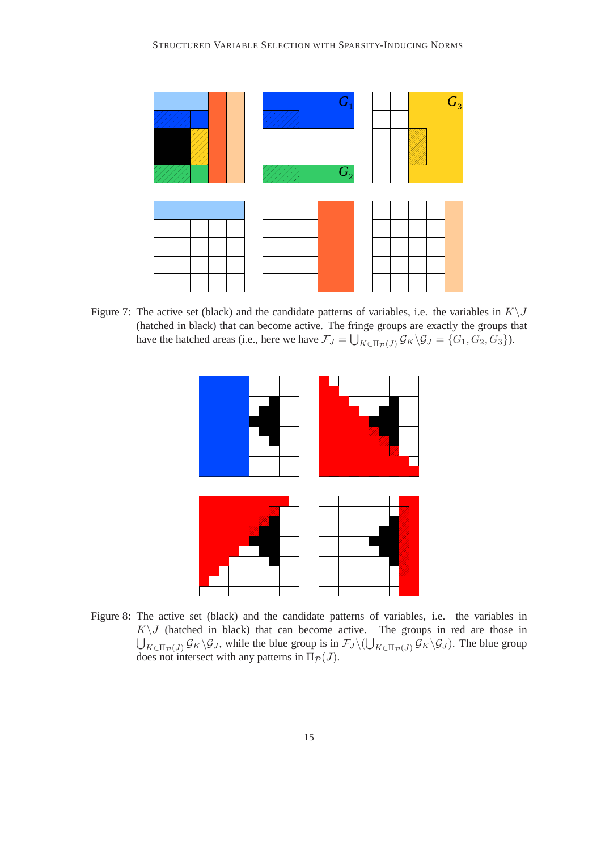<span id="page-15-0"></span>

Figure 7: The active set (black) and the candidate patterns of variables, i.e. the variables in  $K\setminus J$ (hatched in black) that can become active. The fringe groups are exactly the groups that have the hatched areas (i.e., here we have  $\mathcal{F}_J = \bigcup_{K \in \Pi_{\mathcal{P}}(J)} \mathcal{G}_K \backslash \mathcal{G}_J = \{G_1, G_2, G_3\}$ ).



Figure 8: The active set (black) and the candidate patterns of variables, i.e. the variables in  $K\setminus J$  (hatched in black) that can become active. The groups in red are those in  $\bigcup_{K\in\Pi_{\mathcal{P}}(J)}\mathcal{G}_K\backslash\mathcal{G}_J$ , while the blue group is in  $\mathcal{F}_J\backslash(\bigcup_{K\in\Pi_{\mathcal{P}}(J)}\mathcal{G}_K\backslash\mathcal{G}_J)$ . The blue group does not intersect with any patterns in  $\Pi_{\mathcal{P}}(J)$ .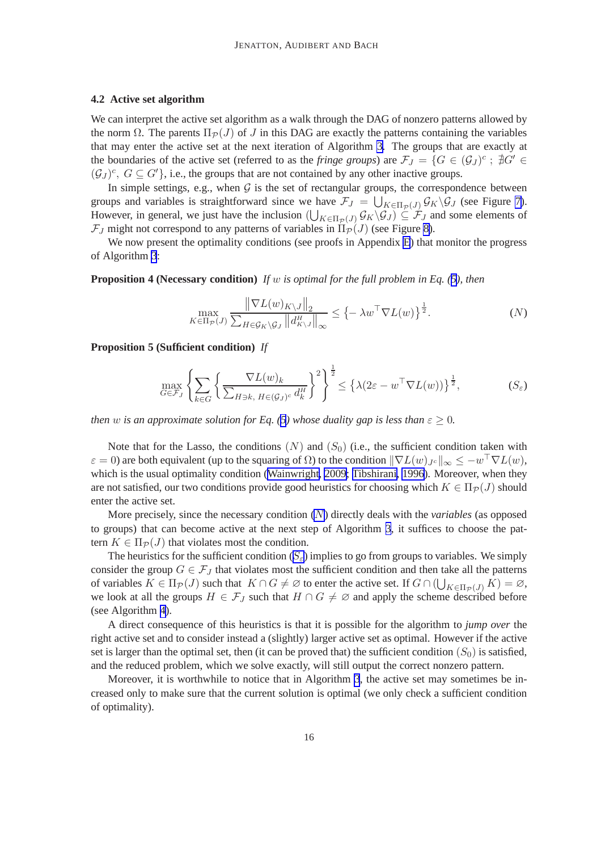#### <span id="page-16-0"></span>**4.2 Active set algorithm**

We can interpret the active set algorithm as a walk through the DAG of nonzero patterns allowed by the norm  $\Omega$ . The parents  $\Pi_{\mathcal{P}}(J)$  of J in this DAG are exactly the patterns containing the variables that may enter the active set at the next iteration of Algorithm [3.](#page-17-0) The groups that are exactly at the boundaries of the active set (referred to as the *fringe groups*) are  $\mathcal{F}_J = \{G \in (\mathcal{G}_J)^c : \nexists G' \in$  $(\mathcal{G}_J)^c$ ,  $G \subseteq G'$ , i.e., the groups that are not contained by any other inactive groups.

In simple settings, e.g., when  $G$  is the set of rectangular groups, the correspondence between groups and variables is straightforward since we have  $\mathcal{F}_J = \bigcup_{K \in \Pi_{\mathcal{P}}(J)} \mathcal{G}_K \backslash \mathcal{G}_J$  (see Figure [7\)](#page-15-0). However, in general, we just have the inclusion  $(\bigcup_{K\in\Pi_{\mathcal{P}}(J)}\mathcal{G}_K\backslash\mathcal{G}_J)\subseteq\mathcal{F}_J$  and some elements of  $\mathcal{F}_J$  might not correspond to any patterns of variables in  $\Pi_{\mathcal{P}}(J)$  (see Figure [8\)](#page-15-0).

We now present the optimality conditions (see proofs in Appendix [E](#page-31-0)) that monitor the progress of Algorithm [3](#page-17-0):

**Proposition 4 (Necessary condition)** *If* w *is optimal for the full problem in Eq. ([5\)](#page-13-0), then*

$$
\max_{K \in \Pi_{\mathcal{P}}(J)} \frac{\left\| \nabla L(w)_{K \setminus J} \right\|_{2}}{\sum_{H \in \mathcal{G}_{K} \setminus \mathcal{G}_{J}} \left\| d_{K \setminus J}^{H} \right\|_{\infty}} \leq \left\{ -\lambda w^{\top} \nabla L(w) \right\}^{\frac{1}{2}}.
$$
\n(N)

**Proposition 5 (Sufficient condition)** *If*

$$
\max_{G \in \mathcal{F}_J} \left\{ \sum_{k \in G} \left\{ \frac{\nabla L(w)_k}{\sum_{H \ni k, H \in (\mathcal{G}_J)^c} d_k^H} \right\}^2 \right\}^{\frac{1}{2}} \leq \left\{ \lambda (2\varepsilon - w^\top \nabla L(w)) \right\}^{\frac{1}{2}}, \tag{S_{\varepsilon}}
$$

*then* w *is an approximate solution for Eq.* (*[5](#page-13-0)*) whose duality gap is less than  $\varepsilon \geq 0$ .

Note that for the Lasso, the conditions  $(N)$  and  $(S_0)$  (i.e., the sufficient condition taken with  $\varepsilon = 0$ ) are both equivalent (up to the squaring of  $\Omega$ ) to the condition  $\|\nabla L(w)_{J^c}\|_{\infty} \leq -w^\top \nabla L(w)$ , which is the usual optimality condition ([Wainwright, 2009;](#page-46-0) [Tibshirani, 1996\)](#page-46-0). Moreover, when they are not satisfied, our two conditions provide good heuristics for choosing which  $K \in \Pi_{\mathcal{P}}(J)$  should enter the active set.

More precisely, since the necessary condition (N) directly deals with the *variables* (as opposed to groups) that can become active at the next step of Algorithm [3](#page-17-0), it suffices to choose the pattern  $K \in \Pi_{\mathcal{P}}(J)$  that violates most the condition.

The heuristics for the sufficient condition  $(S_{\varepsilon})$  implies to go from groups to variables. We simply consider the group  $G \in \mathcal{F}_J$  that violates most the sufficient condition and then take all the patterns of variables  $K \in \Pi_{\mathcal{P}}(J)$  such that  $K \cap G \neq \emptyset$  to enter the active set. If  $G \cap (\bigcup_{K \in \Pi_{\mathcal{P}}(J)} K) = \emptyset$ , we look at all the groups  $H \in \mathcal{F}_J$  such that  $H \cap G \neq \emptyset$  and apply the scheme described before (see Algorithm [4\)](#page-17-0).

A direct consequence of this heuristics is that it is possible for the algorithm to *jump over* the right active set and to consider instead a (slightly) larger active set as optimal. However if the active set is larger than the optimal set, then (it can be proved that) the sufficient condition  $(S_0)$  is satisfied, and the reduced problem, which we solve exactly, will still output the correct nonzero pattern.

Moreover, it is worthwhile to notice that in Algorithm [3](#page-17-0), the active set may sometimes be increased only to make sure that the current solution is optimal (we only check a sufficient condition of optimality).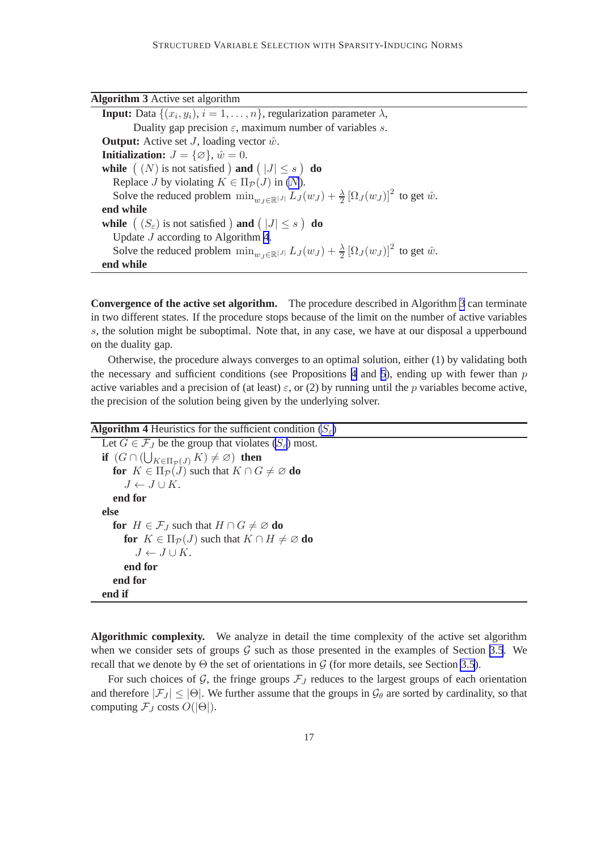<span id="page-17-0"></span>

| <b>Algorithm 3</b> Active set algorithm                                                                                       |
|-------------------------------------------------------------------------------------------------------------------------------|
| <b>Input:</b> Data $\{(x_i, y_i), i = 1, \ldots, n\}$ , regularization parameter $\lambda$ ,                                  |
| Duality gap precision $\varepsilon$ , maximum number of variables s.                                                          |
| <b>Output:</b> Active set $J$ , loading vector $\hat{w}$ .                                                                    |
| <b>Initialization:</b> $J = {\emptyset}$ , $\hat{w} = 0$ .                                                                    |
| while $(N)$ is not satisfied ) and $( J  \leq s)$ do                                                                          |
| Replace J by violating $K \in \Pi_{\mathcal{P}}(J)$ in (N).                                                                   |
| Solve the reduced problem $\min_{w_j \in \mathbb{R}^{ J }} L_J(w_j) + \frac{\lambda}{2} [\Omega_J(w_j)]^2$ to get $\hat{w}$ . |
| end while                                                                                                                     |
| while $(S_{\varepsilon})$ is not satisfied ) and $( J  \leq s)$ do                                                            |
| Update $J$ according to Algorithm 4.                                                                                          |
| Solve the reduced problem $\min_{w_i \in \mathbb{R}^{ J }} L_J(w_J) + \frac{\lambda}{2} [\Omega_J(w_J)]^2$ to get $\hat{w}$ . |
| end while                                                                                                                     |

**Convergence of the active set algorithm.** The procedure described in Algorithm 3 can terminate in two different states. If the procedure stops because of the limit on the number of active variables s, the solution might be suboptimal. Note that, in any case, we have at our disposal a upperbound on the duality gap.

Otherwise, the procedure always converges to an optimal solution, either (1) by validating both the necessary and sufficient conditions (see Propositions [4](#page-16-0) and [5](#page-16-0)), ending up with fewer than  $p$ active variables and a precision of (at least)  $\varepsilon$ , or (2) by running until the p variables become active, the precision of the solution being given by the underlying solver.

```
Algorithm 4 Heuristics for the sufficient condition S_{\varepsilon})
```

```
Let G \in \mathcal{F}_J be the group that violates S_{\varepsilon}) most.
if (G \cap (\bigcup_{K \in \Pi_{\mathcal{P}}(J)} K) \neq \varnothing) then
   for K \in \Pi_{\mathcal{P}}(J) such that K \cap G \neq \emptyset do
        J \leftarrow J \cup K.
   end for
else
   for H \in \mathcal{F}_I such that H \cap G \neq \emptyset do
       for K \in \Pi_{\mathcal{P}}(J) such that K \cap H \neq \emptyset do
           J \leftarrow J \cup K.
       end for
   end for
end if
```
**Algorithmic complexity.** We analyze in detail the time complexity of the active set algorithm when we consider sets of groups  $G$  such as those presented in the examples of Section [3.5](#page-10-0). We recall that we denote by  $\Theta$  the set of orientations in  $\mathcal G$  (for more details, see Section [3.5](#page-10-0)).

For such choices of  $G$ , the fringe groups  $\mathcal{F}_J$  reduces to the largest groups of each orientation and therefore  $|\mathcal{F}_J| \leq |\Theta|$ . We further assume that the groups in  $\mathcal{G}_\theta$  are sorted by cardinality, so that computing  $\mathcal{F}_J$  costs  $O(|\Theta|)$ .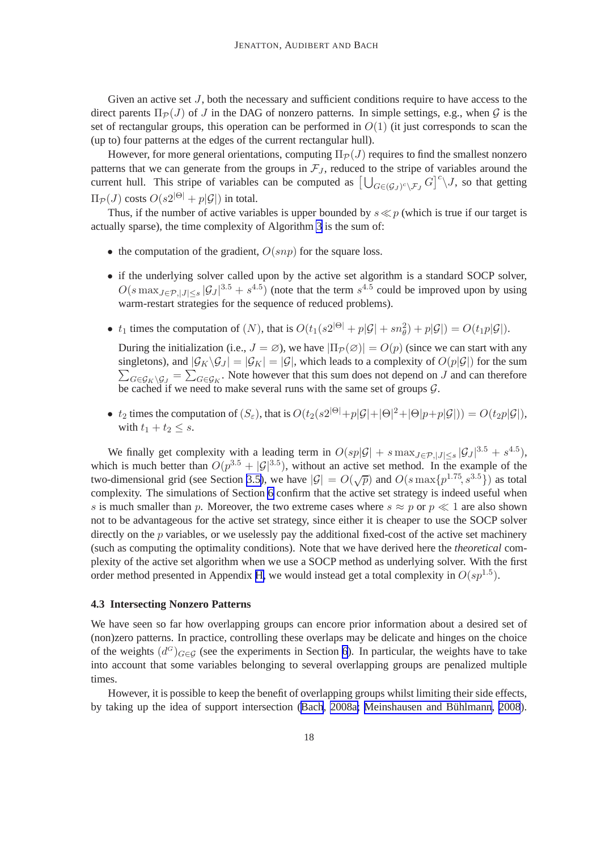<span id="page-18-0"></span>Given an active set  $J$ , both the necessary and sufficient conditions require to have access to the direct parents  $\Pi_{\mathcal{P}}(J)$  of J in the DAG of nonzero patterns. In simple settings, e.g., when G is the set of rectangular groups, this operation can be performed in  $O(1)$  (it just corresponds to scan the (up to) four patterns at the edges of the current rectangular hull).

However, for more general orientations, computing  $\Pi_{\mathcal{P}}(J)$  requires to find the smallest nonzero patterns that we can generate from the groups in  $\mathcal{F}_J$ , reduced to the stripe of variables around the current hull. This stripe of variables can be computed as  $\left[\bigcup_{G \in (G_J)^c \backslash \mathcal{F}_J} G\right]^c \backslash J$ , so that getting  $\Pi_{\mathcal{P}}(J)$  costs  $O(s2^{|\Theta|} + p|\mathcal{G}|)$  in total.

Thus, if the number of active variables is upper bounded by  $s \ll p$  (which is true if our target is actually sparse), the time complexity of Algorithm [3](#page-17-0) is the sum of:

- the computation of the gradient,  $O(snp)$  for the square loss.
- if the underlying solver called upon by the active set algorithm is a standard SOCP solver,  $O(s \max_{J \in \mathcal{P}, |J| \le s} |\mathcal{G}_J|^{3.5} + s^{4.5})$  (note that the term  $s^{4.5}$  could be improved upon by using warm-restart strategies for the sequence of reduced problems).
- $t_1$  times the computation of  $(N)$ , that is  $O(t_1(s2^{|\Theta|} + p|\mathcal{G}| + sn_\theta^2) + p|\mathcal{G}|) = O(t_1p|\mathcal{G}|)$ .

During the initialization (i.e.,  $J = \emptyset$ ), we have  $|\Pi_{\mathcal{P}}(\emptyset)| = O(p)$  (since we can start with any singletons), and  $|\mathcal{G}_K \backslash \mathcal{G}_J| = |\mathcal{G}_K| = |\mathcal{G}|$ , which leads to a complexity of  $O(p|\mathcal{G}|)$  for the sum  $\sum_{G \in \mathcal{G}_K \setminus \mathcal{G}_J} = \sum_{G \in \mathcal{G}_K}$ . Note however that this sum does not depend on J and can therefore be cached if we need to make several runs with the same set of groups  $G$ .

•  $t_2$  times the computation of  $(S_{\varepsilon})$ , that is  $O(t_2(s2^{|\Theta|}+p|\mathcal{G}|+|\Theta|^2+|\Theta|p+p|\mathcal{G}|)) = O(t_2p|\mathcal{G}|)$ , with  $t_1 + t_2 \leq s$ .

We finally get complexity with a leading term in  $O(sp|\mathcal{G}| + s \max_{J \in \mathcal{P}, |J| \leq s} |\mathcal{G}_J|^{3.5} + s^{4.5}),$ which is much better than  $O(p^{3.5} + |\mathcal{G}|^{3.5})$ , without an active set method. In the example of the two-dimensional grid (see Section [3.5\)](#page-10-0), we have  $|\mathcal{G}| = O(\sqrt{p})$  and  $O(s \max\{p^{1.75}, s^{3.5}\})$  as total complexity. The simulations of Section [6](#page-21-0) confirm that the active set strategy is indeed useful when s is much smaller than p. Moreover, the two extreme cases where  $s \approx p$  or  $p \ll 1$  are also shown not to be advantageous for the active set strategy, since either it is cheaper to use the SOCP solver directly on the  $p$  variables, or we uselessly pay the additional fixed-cost of the active set machinery (such as computing the optimality conditions). Note that we have derived here the *theoretical* complexity of the active set algorithm when we use a SOCP method as underlying solver. With the first order method presented in Appendix [H,](#page-39-0) we would instead get a total complexity in  $O(sp^{1.5})$ .

#### **4.3 Intersecting Nonzero Patterns**

We have seen so far how overlapping groups can encore prior information about a desired set of (non)zero patterns. In practice, controlling these overlaps may be delicate and hinges on the choice of the weights  $(d<sup>G</sup>)_{G \in \mathcal{G}}$  (see the experiments in Section [6](#page-21-0)). In particular, the weights have to take into account that some variables belonging to several overlapping groups are penalized multiple times.

However, it is possible to keep the benefit of overlapping groups whilst limiting their side effects, by taking up the idea of support intersection ([Bach](#page-44-0), [2008a;](#page-44-0) Meinshausen and Bühlmann, 2008).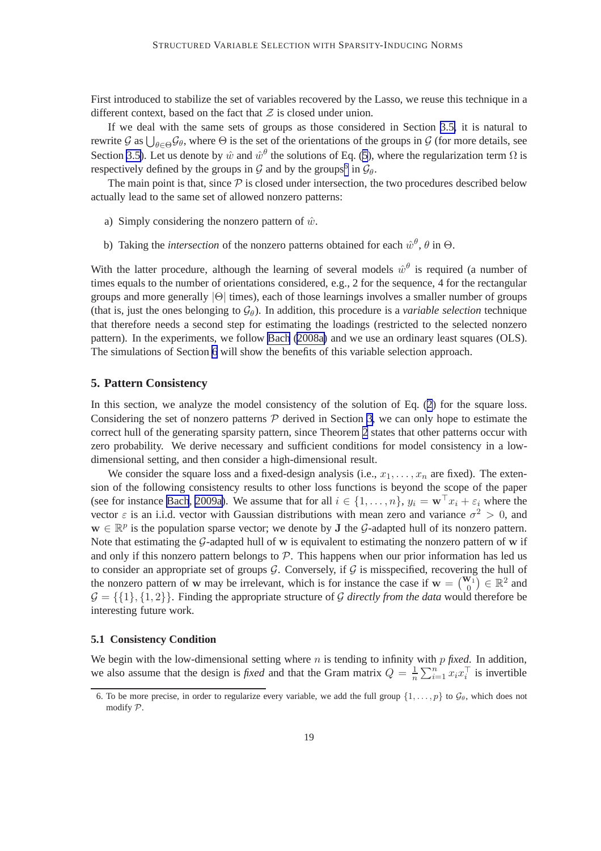<span id="page-19-0"></span>First introduced to stabilize the set of variables recovered by the Lasso, we reuse this technique in a different context, based on the fact that  $\mathcal Z$  is closed under union.

If we deal with the same sets of groups as those considered in Section [3.5,](#page-10-0) it is natural to rewrite G as  $\bigcup_{\theta \in \Theta} \mathcal{G}_{\theta}$ , where  $\Theta$  is the set of the orientations of the groups in G (for more details, see Section [3.5\)](#page-10-0). Let us denote by  $\hat{w}$  and  $\hat{w}^{\theta}$  the solutions of Eq. ([5](#page-13-0)), where the regularization term  $\Omega$  is respectively defined by the groups in  $G$  and by the groups<sup>6</sup> in  $\mathcal{G}_{\theta}$ .

The main point is that, since  $P$  is closed under intersection, the two procedures described below actually lead to the same set of allowed nonzero patterns:

- a) Simply considering the nonzero pattern of  $\hat{w}$ .
- b) Taking the *intersection* of the nonzero patterns obtained for each  $\hat{w}^{\theta}$ ,  $\theta$  in  $\Theta$ .

With the latter procedure, although the learning of several models  $\hat{w}^{\theta}$  is required (a number of times equals to the number of orientations considered, e.g., 2 for the sequence, 4 for the rectangular groups and more generally  $|\Theta|$  times), each of those learnings involves a smaller number of groups (that is, just the ones belonging to  $\mathcal{G}_{\theta}$ ). In addition, this procedure is a *variable selection* technique that therefore needs a second step for estimating the loadings (restricted to the selected nonzero pattern). In the experiments, we follow [Bach](#page-44-0) [\(2008a\)](#page-44-0) and we use an ordinary least squares (OLS). The simulations of Section [6](#page-21-0) will show the benefits of this variable selection approach.

#### **5. Pattern Consistency**

In this section, we analyze the model consistency of the solution of Eq. ([2](#page-4-0)) for the square loss. Considering the set of nonzero patterns  $P$  derived in Section [3,](#page-4-0) we can only hope to estimate the correct hull of the generating sparsity pattern, since Theorem [2](#page-6-0) states that other patterns occur with zero probability. We derive necessary and sufficient conditions for model consistency in a lowdimensional setting, and then consider a high-dimensional result.

We consider the square loss and a fixed-design analysis (i.e.,  $x_1, \ldots, x_n$  are fixed). The extension of the following consistency results to other loss functions is beyond the scope of the paper (see for instance [Bach](#page-44-0), [2009a\)](#page-44-0). We assume that for all  $i \in \{1, \ldots, n\}$ ,  $y_i = \mathbf{w}^\top x_i + \varepsilon_i$  where the vector  $\varepsilon$  is an i.i.d. vector with Gaussian distributions with mean zero and variance  $\sigma^2 > 0$ , and  $w \in \mathbb{R}^p$  is the population sparse vector; we denote by **J** the G-adapted hull of its nonzero pattern. Note that estimating the  $G$ -adapted hull of w is equivalent to estimating the nonzero pattern of w if and only if this nonzero pattern belongs to  $P$ . This happens when our prior information has led us to consider an appropriate set of groups  $G$ . Conversely, if  $G$  is misspecified, recovering the hull of the nonzero pattern of w may be irrelevant, which is for instance the case if  $w = \begin{pmatrix} w_1 \\ 0 \end{pmatrix} \in \mathbb{R}^2$  and  $G = \{\{1\}, \{1, 2\}\}\.$  Finding the appropriate structure of G directly from the data would therefore be interesting future work.

#### **5.1 Consistency Condition**

We begin with the low-dimensional setting where *n* is tending to infinity with *p fixed*. In addition, we also assume that the design is *fixed* and that the Gram matrix  $Q = \frac{1}{n}$  $\frac{1}{n} \sum_{i=1}^{n} x_i x_i^{\top}$  is invertible

<sup>6.</sup> To be more precise, in order to regularize every variable, we add the full group  $\{1, \ldots, p\}$  to  $\mathcal{G}_{\theta}$ , which does not modify P.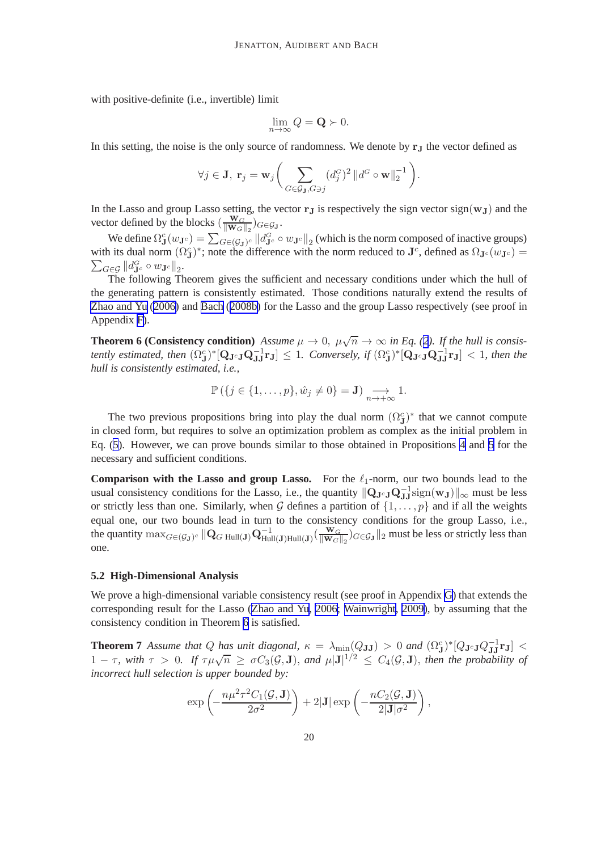<span id="page-20-0"></span>with positive-definite (i.e., invertible) limit

$$
\lim_{n\to\infty} Q = \mathbf{Q} \succ 0.
$$

In this setting, the noise is the only source of randomness. We denote by  $r<sub>J</sub>$  the vector defined as

$$
\forall j \in \mathbf{J}, \ \mathbf{r}_j = \mathbf{w}_j \bigg( \sum_{G \in \mathcal{G}_{\mathbf{J}}, G \ni j} (d_j^G)^2 \, \| d^G \circ \mathbf{w} \|_2^{-1} \bigg).
$$

In the Lasso and group Lasso setting, the vector  $r<sub>J</sub>$  is respectively the sign vector sign( $w<sub>J</sub>$ ) and the vector defined by the blocks  $\left(\frac{\mathbf{W}_G}{\|\mathbf{W}_G\|}\right)$  $\frac{\mathbf{W}_G}{\|\mathbf{W}_G\|_2}$ ) $G \in \mathcal{G}_\mathbf{J}$ .

We define  $\Omega_{\mathbf{J}}^c(w_{\mathbf{J}^c}) = \sum_{G \in (\mathcal{G}_{\mathbf{J}})^c} ||d_{\mathbf{J}^c}^G \circ w_{\mathbf{J}^c}||_2$  (which is the norm composed of inactive groups) with its dual norm  $(\Omega_{\mathbf{J}}^c)^*$ ; note the difference with the norm reduced to  $\mathbf{J}^c$ , defined as  $\Omega_{\mathbf{J}^c}(w_{\mathbf{J}^c})=$  $\sum_{G\in\mathcal{G}}\left\Vert d_{\mathbf{J}^{c}}^{G}\circ w_{\mathbf{J}^{c}}\right\Vert _{2}.$ 

The following Theorem gives the sufficient and necessary conditions under which the hull of the generating pattern is consistently estimated. Those conditions naturally extend the results of [Zhao and Yu](#page-46-0) [\(2006\)](#page-46-0) and [Bach](#page-44-0) ([2008b\)](#page-44-0) for the Lasso and the group Lasso respectively (see proof in Appendix [F\)](#page-33-0).

**Theorem 6 (Consistency condition)** *Assume*  $\mu \to 0$ ,  $\mu \sqrt{n} \to \infty$  *in Eq. ([2](#page-4-0)). If the hull is consistently estimated, then*  $(\Omega_J^c)^*[\mathbf{Q}_{\mathbf{J}^c\mathbf{J}}\mathbf{Q}_{\mathbf{J}\mathbf{J}}^{-1}\mathbf{r}_{\mathbf{J}}] \leq 1$ . Conversely, if  $(\Omega_J^c)^*[\mathbf{Q}_{\mathbf{J}^c\mathbf{J}}\mathbf{Q}_{\mathbf{J}\mathbf{J}}^{-1}\mathbf{r}_{\mathbf{J}}] < 1$ , then the *hull is consistently estimated, i.e.,*

$$
\mathbb{P}\left(\{j\in\{1,\ldots,p\},\hat{w}_j\neq 0\}=\mathbf{J}\right)\underset{n\to+\infty}{\longrightarrow}1.
$$

The two previous propositions bring into play the dual norm  $(\Omega_{J}^{c})^*$  that we cannot compute in closed form, but requires to solve an optimization problem as complex as the initial problem in Eq. ([5](#page-13-0)). However, we can prove bounds similar to those obtained in Propositions [4](#page-16-0) and [5](#page-16-0) for the necessary and sufficient conditions.

**Comparison with the Lasso and group Lasso.** For the  $\ell_1$ -norm, our two bounds lead to the usual consistency conditions for the Lasso, i.e., the quantity  $\|\mathbf{Q}_{\mathbf{J}^c\mathbf{J}}\mathbf{Q}_{\mathbf{JJ}}^{-1}\text{sign}(\mathbf{w}_{\mathbf{J}})\|_{\infty}$  must be less or strictly less than one. Similarly, when G defines a partition of  $\{1, \ldots, p\}$  and if all the weights equal one, our two bounds lead in turn to the consistency conditions for the group Lasso, i.e., the quantity  $\max_{G \in (G_J)^c} || \mathbf{Q}_{G \text{ Hull}(J)} \mathbf{Q}_{\text{Hull}(J) \text{ Hull}(J)}^{-1} (\frac{\mathbf{w}_G}{||\mathbf{w}_G||})$  $\frac{w_G}{\|W_G\|_2}$ ) $_{G \in \mathcal{G}_J}$  ||2 must be less or strictly less than one.

#### **5.2 High-Dimensional Analysis**

We prove a high-dimensional variable consistency result (see proof in Appendix [G](#page-34-0)) that extends the corresponding result for the Lasso [\(Zhao and Yu](#page-46-0), [2006; Wainwright, 2009\)](#page-46-0), by assuming that the consistency condition in Theorem 6 is satisfied.

**Theorem 7** Assume that Q has unit diagonal,  $\kappa = \lambda_{\min}(Q_{JJ}) > 0$  and  $(\Omega_{J}^{c})^* [Q_{J^cJ}Q_{JJ}^{-1}r_J] <$ 1 –  $\tau$ , with  $\tau > 0$ . If  $\tau \mu \sqrt{n} \geq \sigma C_3(\mathcal{G}, \mathbf{J})$ , and  $\mu |\mathbf{J}|^{1/2} \leq C_4(\mathcal{G}, \mathbf{J})$ , then the probability of *incorrect hull selection is upper bounded by:*

$$
\exp\left(-\frac{n\mu^2\tau^2C_1(\mathcal{G},\mathbf{J})}{2\sigma^2}\right) + 2|\mathbf{J}|\exp\left(-\frac{nC_2(\mathcal{G},\mathbf{J})}{2|\mathbf{J}|\sigma^2}\right),\,
$$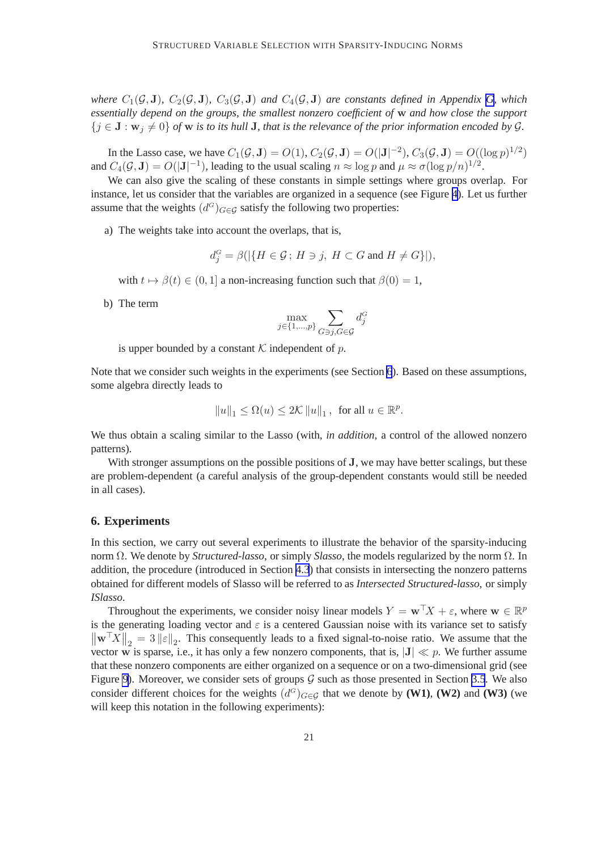<span id="page-21-0"></span>*where*  $C_1(\mathcal{G}, J)$ *,*  $C_2(\mathcal{G}, J)$ *,*  $C_3(\mathcal{G}, J)$  *and*  $C_4(\mathcal{G}, J)$  *are constants defined in Appendix [G](#page-34-0), which essentially depend on the groups, the smallest nonzero coefficient of* w *and how close the support*  ${j \in J : w_j \neq 0}$  *of* w *is to its hull* J, that *is the relevance of the prior information encoded by G.* 

In the Lasso case, we have  $C_1(\mathcal{G}, \mathbf{J}) = O(1)$ ,  $C_2(\mathcal{G}, \mathbf{J}) = O(|\mathbf{J}|^{-2})$ ,  $C_3(\mathcal{G}, \mathbf{J}) = O((\log p)^{1/2})$ and  $C_4(\mathcal{G}, J) = O(|J|^{-1})$ , leading to the usual scaling  $n \approx \log p$  and  $\mu \approx \sigma (\log p/n)^{1/2}$ .

We can also give the scaling of these constants in simple settings where groups overlap. For instance, let us consider that the variables are organized in a sequence (see Figure [4](#page-10-0)). Let us further assume that the weights  $(d<sup>G</sup>)<sub>G</sub> \in \mathcal{G}$  satisfy the following two properties:

a) The weights take into account the overlaps, that is,

$$
d_j^G = \beta(|\{H \in \mathcal{G}; H \ni j, H \subset G \text{ and } H \neq G\}|),
$$

with  $t \mapsto \beta(t) \in (0, 1]$  a non-increasing function such that  $\beta(0) = 1$ ,

b) The term

$$
\max_{j \in \{1, \dots, p\}} \sum_{G \ni j, G \in \mathcal{G}} d_j^G
$$

is upper bounded by a constant  $K$  independent of p.

Note that we consider such weights in the experiments (see Section 6). Based on these assumptions, some algebra directly leads to

$$
||u||_1\leq \Omega(u)\leq 2\mathcal{K}\,||u||_1\,,\, \text{ for all }u\in\mathbb{R}^p.
$$

We thus obtain a scaling similar to the Lasso (with, *in addition*, a control of the allowed nonzero patterns).

With stronger assumptions on the possible positions of **J**, we may have better scalings, but these are problem-dependent (a careful analysis of the group-dependent constants would still be needed in all cases).

#### **6. Experiments**

In this section, we carry out several experiments to illustrate the behavior of the sparsity-inducing norm Ω. We denote by *Structured-lasso*, or simply *Slasso*, the models regularized by the norm Ω. In addition, the procedure (introduced in Section [4.3](#page-18-0)) that consists in intersecting the nonzero patterns obtained for different models of Slasso will be referred to as *Intersected Structured-lasso*, or simply *ISlasso*.

Throughout the experiments, we consider noisy linear models  $Y = \mathbf{w}^\top X + \varepsilon$ , where  $\mathbf{w} \in \mathbb{R}^p$ is the generating loading vector and  $\varepsilon$  is a centered Gaussian noise with its variance set to satisfy  $\|\mathbf{w}^\top X\|_2 = 3 \|\varepsilon\|_2$ . This consequently leads to a fixed signal-to-noise ratio. We assume that the vector w is sparse, i.e., it has only a few nonzero components, that is,  $|J| \ll p$ . We further assume that these nonzero components are either organized on a sequence or on a two-dimensional grid (see Figure [9\)](#page-23-0). Moreover, we consider sets of groups  $G$  such as those presented in Section [3.5](#page-10-0). We also consider different choices for the weights  $(d^G)_{G \in \mathcal{G}}$  that we denote by **(W1)**, **(W2)** and **(W3)** (we will keep this notation in the following experiments):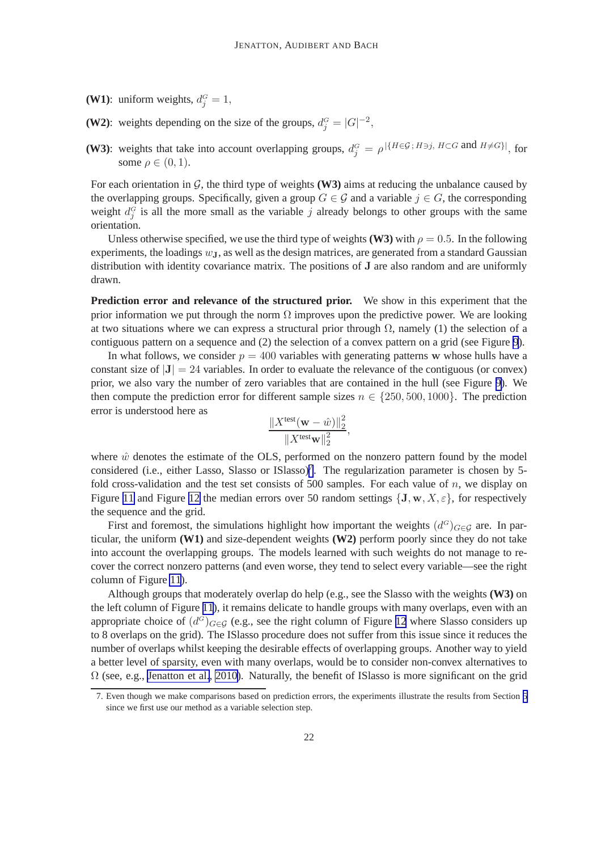**(W1)**: uniform weights,  $d_j^G = 1$ ,

- **(W2)**: weights depending on the size of the groups,  $d_j^G = |G|^{-2}$ ,
- **(W3)**: weights that take into account overlapping groups,  $d_j^G = \rho^{|\{H \in \mathcal{G} : H \ni j, H \subset G \text{ and } H \neq G\}|}$ , for some  $\rho \in (0,1)$ .

For each orientation in  $\mathcal{G}$ , the third type of weights **(W3)** aims at reducing the unbalance caused by the overlapping groups. Specifically, given a group  $G \in \mathcal{G}$  and a variable  $j \in G$ , the corresponding weight  $d_j^G$  is all the more small as the variable j already belongs to other groups with the same orientation.

Unless otherwise specified, we use the third type of weights **(W3)** with  $\rho = 0.5$ . In the following experiments, the loadings  $w_{\text{J}}$ , as well as the design matrices, are generated from a standard Gaussian distribution with identity covariance matrix. The positions of J are also random and are uniformly drawn.

**Prediction error and relevance of the structured prior.** We show in this experiment that the prior information we put through the norm  $\Omega$  improves upon the predictive power. We are looking at two situations where we can express a structural prior through  $\Omega$ , namely (1) the selection of a contiguous pattern on a sequence and (2) the selection of a convex pattern on a grid (see Figure [9](#page-23-0)).

In what follows, we consider  $p = 400$  variables with generating patterns w whose hulls have a constant size of  $|J| = 24$  variables. In order to evaluate the relevance of the contiguous (or convex) prior, we also vary the number of zero variables that are contained in the hull (see Figure [9](#page-23-0)). We then compute the prediction error for different sample sizes  $n \in \{250, 500, 1000\}$ . The prediction error is understood here as

$$
\frac{\|X^{\text{test}}(\mathbf{w} - \hat{w})\|_2^2}{\|X^{\text{test}}\mathbf{w}\|_2^2},
$$

where  $\hat{w}$  denotes the estimate of the OLS, performed on the nonzero pattern found by the model considered (i.e., either Lasso, Slasso or ISlasso)<sup>7</sup>. The regularization parameter is chosen by 5fold cross-validation and the test set consists of 500 samples. For each value of  $n$ , we display on Figure [11](#page-25-0) and Figure [12](#page-26-0) the median errors over 50 random settings  $\{J, w, X, \epsilon\}$ , for respectively the sequence and the grid.

First and foremost, the simulations highlight how important the weights  $(d<sup>G</sup>)<sub>G\in\mathcal{G}</sub>$  are. In particular, the uniform **(W1)** and size-dependent weights **(W2)** perform poorly since they do not take into account the overlapping groups. The models learned with such weights do not manage to recover the correct nonzero patterns (and even worse, they tend to select every variable—see the right column of Figure [11](#page-25-0)).

Although groups that moderately overlap do help (e.g., see the Slasso with the weights **(W3)** on the left column of Figure [11](#page-25-0)), it remains delicate to handle groups with many overlaps, even with an appropriate choice of  $(d^G)_{G \in \mathcal{G}}$  (e.g., see the right column of Figure [12](#page-26-0) where Slasso considers up to 8 overlaps on the grid). The ISlasso procedure does not suffer from this issue since it reduces the number of overlaps whilst keeping the desirable effects of overlapping groups. Another way to yield a better level of sparsity, even with many overlaps, would be to consider non-convex alternatives to  $\Omega$  (see, e.g., [Jenatton et al.](#page-45-0), [2010\)](#page-45-0). Naturally, the benefit of ISlasso is more significant on the grid

<sup>7.</sup> Even though we make comparisons based on prediction errors, the experiments illustrate the results from Section [5](#page-19-0) since we first use our method as a variable selection step.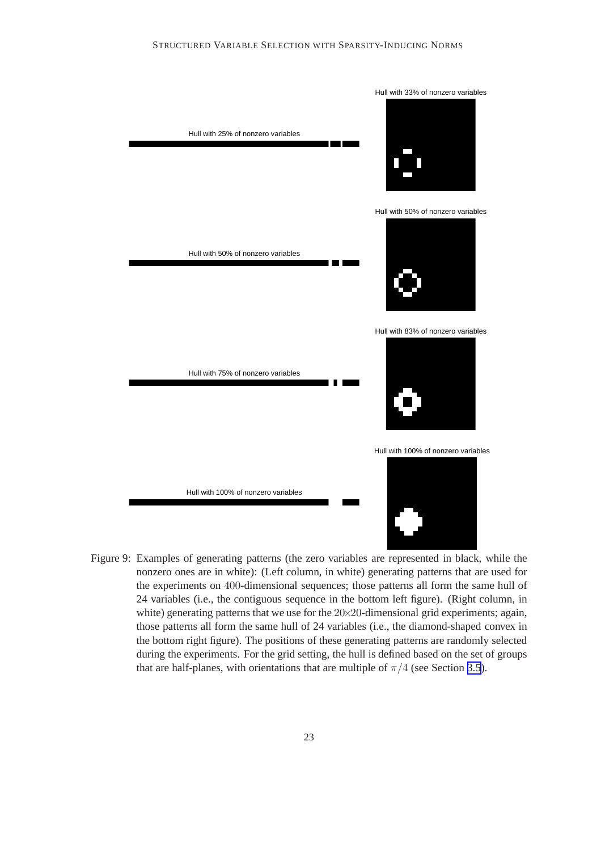<span id="page-23-0"></span>

Figure 9: Examples of generating patterns (the zero variables are represented in black, while the nonzero ones are in white): (Left column, in white) generating patterns that are used for the experiments on 400-dimensional sequences; those patterns all form the same hull of 24 variables (i.e., the contiguous sequence in the bottom left figure). (Right column, in white) generating patterns that we use for the 20×20-dimensional grid experiments; again, those patterns all form the same hull of 24 variables (i.e., the diamond-shaped convex in the bottom right figure). The positions of these generating patterns are randomly selected during the experiments. For the grid setting, the hull is defined based on the set of groups that are half-planes, with orientations that are multiple of  $\pi/4$  (see Section [3.5](#page-10-0)).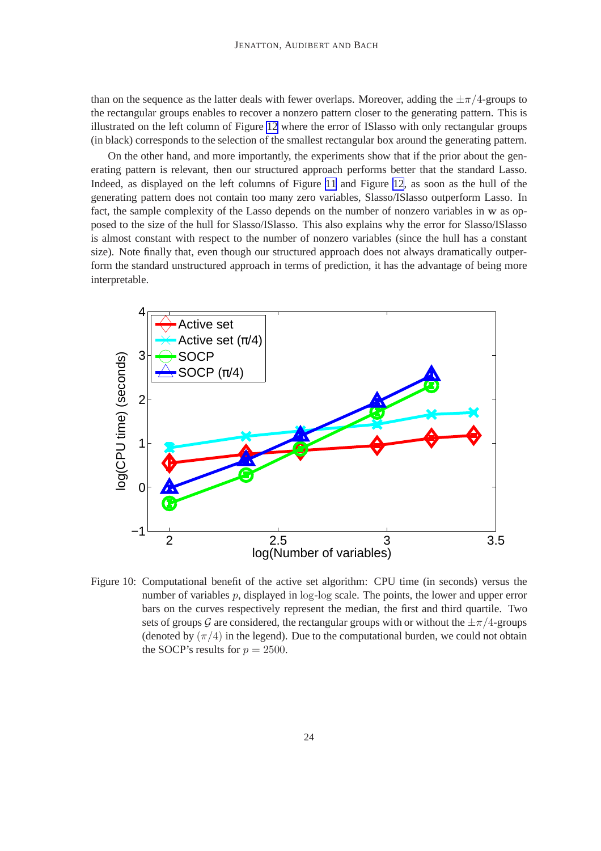<span id="page-24-0"></span>than on the sequence as the latter deals with fewer overlaps. Moreover, adding the  $\pm \pi/4$ -groups to the rectangular groups enables to recover a nonzero pattern closer to the generating pattern. This is illustrated on the left column of Figure [12](#page-26-0) where the error of ISlasso with only rectangular groups (in black) corresponds to the selection of the smallest rectangular box around the generating pattern.

On the other hand, and more importantly, the experiments show that if the prior about the generating pattern is relevant, then our structured approach performs better that the standard Lasso. Indeed, as displayed on the left columns of Figure [11](#page-25-0) and Figure [12,](#page-26-0) as soon as the hull of the generating pattern does not contain too many zero variables, Slasso/ISlasso outperform Lasso. In fact, the sample complexity of the Lasso depends on the number of nonzero variables in w as opposed to the size of the hull for Slasso/ISlasso. This also explains why the error for Slasso/ISlasso is almost constant with respect to the number of nonzero variables (since the hull has a constant size). Note finally that, even though our structured approach does not always dramatically outperform the standard unstructured approach in terms of prediction, it has the advantage of being more interpretable.



Figure 10: Computational benefit of the active set algorithm: CPU time (in seconds) versus the number of variables p, displayed in  $log-log$  scale. The points, the lower and upper error bars on the curves respectively represent the median, the first and third quartile. Two sets of groups G are considered, the rectangular groups with or without the  $\pm \pi/4$ -groups (denoted by  $(\pi/4)$  in the legend). Due to the computational burden, we could not obtain the SOCP's results for  $p = 2500$ .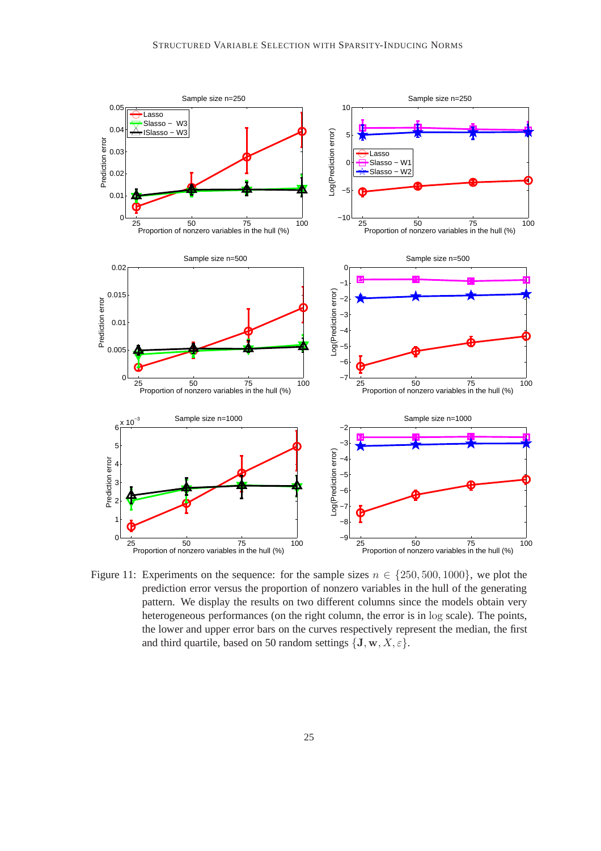<span id="page-25-0"></span>

Figure 11: Experiments on the sequence: for the sample sizes  $n \in \{250, 500, 1000\}$ , we plot the prediction error versus the proportion of nonzero variables in the hull of the generating pattern. We display the results on two different columns since the models obtain very heterogeneous performances (on the right column, the error is in log scale). The points, the lower and upper error bars on the curves respectively represent the median, the first and third quartile, based on 50 random settings  $\{J, w, X, \varepsilon\}.$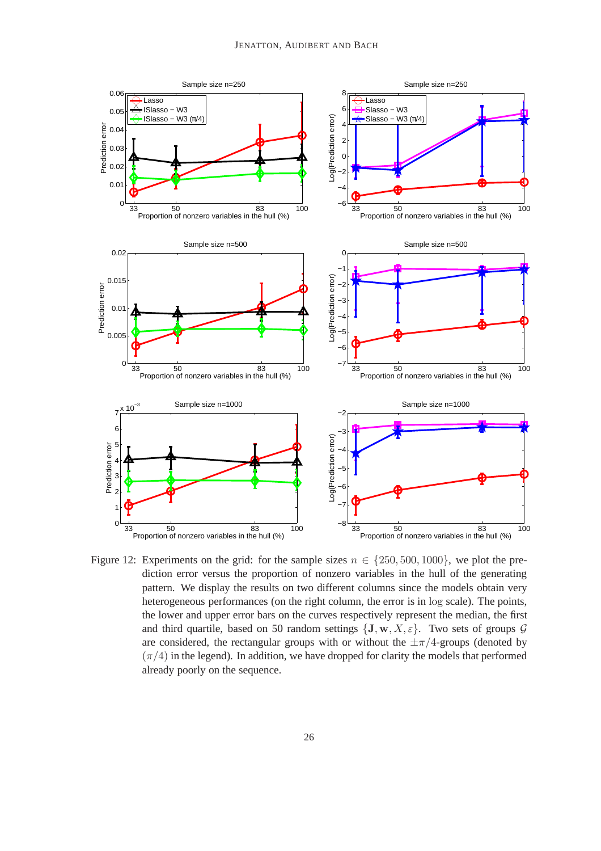<span id="page-26-0"></span>

Figure 12: Experiments on the grid: for the sample sizes  $n \in \{250, 500, 1000\}$ , we plot the prediction error versus the proportion of nonzero variables in the hull of the generating pattern. We display the results on two different columns since the models obtain very heterogeneous performances (on the right column, the error is in log scale). The points, the lower and upper error bars on the curves respectively represent the median, the first and third quartile, based on 50 random settings  $\{J, w, X, \varepsilon\}$ . Two sets of groups  $\mathcal G$ are considered, the rectangular groups with or without the  $\pm \pi/4$ -groups (denoted by  $(\pi/4)$  in the legend). In addition, we have dropped for clarity the models that performed already poorly on the sequence.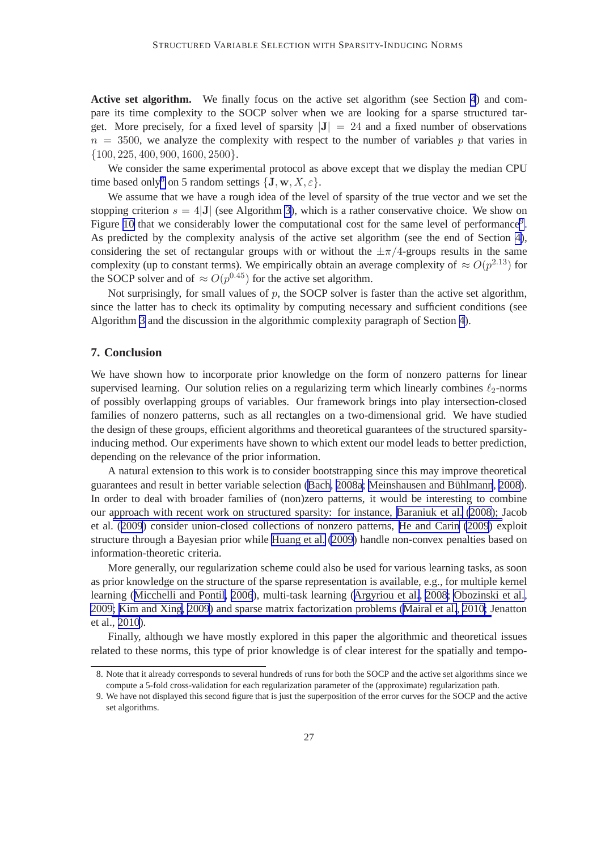Active set algorithm. We finally focus on the active set algorithm (see Section [4](#page-12-0)) and compare its time complexity to the SOCP solver when we are looking for a sparse structured target. More precisely, for a fixed level of sparsity  $|J| = 24$  and a fixed number of observations  $n = 3500$ , we analyze the complexity with respect to the number of variables p that varies in  $\{100, 225, 400, 900, 1600, 2500\}.$ 

We consider the same experimental protocol as above except that we display the median CPU time based only<sup>8</sup> on 5 random settings  $\{J, w, X, \varepsilon\}.$ 

We assume that we have a rough idea of the level of sparsity of the true vector and we set the stopping criterion  $s = 4|\mathbf{J}|$  (see Algorithm [3\)](#page-17-0), which is a rather conservative choice. We show on Figure [10](#page-24-0) that we considerably lower the computational cost for the same level of performance<sup>9</sup>. As predicted by the complexity analysis of the active set algorithm (see the end of Section [4\)](#page-12-0), considering the set of rectangular groups with or without the  $\pm \pi/4$ -groups results in the same complexity (up to constant terms). We empirically obtain an average complexity of  $\approx O(p^{2.13})$  for the SOCP solver and of  $\approx O(p^{0.45})$  for the active set algorithm.

Not surprisingly, for small values of  $p$ , the SOCP solver is faster than the active set algorithm, since the latter has to check its optimality by computing necessary and sufficient conditions (see Algorithm [3](#page-17-0) and the discussion in the algorithmic complexity paragraph of Section [4](#page-12-0)).

#### **7. Conclusion**

We have shown how to incorporate prior knowledge on the form of nonzero patterns for linear supervised learning. Our solution relies on a regularizing term which linearly combines  $\ell_2$ -norms of possibly overlapping groups of variables. Our framework brings into play intersection-closed families of nonzero patterns, such as all rectangles on a two-dimensional grid. We have studied the design of these groups, efficient algorithms and theoretical guarantees of the structured sparsityinducing method. Our experiments have shown to which extent our model leads to better prediction, depending on the relevance of the prior information.

A natural extension to this work is to consider bootstrapping since this may improve theoretical guarantees and result in better variable selection ([Bach](#page-44-0), [2008a;](#page-44-0) Meinshausen and Bühlmann, [2008](#page-45-0)). In order to deal with broader families of (non)zero patterns, it would be interesting to combine our approach with recent work on structured sparsity: for instance, [Baraniuk et al.](#page-44-0) [\(2008\)](#page-44-0); Jacob et al. ([2009](#page-45-0)) consider union-closed collections of nonzero patterns, [He and Carin](#page-45-0) [\(2009](#page-45-0)) exploit structure through a Bayesian prior while [Huang et al.](#page-45-0) [\(2009\)](#page-45-0) handle non-convex penalties based on information-theoretic criteria.

More generally, our regularization scheme could also be used for various learning tasks, as soon as prior knowledge on the structure of the sparse representation is available, e.g., for multiple kernel learning ([Micchelli and Pontil, 2006](#page-45-0)), multi-task learning ([Argyriou et al.](#page-44-0), [2008;](#page-44-0) [Obozinski et al.](#page-45-0), [2009; Kim and Xing](#page-45-0), [2009](#page-45-0)) and sparse matrix factorization problems [\(Mairal et al.](#page-45-0), [2010;](#page-45-0) Jenatton et al., [2010](#page-45-0)).

Finally, although we have mostly explored in this paper the algorithmic and theoretical issues related to these norms, this type of prior knowledge is of clear interest for the spatially and tempo-

<sup>8.</sup> Note that it already corresponds to several hundreds of runs for both the SOCP and the active set algorithms since we compute a 5-fold cross-validation for each regularization parameter of the (approximate) regularization path.

<sup>9.</sup> We have not displayed this second figure that is just the superposition of the error curves for the SOCP and the active set algorithms.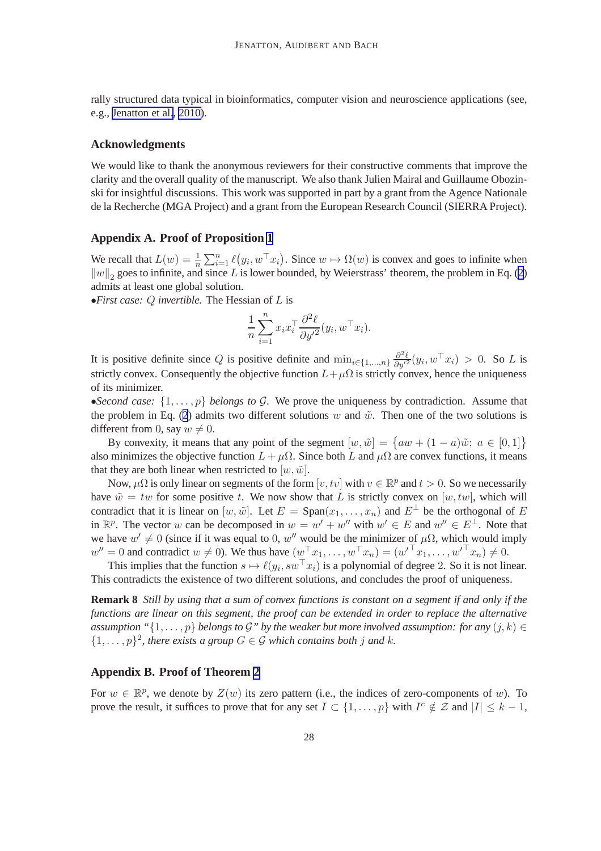<span id="page-28-0"></span>rally structured data typical in bioinformatics, computer vision and neuroscience applications (see, e.g., [Jenatton et al.](#page-45-0), [2010\)](#page-45-0).

#### **Acknowledgments**

We would like to thank the anonymous reviewers for their constructive comments that improve the clarity and the overall quality of the manuscript. We also thank Julien Mairal and Guillaume Obozinski for insightful discussions. This work was supported in part by a grant from the Agence Nationale de la Recherche (MGA Project) and a grant from the European Research Council (SIERRA Project).

#### **Appendix A. Proof of Proposition [1](#page-5-0)**

We recall that  $L(w) = \frac{1}{n} \sum_{i=1}^{n} \ell(y_i, w^\top x_i)$ . Since  $w \mapsto \Omega(w)$  is convex and goes to infinite when  $||w||_2$  $||w||_2$  goes to infinite, and since L is lower bounded, by Weierstrass' theorem, the problem in Eq. (2) admits at least one global solution.

•*First case:* Q *invertible.* The Hessian of L is

$$
\frac{1}{n} \sum_{i=1}^n x_i x_i^\top \frac{\partial^2 \ell}{\partial y'^2} (y_i, w^\top x_i).
$$

It is positive definite since Q is positive definite and  $\min_{i \in \{1,\dots,n\}} \frac{\partial^2 \ell}{\partial y'^2} (y_i, w^\top x_i) > 0$ . So L is strictly convex. Consequently the objective function  $L+\mu\Omega$  is strictly convex, hence the uniqueness of its minimizer.

•*Second case:*  $\{1, \ldots, p\}$  *belongs to G.* We prove the uniqueness by contradiction. Assume that the problem in Eq. ([2](#page-4-0)) admits two different solutions w and  $\tilde{w}$ . Then one of the two solutions is different from 0, say  $w \neq 0$ .

By convexity, it means that any point of the segment  $[w, \tilde{w}] = \{aw + (1 - a)\tilde{w}; a \in [0, 1]\}$ also minimizes the objective function  $L + \mu\Omega$ . Since both L and  $\mu\Omega$  are convex functions, it means that they are both linear when restricted to  $[w, \tilde{w}]$ .

Now,  $\mu\Omega$  is only linear on segments of the form  $[v, tv]$  with  $v \in \mathbb{R}^p$  and  $t > 0$ . So we necessarily have  $\tilde{w} = tw$  for some positive t. We now show that L is strictly convex on  $[w, tw]$ , which will contradict that it is linear on  $[w, \tilde{w}]$ . Let  $E = \text{Span}(x_1, \ldots, x_n)$  and  $E^{\perp}$  be the orthogonal of E in  $\mathbb{R}^p$ . The vector w can be decomposed in  $w = w' + w''$  with  $w' \in E$  and  $w'' \in E^{\perp}$ . Note that we have  $w' \neq 0$  (since if it was equal to 0, w'' would be the minimizer of  $\mu\Omega$ , which would imply  $w'' = 0$  and contradict  $w \neq 0$ ). We thus have  $(w^{\top} x_1, \dots, w^{\top} x_n) = (w'^{\top} x_1, \dots, w'^{\top} x_n) \neq 0$ .

This implies that the function  $s \mapsto \ell(y_i, sw^\top x_i)$  is a polynomial of degree 2. So it is not linear. This contradicts the existence of two different solutions, and concludes the proof of uniqueness.

**Remark 8** *Still by using that a sum of convex functions is constant on a segment if and only if the functions are linear on this segment, the proof can be extended in order to replace the alternative* assumption " $\{1,\ldots,p\}$  *belongs to* G<sup>"</sup> by the weaker but more involved assumption: for any  $(j,k)$  ∈  $\{1, \ldots, p\}^2$ , there exists a group  $G \in \mathcal{G}$  which contains both j and k.

#### **Appendix B. Proof of Theorem [2](#page-6-0)**

For  $w \in \mathbb{R}^p$ , we denote by  $Z(w)$  its zero pattern (i.e., the indices of zero-components of w). To prove the result, it suffices to prove that for any set  $I \subset \{1, \ldots, p\}$  with  $I^c \notin \mathcal{Z}$  and  $|I| \leq k - 1$ ,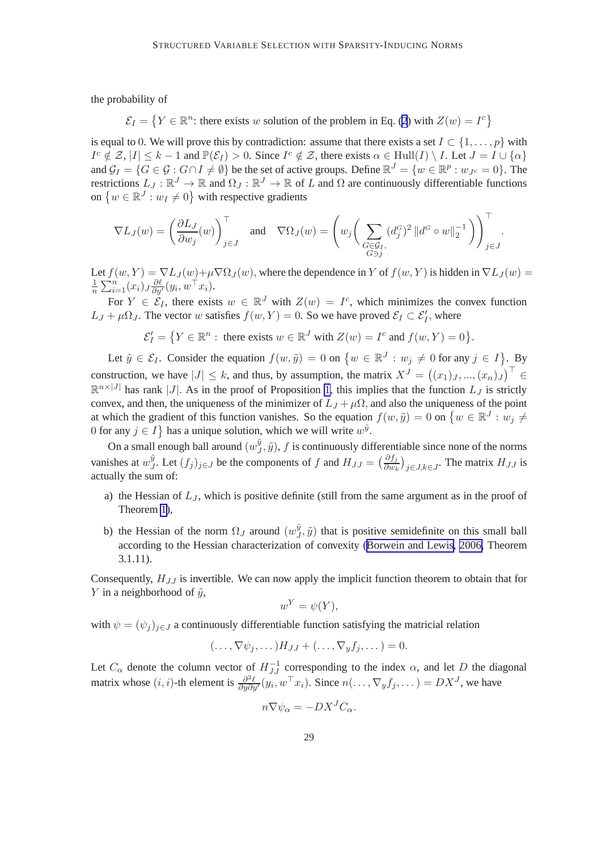the probability of

 $\mathcal{E}_I = \{ Y \in \mathbb{R}^n : \text{ there exists } w \text{ solution of the problem in Eq. (2) with } Z(w) = I^c \}$  $\mathcal{E}_I = \{ Y \in \mathbb{R}^n : \text{ there exists } w \text{ solution of the problem in Eq. (2) with } Z(w) = I^c \}$  $\mathcal{E}_I = \{ Y \in \mathbb{R}^n : \text{ there exists } w \text{ solution of the problem in Eq. (2) with } Z(w) = I^c \}$ 

is equal to 0. We will prove this by contradiction: assume that there exists a set  $I \subset \{1, \ldots, p\}$  with  $I^c \notin \mathcal{Z}, |I| \leq k - 1$  and  $\mathbb{P}(\mathcal{E}_I) > 0$ . Since  $I^c \notin \mathcal{Z}$ , there exists  $\alpha \in \text{Hull}(I) \setminus I$ . Let  $J = I \cup \{\alpha\}$ and  $\mathcal{G}_I = \{ G \in \mathcal{G} : G \cap I \neq \emptyset \}$  be the set of active groups. Define  $\mathbb{R}^J = \{ w \in \mathbb{R}^p : w_{J^c} = 0 \}$ . The restrictions  $L_J : \mathbb{R}^J \to \mathbb{R}$  and  $\Omega_J : \mathbb{R}^J \to \mathbb{R}$  of L and  $\Omega$  are continuously differentiable functions on  $\{w \in \mathbb{R}^J : w_I \neq 0\}$  with respective gradients

$$
\nabla L_J(w) = \left(\frac{\partial L_J}{\partial w_j}(w)\right)_{j\in J}^{\top} \quad \text{and} \quad \nabla \Omega_J(w) = \left(w_j\bigg(\sum_{\substack{G\in \mathcal{G}_I,\\G\ni j}} (d_j^G)^2\left\|d^G\circ w\right\|_2^{-1}\bigg)\right)_{j\in J}^{\top}.
$$

Let  $f(w, Y) = \nabla L_J(w) + \mu \nabla \Omega_J(w)$ , where the dependence in Y of  $f(w, Y)$  is hidden in  $\nabla L_J(w)$ 1  $\frac{1}{n} \sum_{i=1}^{n} (x_i) J \frac{\partial \ell}{\partial y'}(y_i, w^\top x_i).$ 

For  $Y \in \mathcal{E}_I$ , there exists  $w \in \mathbb{R}^J$  with  $Z(w) = I^c$ , which minimizes the convex function  $L_J + \mu \Omega_J$ . The vector w satisfies  $f(w, Y) = 0$ . So we have proved  $\mathcal{E}_I \subset \mathcal{E}'_I$ , where

$$
\mathcal{E}'_I = \left\{ Y \in \mathbb{R}^n : \text{ there exists } w \in \mathbb{R}^J \text{ with } Z(w) = I^c \text{ and } f(w, Y) = 0 \right\}.
$$

Let  $\tilde{y} \in \mathcal{E}_I$ . Consider the equation  $f(w, \tilde{y}) = 0$  on  $\{w \in \mathbb{R}^J : w_j \neq 0 \text{ for any } j \in I\}$ . By construction, we have  $|J| \leq k$ , and thus, by assumption, the matrix  $X^J = ((x_1)_J, ..., (x_n)_J)^T \in$  $\mathbb{R}^{n\times |J|}$  has rank |J|. As in the proof of Proposition [1,](#page-5-0) this implies that the function  $L_J$  is strictly convex, and then, the uniqueness of the minimizer of  $L_J + \mu\Omega$ , and also the uniqueness of the point at which the gradient of this function vanishes. So the equation  $f(w, \tilde{y}) = 0$  on  $\{w \in \mathbb{R}^J : w_j \neq \emptyset\}$ 0 for any  $j \in I$  has a unique solution, which we will write  $w^{\tilde{y}}$ .

On a small enough ball around  $(w_J^{\tilde y})$  $J^y$ ,  $\tilde{y}$ ), f is continuously differentiable since none of the norms vanishes at  $w_J^{\tilde{y}}$  $\tilde{y}$ . Let  $(f_j)_{j \in J}$  be the components of f and  $H_{JJ} = \left(\frac{\partial f_j}{\partial w_k}\right)_{j \in J, k \in J}$ . The matrix  $H_{JJ}$  is actually the sum of:

- a) the Hessian of  $L_J$ , which is positive definite (still from the same argument as in the proof of Theorem [1\)](#page-5-0),
- b) the Hessian of the norm  $\Omega_J$  around  $(w_J^{\tilde{y}})$  $J^y$ ,  $\tilde{y}$ ) that is positive semidefinite on this small ball according to the Hessian characterization of convexity [\(Borwein and Lewis](#page-44-0), [2006,](#page-44-0) Theorem 3.1.11).

Consequently,  $H_{JJ}$  is invertible. We can now apply the implicit function theorem to obtain that for Y in a neighborhood of  $\tilde{v}$ ,

$$
w^Y = \psi(Y),
$$

with  $\psi = (\psi_i)_{i \in J}$  a continuously differentiable function satisfying the matricial relation

$$
(\ldots, \nabla \psi_j, \ldots) H_{JJ} + (\ldots, \nabla_y f_j, \ldots) = 0.
$$

Let  $C_{\alpha}$  denote the column vector of  $H_{JJ}^{-1}$  corresponding to the index  $\alpha$ , and let D the diagonal matrix whose  $(i, i)$ -th element is  $\frac{\partial^2 \ell}{\partial y \partial y'}(y_i, w^\top x_i)$ . Since  $n(\ldots, \nabla_y f_j, \ldots) = DX^J$ , we have

$$
n\nabla\psi_{\alpha} = -DX^{J}C_{\alpha}.
$$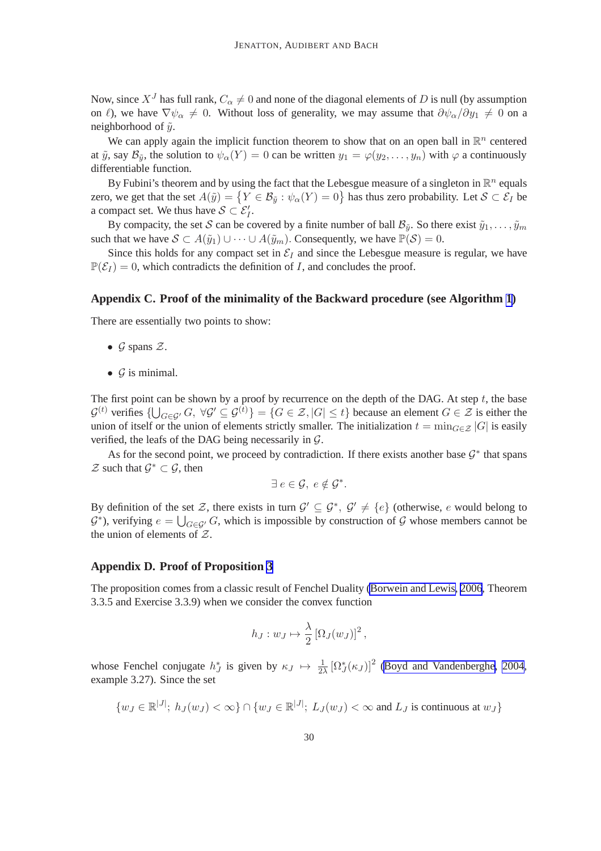<span id="page-30-0"></span>Now, since  $X<sup>J</sup>$  has full rank,  $C_{\alpha} \neq 0$  and none of the diagonal elements of D is null (by assumption on  $\ell$ ), we have  $\nabla \psi_{\alpha} \neq 0$ . Without loss of generality, we may assume that  $\partial \psi_{\alpha}/\partial y_1 \neq 0$  on a neighborhood of  $\tilde{y}$ .

We can apply again the implicit function theorem to show that on an open ball in  $\mathbb{R}^n$  centered at  $\tilde{y}$ , say  $\mathcal{B}_{\tilde{y}}$ , the solution to  $\psi_{\alpha}(Y) = 0$  can be written  $y_1 = \varphi(y_2, \ldots, y_n)$  with  $\varphi$  a continuously differentiable function.

By Fubini's theorem and by using the fact that the Lebesgue measure of a singleton in  $\mathbb{R}^n$  equals zero, we get that the set  $A(\tilde{y}) = \{Y \in \mathcal{B}_{\tilde{y}} : \psi_{\alpha}(Y) = 0\}$  has thus zero probability. Let  $\mathcal{S} \subset \mathcal{E}_I$  be a compact set. We thus have  $S \subset \mathcal{E}'_I$ .

By compacity, the set S can be covered by a finite number of ball  $\mathcal{B}_{\tilde{y}}$ . So there exist  $\tilde{y}_1, \ldots, \tilde{y}_m$ such that we have  $S \subset A(\tilde{y}_1) \cup \cdots \cup A(\tilde{y}_m)$ . Consequently, we have  $\mathbb{P}(\mathcal{S}) = 0$ .

Since this holds for any compact set in  $\mathcal{E}_I$  and since the Lebesgue measure is regular, we have  $\mathbb{P}(\mathcal{E}_I) = 0$ , which contradicts the definition of I, and concludes the proof.

#### **Appendix C. Proof of the minimality of the Backward procedure (see Algorithm [1](#page-9-0))**

There are essentially two points to show:

- $\mathcal G$  spans  $\mathcal Z$ .
- $\bullet$  G is minimal.

The first point can be shown by a proof by recurrence on the depth of the DAG. At step  $t$ , the base  $\mathcal{G}^{(t)}$  verifies  $\{\bigcup_{G\in\mathcal{G}'} G, \ \forall \mathcal{G}' \subseteq \mathcal{G}^{(t)}\} = \{G \in \mathcal{Z}, |G| \leq t\}$  because an element  $G \in \mathcal{Z}$  is either the union of itself or the union of elements strictly smaller. The initialization  $t = \min_{G \in \mathcal{Z}} |G|$  is easily verified, the leafs of the DAG being necessarily in  $G$ .

As for the second point, we proceed by contradiction. If there exists another base  $\mathcal{G}^*$  that spans  $\mathcal Z$  such that  $\mathcal G^* \subset \mathcal G$ , then

$$
\exists e \in \mathcal{G}, e \notin \mathcal{G}^*.
$$

By definition of the set Z, there exists in turn  $\mathcal{G}' \subseteq \mathcal{G}^*, \mathcal{G}' \neq \{e\}$  (otherwise, e would belong to  $G^*$ ), verifying  $e = \bigcup_{G \in \mathcal{G}'} G$ , which is impossible by construction of  $\mathcal G$  whose members cannot be the union of elements of  $Z$ .

#### **Appendix D. Proof of Proposition [3](#page-13-0)**

The proposition comes from a classic result of Fenchel Duality [\(Borwein and Lewis, 2006](#page-44-0), Theorem 3.3.5 and Exercise 3.3.9) when we consider the convex function

$$
h_J: w_J \mapsto \frac{\lambda}{2} \left[ \Omega_J(w_J) \right]^2,
$$

whose Fenchel conjugate  $h_J^*$  is given by  $\kappa_J \mapsto \frac{1}{2\lambda} [\Omega_J^*(\kappa_J)]^2$  [\(Boyd and Vandenberghe, 2004](#page-44-0), example 3.27). Since the set

$$
\{w_J \in \mathbb{R}^{|J|}; h_J(w_J) < \infty\} \cap \{w_J \in \mathbb{R}^{|J|}; L_J(w_J) < \infty \text{ and } L_J \text{ is continuous at } w_J\}
$$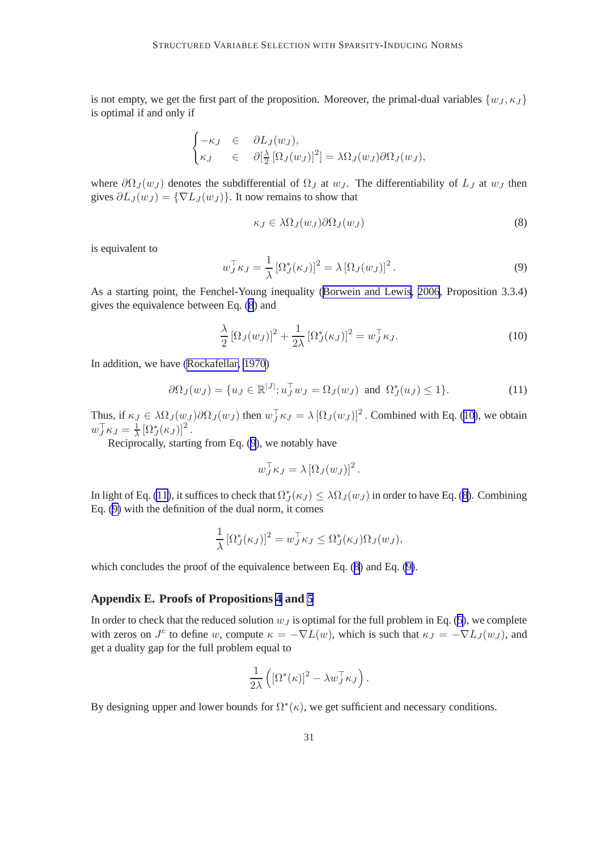<span id="page-31-0"></span>is not empty, we get the first part of the proposition. Moreover, the primal-dual variables  $\{w_J, \kappa_J\}$ is optimal if and only if

$$
\begin{cases}\n-\kappa_J & \in & \partial L_J(w_J), \\
\kappa_J & \in & \partial[\frac{\lambda}{2} \left[\Omega_J(w_J)\right]^2] = \lambda \Omega_J(w_J) \partial \Omega_J(w_J),\n\end{cases}
$$

where  $\partial \Omega_J(w_J)$  denotes the subdifferential of  $\Omega_J$  at w<sub>J</sub>. The differentiability of L<sub>J</sub> at w<sub>J</sub> then gives  $\partial L_J(w_J) = \{\nabla L_J(w_J)\}\.$  It now remains to show that

$$
\kappa_J \in \lambda \Omega_J(w_J) \partial \Omega_J(w_J) \tag{8}
$$

is equivalent to

$$
w_J^{\top} \kappa_J = \frac{1}{\lambda} \left[ \Omega_J^* (\kappa_J) \right]^2 = \lambda \left[ \Omega_J (w_J) \right]^2. \tag{9}
$$

As a starting point, the Fenchel-Young inequality (Borwein [and Lewis](#page-44-0), [2006](#page-44-0), Proposition 3.3.4) gives the equivalence between Eq. (8) and

$$
\frac{\lambda}{2} \left[ \Omega_J(w_J) \right]^2 + \frac{1}{2\lambda} \left[ \Omega_J^*(\kappa_J) \right]^2 = w_J^\top \kappa_J. \tag{10}
$$

In addition, we have [\(Rockafellar, 1970](#page-45-0))

$$
\partial \Omega_J(w_J) = \{ u_J \in \mathbb{R}^{|J|}; u_J^\top w_J = \Omega_J(w_J) \text{ and } \Omega_J^*(u_J) \le 1 \}. \tag{11}
$$

Thus, if  $\kappa_J \in \lambda \Omega_J(w_J) \partial \Omega_J(w_J)$  then  $w_J^{\top} \kappa_J = \lambda [\Omega_J(w_J)]^2$ . Combined with Eq. (10), we obtain  $w_J^{\top} \kappa_J = \frac{1}{\lambda}$  $\frac{1}{\lambda} \left[ \Omega_J^*(\kappa_J) \right]^2$ .

Reciprocally, starting from Eq. (9), we notably have

$$
w_J^{\top} \kappa_J = \lambda \left[ \Omega_J(w_J) \right]^2.
$$

In light of Eq. (11), it suffices to check that  $\Omega_J^*(\kappa_J) \leq \lambda \Omega_J(w_J)$  in order to have Eq. (8). Combining Eq. (9) with the definition of the dual norm, it comes

$$
\frac{1}{\lambda} \left[ \Omega_J^*(\kappa_J) \right]^2 = w_J^\top \kappa_J \leq \Omega_J^*(\kappa_J) \Omega_J(w_J),
$$

which concludes the proof of the equivalence between Eq. (8) and Eq. (9).

#### **Appendix E. Proofs of Propositions [4](#page-16-0) and [5](#page-16-0)**

In order to check that the reduced solution  $w_j$  is optimal for the full problem in Eq. ([5](#page-13-0)), we complete with zeros on  $J^c$  to define w, compute  $\kappa = -\nabla L(w)$ , which is such that  $\kappa J = -\nabla L_J(w_J)$ , and get a duality gap for the full problem equal to

$$
\frac{1}{2\lambda} \left( \left[ \Omega^*(\kappa) \right]^2 - \lambda w_J^\top \kappa_J \right).
$$

By designing upper and lower bounds for  $\Omega^*(\kappa)$ , we get sufficient and necessary conditions.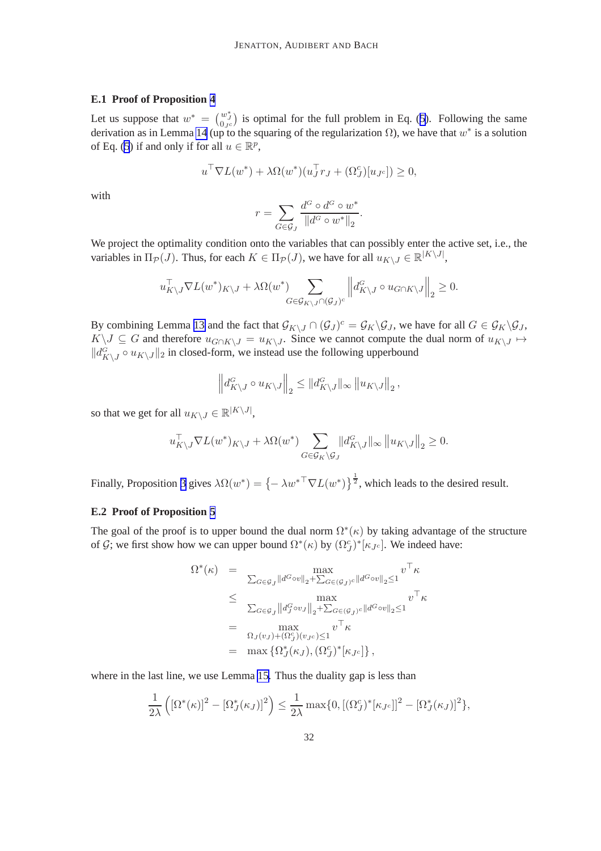#### **E.1 Proof of Proposition [4](#page-16-0)**

Let us suppose that  $w^* = \begin{pmatrix} w^* \\ 0_{Jc} \end{pmatrix}$  is optimal for the full problem in Eq. ([5\)](#page-13-0). Following the same derivation as in Lemma [14](#page-42-0) (up to the squaring of the regularization  $\Omega$ ), we have that  $w^*$  is a solution of Eq. [\(5](#page-13-0)) if and only if for all  $u \in \mathbb{R}^p$ ,

$$
u^{\top} \nabla L(w^*) + \lambda \Omega(w^*)(u_J^{\top} r_J + (\Omega_J^c)[u_{J^c}]) \ge 0,
$$

with

$$
r = \sum_{G \in \mathcal{G}_J} \frac{d^G \circ d^G \circ w^*}{\|d^G \circ w^*\|_2}.
$$

We project the optimality condition onto the variables that can possibly enter the active set, i.e., the variables in  $\Pi_{\mathcal{P}}(J)$ . Thus, for each  $K \in \Pi_{\mathcal{P}}(J)$ , we have for all  $u_{K \setminus J} \in \mathbb{R}^{|K \setminus J|}$ ,

$$
u_{K\backslash J}^{\top} \nabla L(w^*)_{K\backslash J} + \lambda \Omega(w^*) \sum_{G \in \mathcal{G}_{K\backslash J} \cap (\mathcal{G}_J)^c} \left\| d_{K\backslash J}^G \circ u_{G \cap K\backslash J} \right\|_2 \geq 0.
$$

By combining Lemma [13](#page-42-0) and the fact that  $\mathcal{G}_{K\setminus J} \cap (\mathcal{G}_J)^c = \mathcal{G}_K \setminus \mathcal{G}_J$ , we have for all  $G \in \mathcal{G}_K \setminus \mathcal{G}_J$ ,  $K\setminus J\subseteq G$  and therefore  $u_{G\cap K\setminus J}=u_{K\setminus J}$ . Since we cannot compute the dual norm of  $u_{K\setminus J}\mapsto$  $||d_{K\setminus J}^{G} \circ u_{K\setminus J}||_2$  in closed-form, we instead use the following upperbound

$$
\left\| d_{K\setminus J}^G \circ u_{K\setminus J} \right\|_2 \leq \left\| d_{K\setminus J}^G \right\|_\infty \left\| u_{K\setminus J} \right\|_2,
$$

so that we get for all  $u_{K\setminus J} \in \mathbb{R}^{|K\setminus J|}$ ,

$$
u_{K\setminus J}^{\top} \nabla L(w^*)_{K\setminus J} + \lambda \Omega(w^*) \sum_{G \in \mathcal{G}_K \setminus \mathcal{G}_J} \left\| d_{K\setminus J}^G \right\|_{\infty} \left\| u_{K\setminus J} \right\|_2 \ge 0.
$$

Finally, Proposition [3](#page-13-0) gives  $\lambda \Omega(w^*) = \{-\lambda w^{*T} \nabla L(w^*)\}^{\frac{1}{2}}$ , which leads to the desired result.

#### **E.2 Proof of Proposition [5](#page-16-0)**

The goal of the proof is to upper bound the dual norm  $\Omega^*(\kappa)$  by taking advantage of the structure of  $\mathcal{G}$ ; we first show how we can upper bound  $\Omega^*(\kappa)$  by  $(\Omega_{\mathcal{J}}^c)^*[\kappa_{\mathcal{J}^c}]$ . We indeed have:

$$
\Omega^*(\kappa) = \max_{\sum_{G \in \mathcal{G}_J} ||d^G \circ v||_2 + \sum_{G \in (\mathcal{G}_J)^c} ||d^G \circ v||_2 \le 1} v^{\top} \kappa
$$
  
\n
$$
\leq \max_{\sum_{G \in \mathcal{G}_J} ||d^G_J \circ v_J||_2 + \sum_{G \in (\mathcal{G}_J)^c} ||d^G \circ v||_2 \le 1} v^{\top} \kappa
$$
  
\n
$$
= \max_{\Omega_J(v_J) + (\Omega^c_J)(v_{J^c}) \le 1} v^{\top} \kappa
$$
  
\n
$$
= \max \{ \Omega^*_J(\kappa_J), (\Omega^c_J)^* [\kappa_{J^c}] \},
$$

where in the last line, we use Lemma [15.](#page-43-0) Thus the duality gap is less than

$$
\frac{1}{2\lambda}\left(\left[\Omega^*(\kappa)\right]^2-\left[\Omega^*_J(\kappa_J)\right]^2\right)\leq \frac{1}{2\lambda}\max\{0,\left[\left(\Omega_J^c\right)^*\left[\kappa_{J^c}\right]\right]^2-\left[\Omega_J^*(\kappa_J)\right]^2\},\
$$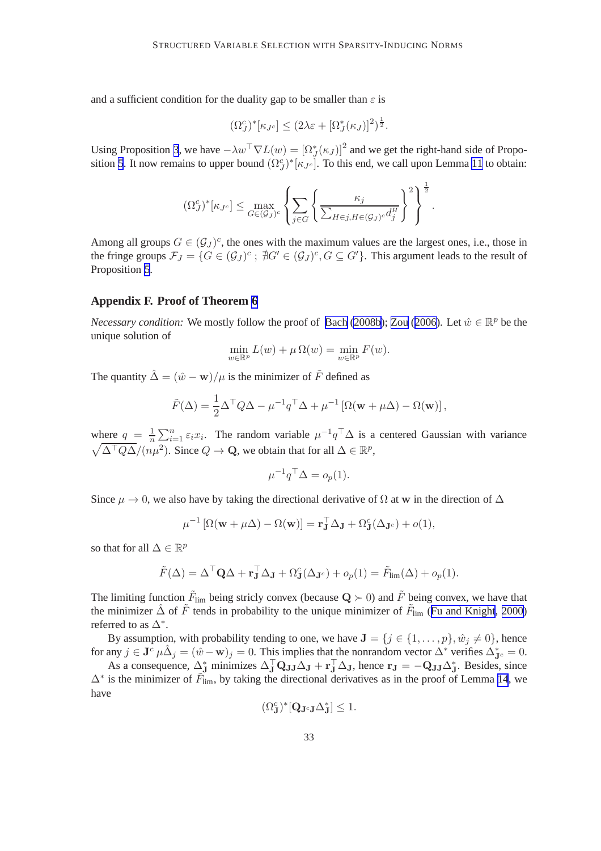<span id="page-33-0"></span>and a sufficient condition for the duality gap to be smaller than  $\varepsilon$  is

$$
(\Omega_J^c)^* [\kappa_{J^c}] \leq (2\lambda \varepsilon + [\Omega_J^*(\kappa_J)]^2)^{\frac{1}{2}}.
$$

Using Proposition [3](#page-13-0), we have  $-\lambda w^{\top} \nabla L(w) = [\Omega_{J}^{*}(\kappa_{J})]^{2}$  and we get the right-hand side of Propo-sition [5](#page-16-0). It now remains to upper bound  $(\Omega_J^c)^*[\kappa_{J^c}]$ . To this end, we call upon Lemma [11](#page-41-0) to obtain:

$$
(\Omega_J^c)^*[\kappa_{J^c}] \le \max_{G \in (\mathcal{G}_J)^c} \left\{ \sum_{j \in G} \left\{ \frac{\kappa_j}{\sum_{H \in j, H \in (\mathcal{G}_J)^c} d_j^H} \right\}^2 \right\}^{\frac{1}{2}}.
$$

Among all groups  $G \in (\mathcal{G}_J)^c$ , the ones with the maximum values are the largest ones, i.e., those in the fringe groups  $\mathcal{F}_J = \{G \in (\mathcal{G}_J)^c : \, \nexists G' \in (\mathcal{G}_J)^c, G \subseteq G'\}$ . This argument leads to the result of Proposition [5](#page-16-0).

#### **Appendix F. Proof of Theorem [6](#page-20-0)**

*Necessary condition:* We mostly follow the proof of [Bach](#page-44-0) [\(2008b](#page-44-0)); [Zou](#page-46-0) ([2006](#page-46-0)). Let  $\hat{w} \in \mathbb{R}^p$  be the unique solution of

$$
\min_{w \in \mathbb{R}^p} L(w) + \mu \Omega(w) = \min_{w \in \mathbb{R}^p} F(w).
$$

The quantity  $\hat{\Delta} = (\hat{w} - \mathbf{w})/\mu$  is the minimizer of  $\tilde{F}$  defined as

$$
\tilde{F}(\Delta) = \frac{1}{2} \Delta^{\top} Q \Delta - \mu^{-1} q^{\top} \Delta + \mu^{-1} [\Omega(\mathbf{w} + \mu \Delta) - \Omega(\mathbf{w})],
$$

where  $q = \frac{1}{n}$  $\frac{1}{n} \sum_{i=1}^{n} \varepsilon_i x_i$ . The random variable  $\mu^{-1} q^\top \Delta$  is a centered Gaussian with variance  $\sqrt{\Delta^{\top} Q \Delta} / (n \mu^2)$ . Since  $Q \to \mathbf{Q}$ , we obtain that for all  $\Delta \in \mathbb{R}^p$ ,

$$
\mu^{-1} q^{\top} \Delta = o_p(1).
$$

Since  $\mu \to 0$ , we also have by taking the directional derivative of  $\Omega$  at w in the direction of  $\Delta$ 

$$
\mu^{-1} [\Omega(\mathbf{w} + \mu \Delta) - \Omega(\mathbf{w})] = \mathbf{r}_{\mathbf{J}}^{\top} \Delta_{\mathbf{J}} + \Omega_{\mathbf{J}}^{c} (\Delta_{\mathbf{J}^{c}}) + o(1),
$$

so that for all  $\Delta \in \mathbb{R}^p$ 

$$
\tilde{F}(\Delta) = \Delta^{\top} \mathbf{Q} \Delta + \mathbf{r}_{\mathbf{J}}^{\top} \Delta_{\mathbf{J}} + \Omega_{\mathbf{J}}^{c}(\Delta_{\mathbf{J}^{c}}) + o_{p}(1) = \tilde{F}_{\text{lim}}(\Delta) + o_{p}(1).
$$

The limiting function  $\tilde{F}_{\text{lim}}$  being stricly convex (because  $\mathbf{Q} \succ 0$ ) and  $\tilde{F}$  being convex, we have that the minimizer  $\hat{\Delta}$  of  $\tilde{F}$  tends in probability to the unique minimizer of  $\tilde{F}_{\text{lim}}$  ([Fu and Knight](#page-44-0), [2000](#page-44-0)) referred to as  $\Delta^*$ .

By assumption, with probability tending to one, we have  $J = \{j \in \{1, ..., p\}, \hat{w}_j \neq 0\}$ , hence for any  $j \in \mathbf{J}^c$   $\mu \hat{\Delta}_j = (\hat{w} - \mathbf{w})_j = 0$ . This implies that the nonrandom vector  $\Delta^*$  verifies  $\Delta_{\mathbf{J}^c}^* = 0$ .

As a consequence,  $\Delta_J^*$  minimizes  $\Delta_J^{\top} Q_{JJ} \Delta_J + r_J^{\top} \Delta_J$ , hence  $r_J = -Q_{JJ} \Delta_J^*$ . Besides, since  $\Delta^*$  is the minimizer of  $\tilde{F}_{\text{lim}}$ , by taking the directional derivatives as in the proof of Lemma [14](#page-42-0), we have

$$
(\Omega^c_{\mathbf{J}})^*[\mathbf{Q}_{\mathbf{J}^c\mathbf{J}}\Delta^*_{\mathbf{J}}] \leq 1.
$$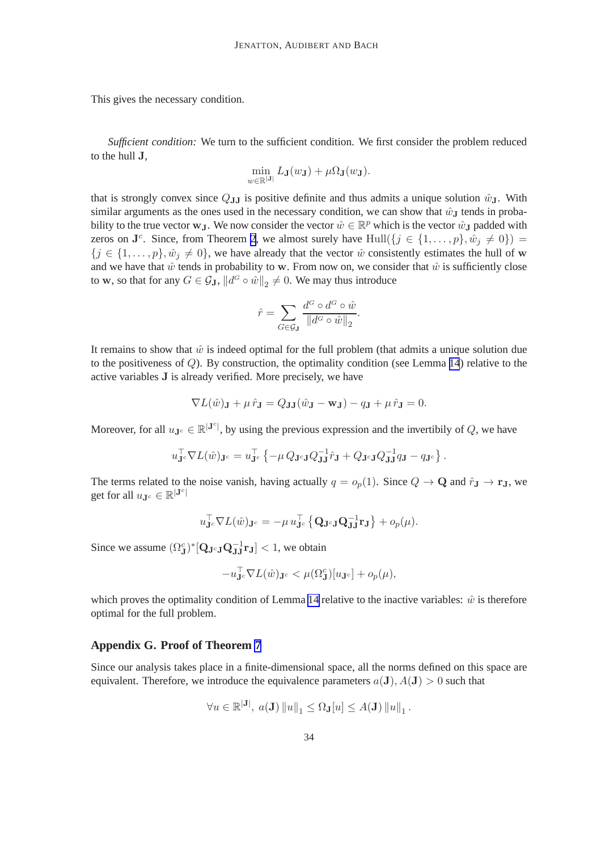<span id="page-34-0"></span>This gives the necessary condition.

*Sufficient condition:* We turn to the sufficient condition. We first consider the problem reduced to the hull J,

$$
\min_{w \in \mathbb{R}^{|\mathbf{J}|}} L_{\mathbf{J}}(w_{\mathbf{J}}) + \mu \Omega_{\mathbf{J}}(w_{\mathbf{J}}).
$$

that is strongly convex since  $Q_{JJ}$  is positive definite and thus admits a unique solution  $\hat{w}_J$ . With similar arguments as the ones used in the necessary condition, we can show that  $\hat{w}_{J}$  tends in probability to the true vector  $w_J$ . We now consider the vector  $\hat{w} \in \mathbb{R}^p$  which is the vector  $\hat{w}_J$  padded with zeros on  $\mathbf{J}^c$ . Since, from Theorem [2](#page-6-0), we almost surely have  $\text{Hull}(\{j \in \{1, ..., p\}, \hat{w}_j \neq 0\}) =$  ${j \in \{1, \ldots, p\}, \hat{w}_j \neq 0\}$ , we have already that the vector  $\hat{w}$  consistently estimates the hull of w and we have that  $\hat{w}$  tends in probability to w. From now on, we consider that  $\hat{w}$  is sufficiently close to **w**, so that for any  $G \in \mathcal{G}_{J}$ ,  $||d^{G} \circ \hat{w}||_{2} \neq 0$ . We may thus introduce

$$
\hat{r} = \sum_{G \in \mathcal{G}_{\mathbf{J}}} \frac{d^G \circ d^G \circ \hat{w}}{\|d^G \circ \hat{w}\|_2}.
$$

It remains to show that  $\hat{w}$  is indeed optimal for the full problem (that admits a unique solution due to the positiveness of Q). By construction, the optimality condition (see Lemma [14](#page-42-0)) relative to the active variables J is already verified. More precisely, we have

$$
\nabla L(\hat{w})\mathbf{J} + \mu \,\hat{r}\mathbf{J} = Q\mathbf{J}\mathbf{J}(\hat{w}\mathbf{J} - \mathbf{w}\mathbf{J}) - q\mathbf{J} + \mu \,\hat{r}\mathbf{J} = 0.
$$

Moreover, for all  $u_{\mathbf{J}^c} \in \mathbb{R}^{|\mathbf{J}^c|}$ , by using the previous expression and the invertibily of Q, we have

$$
u_{\mathbf{J}^c}^\top \nabla L(\hat{w})_{\mathbf{J}^c} = u_{\mathbf{J}^c}^\top \left\{ -\mu \, Q_{\mathbf{J}^c \mathbf{J}} Q_{\mathbf{J} \mathbf{J}}^{-1} \hat{r}_{\mathbf{J}} + Q_{\mathbf{J}^c \mathbf{J}} Q_{\mathbf{J} \mathbf{J}}^{-1} q_{\mathbf{J}} - q_{\mathbf{J}^c} \right\}.
$$

The terms related to the noise vanish, having actually  $q = o_p(1)$ . Since  $Q \to \mathbf{Q}$  and  $\hat{r}_J \to \mathbf{r}_J$ , we get for all  $u_{\mathbf{J}^c} \in \mathbb{R}^{|\mathbf{J}^c|}$ 

$$
u_{\mathbf{J}^c}^\top \nabla L(\hat{w})_{\mathbf{J}^c} = -\mu \, u_{\mathbf{J}^c}^\top \left\{ \mathbf{Q}_{\mathbf{J}^c \mathbf{J}} \mathbf{Q}_{\mathbf{J} \mathbf{J}}^{-1} \mathbf{r}_{\mathbf{J}} \right\} + o_p(\mu).
$$

Since we assume  $(\Omega_J^c)^*[\mathbf{Q}_{\mathbf{J}^c\mathbf{J}}\mathbf{Q}_{\mathbf{J}\mathbf{J}}^{-1}\mathbf{r}_{\mathbf{J}}] < 1$ , we obtain

$$
-u_{\mathbf{J}^c}^\top \nabla L(\hat{w})_{\mathbf{J}^c} < \mu(\Omega_{\mathbf{J}}^c)[u_{\mathbf{J}^c}] + o_p(\mu),
$$

which proves the optimality condition of Lemma [14](#page-42-0) relative to the inactive variables:  $\hat{w}$  is therefore optimal for the full problem.

#### **Appendix G. Proof of Theorem [7](#page-20-0)**

Since our analysis takes place in a finite-dimensional space, all the norms defined on this space are equivalent. Therefore, we introduce the equivalence parameters  $a(\mathbf{J})$ ,  $A(\mathbf{J}) > 0$  such that

$$
\forall u \in \mathbb{R}^{|\mathbf{J}|}, \ a(\mathbf{J}) \left\|u\right\|_{1} \leq \Omega_{\mathbf{J}}[u] \leq A(\mathbf{J}) \left\|u\right\|_{1}.
$$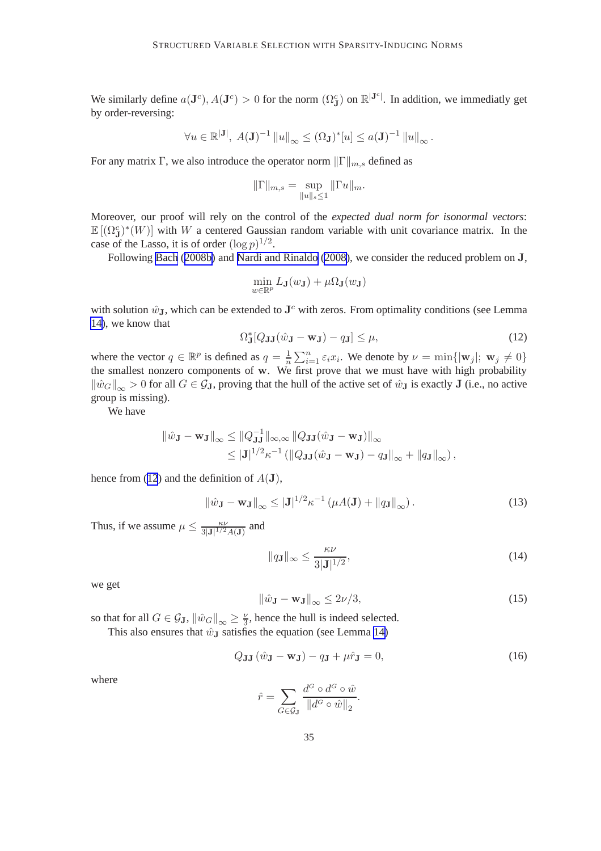<span id="page-35-0"></span>We similarly define  $a(\mathbf{J}^c)$ ,  $A(\mathbf{J}^c) > 0$  for the norm  $(\Omega^c_{\mathbf{J}})$  on  $\mathbb{R}^{|\mathbf{J}^c|}$ . In addition, we immediatly get by order-reversing:

$$
\forall u \in \mathbb{R}^{|J|}, \ A(\mathbf{J})^{-1} \|u\|_{\infty} \leq (\Omega_{\mathbf{J}})^{*}[u] \leq a(\mathbf{J})^{-1} \|u\|_{\infty}.
$$

For any matrix Γ, we also introduce the operator norm  $||\Gamma||_{m,s}$  defined as

$$
\|\Gamma\|_{m,s} = \sup_{\|u\|_s \le 1} \|\Gamma u\|_m.
$$

Moreover, our proof will rely on the control of the *expected dual norm for isonormal vectors*:  $\mathbb{E}[(\Omega_{\mathbf{J}}^c)^*(W)]$  with W a centered Gaussian random variable with unit covariance matrix. In the case of the Lasso, it is of order  $(\log p)^{1/2}$ .

Following [Bach](#page-44-0) ([2008b\)](#page-44-0) and [Nardi and Rinaldo](#page-45-0) [\(2008\)](#page-45-0), we consider the reduced problem on J,

$$
\min_{w \in \mathbb{R}^p} L_{\mathbf{J}}(w_{\mathbf{J}}) + \mu \Omega_{\mathbf{J}}(w_{\mathbf{J}})
$$

with solution  $\hat{w}_{J}$ , which can be extended to  $J<sup>c</sup>$  with zeros. From optimality conditions (see Lemma [14\)](#page-42-0), we know that

$$
\Omega_{\mathbf{J}}^*[Q_{\mathbf{J}\mathbf{J}}(\hat{w}_{\mathbf{J}} - \mathbf{w}_{\mathbf{J}}) - q_{\mathbf{J}}] \le \mu,\tag{12}
$$

where the vector  $q \in \mathbb{R}^p$  is defined as  $q = \frac{1}{n} \sum_{i=1}^n \varepsilon_i x_i$ . We denote by  $\nu = \min\{|\mathbf{w}_j|; \mathbf{w}_j \neq 0\}$ the smallest nonzero components of w. We first prove that we must have with high probability  $\|\hat{w}_G\|_{\infty} > 0$  for all  $G \in \mathcal{G}_J$ , proving that the hull of the active set of  $\hat{w}_J$  is exactly J (i.e., no active group is missing).

We have

$$
\|\hat{w}_{\mathbf{J}} - \mathbf{w}_{\mathbf{J}}\|_{\infty} \le \|Q_{\mathbf{J}\mathbf{J}}^{-1}\|_{\infty,\infty} \|Q_{\mathbf{J}\mathbf{J}}(\hat{w}_{\mathbf{J}} - \mathbf{w}_{\mathbf{J}})\|_{\infty} \le |{\mathbf{J}}|^{1/2} \kappa^{-1} \left( \|Q_{\mathbf{J}\mathbf{J}}(\hat{w}_{\mathbf{J}} - \mathbf{w}_{\mathbf{J}}) - q_{\mathbf{J}}\|_{\infty} + \|q_{\mathbf{J}}\|_{\infty} \right),
$$

hence from (12) and the definition of  $A(\mathbf{J})$ ,

$$
\|\hat{w}_{\mathbf{J}} - \mathbf{w}_{\mathbf{J}}\|_{\infty} \leq |\mathbf{J}|^{1/2} \kappa^{-1} \left(\mu A(\mathbf{J}) + \|q_{\mathbf{J}}\|_{\infty}\right). \tag{13}
$$

Thus, if we assume  $\mu \leq \frac{\kappa \nu}{3|\mathbf{J}|^{1/2} A(\mathbf{J})}$  and

$$
||q_{\mathbf{J}}||_{\infty} \le \frac{\kappa \nu}{3|\mathbf{J}|^{1/2}},\tag{14}
$$

we get

$$
\left\|\hat{w}_{\mathbf{J}} - \mathbf{w}_{\mathbf{J}}\right\|_{\infty} \le 2\nu/3,\tag{15}
$$

so that for all  $G \in \mathcal{G}_{\mathbf{J}}$ ,  $\|\hat{w}_G\|_{\infty} \geq \frac{\nu}{3}$ , hence the hull is indeed selected. This also ensures that  $\hat{w}_{\text{J}}$  satisfies the equation (see Lemma [14\)](#page-42-0)

$$
Q_{\mathbf{J}\mathbf{J}}\left(\hat{w}_{\mathbf{J}} - \mathbf{w}_{\mathbf{J}}\right) - q_{\mathbf{J}} + \mu \hat{r}_{\mathbf{J}} = 0, \tag{16}
$$

where

$$
\hat{r} = \sum_{G \in \mathcal{G}_{\mathbf{J}}} \frac{d^G \circ d^G \circ \hat{w}}{\|d^G \circ \hat{w}\|_2}.
$$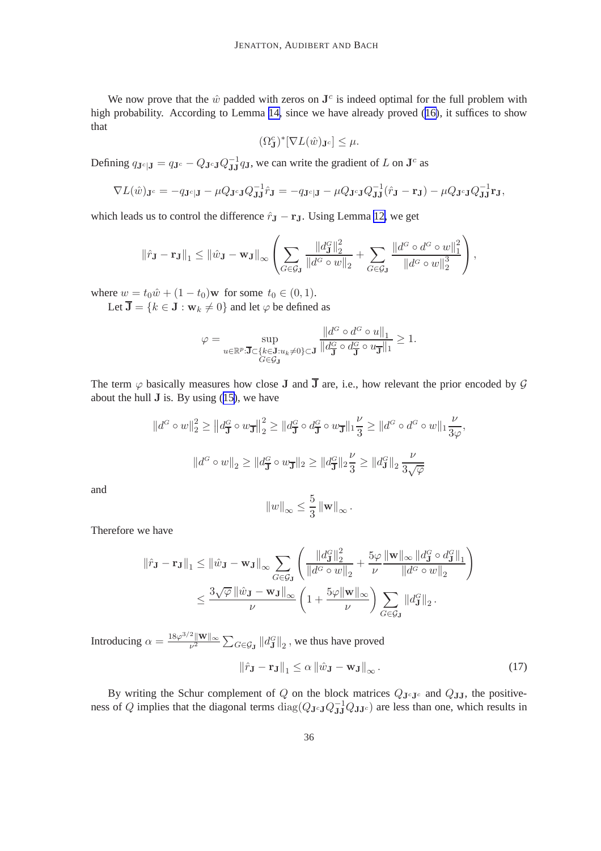<span id="page-36-0"></span>We now prove that the  $\hat{w}$  padded with zeros on  $J^c$  is indeed optimal for the full problem with high probability. According to Lemma [14,](#page-42-0) since we have already proved ([16\)](#page-35-0), it suffices to show that

$$
(\Omega^c_{\mathbf{J}})^*[\nabla L(\hat{w})_{\mathbf{J}^c}] \leq \mu.
$$

Defining  $q_{\mathbf{J}^c|\mathbf{J}} = q_{\mathbf{J}^c} - Q_{\mathbf{J}^c\mathbf{J}} Q_{\mathbf{J}\mathbf{J}}^{-1} q_{\mathbf{J}}$ , we can write the gradient of L on  $\mathbf{J}^c$  as

$$
\nabla L(\hat{w})_{\mathbf{J}^c} = -q_{\mathbf{J}^c|\mathbf{J}} - \mu Q_{\mathbf{J}^c\mathbf{J}} Q_{\mathbf{J}\mathbf{J}}^{-1} \hat{r}_{\mathbf{J}} = -q_{\mathbf{J}^c|\mathbf{J}} - \mu Q_{\mathbf{J}^c\mathbf{J}} Q_{\mathbf{J}\mathbf{J}}^{-1} (\hat{r}_{\mathbf{J}} - \mathbf{r}_{\mathbf{J}}) - \mu Q_{\mathbf{J}^c\mathbf{J}} Q_{\mathbf{J}\mathbf{J}}^{-1} \mathbf{r}_{\mathbf{J}},
$$

which leads us to control the difference  $\hat{r}_{\mathbf{J}} - \mathbf{r}_{\mathbf{J}}$ . Using Lemma [12,](#page-41-0) we get

$$
\|\hat{r}_{\mathbf{J}} - \mathbf{r}_{\mathbf{J}}\|_1 \leq \|\hat{w}_{\mathbf{J}} - \mathbf{w}_{\mathbf{J}}\|_{\infty} \left( \sum_{G \in \mathcal{G}_{\mathbf{J}}} \frac{\|d_{\mathbf{J}}^G\|_2^2}{\|d^G \circ w\|_2} + \sum_{G \in \mathcal{G}_{\mathbf{J}}} \frac{\|d^G \circ d^G \circ w\|_1^2}{\|d^G \circ w\|_2^3} \right),
$$

where  $w = t_0\hat{w} + (1 - t_0)\mathbf{w}$  for some  $t_0 \in (0, 1)$ .

Let  $\overline{\mathbf{J}} = \{k \in \mathbf{J} : \mathbf{w}_k \neq 0\}$  and let  $\varphi$  be defined as

$$
\varphi = \sup_{u \in \mathbb{R}^p : \mathbf{J} \subset \{k \in \mathbf{J} : u_k \neq 0\} \subset \mathbf{J}} \frac{\|d^G \circ d^G \circ u\|_1}{\|d^G_{\mathbf{J}} \circ d^G_{\mathbf{J}} \circ u_{\mathbf{J}}\|_1} \ge 1.
$$

The term  $\varphi$  basically measures how close J and  $\overline{J}$  are, i.e., how relevant the prior encoded by  $\mathcal G$ about the hull  $J$  is. By using  $(15)$  $(15)$ , we have

$$
||d^G \circ w||_2^2 \ge ||d_{\overline{\mathbf{J}}}^G \circ w_{\overline{\mathbf{J}}}\|_2^2 \ge ||d_{\overline{\mathbf{J}}}^G \circ d_{\overline{\mathbf{J}}}^G \circ w_{\overline{\mathbf{J}}}\|_1 \frac{\nu}{3} \ge ||d^G \circ d^G \circ w||_1 \frac{\nu}{3\varphi},
$$
  

$$
||d^G \circ w||_2 \ge ||d_{\overline{\mathbf{J}}}^G \circ w_{\overline{\mathbf{J}}}\|_2 \ge ||d_{\overline{\mathbf{J}}}^G||_2 \frac{\nu}{3} \ge ||d_{\overline{\mathbf{J}}}^G||_2 \frac{\nu}{3\sqrt{\varphi}}
$$

and

$$
||w||_{\infty} \leq \frac{5}{3} ||\mathbf{w}||_{\infty}.
$$

Therefore we have

$$
\|\hat{r}_{\mathbf{J}} - \mathbf{r}_{\mathbf{J}}\|_{1} \leq \|\hat{w}_{\mathbf{J}} - \mathbf{w}_{\mathbf{J}}\|_{\infty} \sum_{G \in \mathcal{G}_{\mathbf{J}}} \left(\frac{\|d_{\mathbf{J}}^G\|_2^2}{\|d^G \circ w\|_2} + \frac{5\varphi}{\nu} \frac{\|\mathbf{w}\|_{\infty} \|d_{\mathbf{J}}^G \circ d_{\mathbf{J}}^G\|_1}{\|d^G \circ w\|_2}\right)
$$

$$
\leq \frac{3\sqrt{\varphi} \|\hat{w}_{\mathbf{J}} - \mathbf{w}_{\mathbf{J}}\|_{\infty}}{\nu} \left(1 + \frac{5\varphi \|\mathbf{w}\|_{\infty}}{\nu}\right) \sum_{G \in \mathcal{G}_{\mathbf{J}}} \|d_{\mathbf{J}}^G\|_2.
$$

Introducing  $\alpha = \frac{18\varphi^{3/2}||\mathbf{W}||_{\infty}}{\mu^2}$  $\frac{\sum_{\mathbf{C}}^{\mathbf{C}} \mathbf{w} \mathbf{w}}{\mathbf{w}^2} \sum_{\mathbf{C} \in \mathcal{G}_{\mathbf{J}}} \|d_{\mathbf{J}}^{\mathbf{C}}\|_2$  , we thus have proved

$$
\|\hat{r}_{\mathbf{J}} - \mathbf{r}_{\mathbf{J}}\|_{1} \leq \alpha \|\hat{w}_{\mathbf{J}} - \mathbf{w}_{\mathbf{J}}\|_{\infty}.
$$
 (17)

By writing the Schur complement of Q on the block matrices  $Q_{\mathbf{J}^c\mathbf{J}^c}$  and  $Q_{\mathbf{J}\mathbf{J}}$ , the positiveness of Q implies that the diagonal terms  $diag(Q_{\mathbf{J}^c\mathbf{J}}Q_{\mathbf{J}\mathbf{J}}^{-1}Q_{\mathbf{J}\mathbf{J}^c})$  are less than one, which results in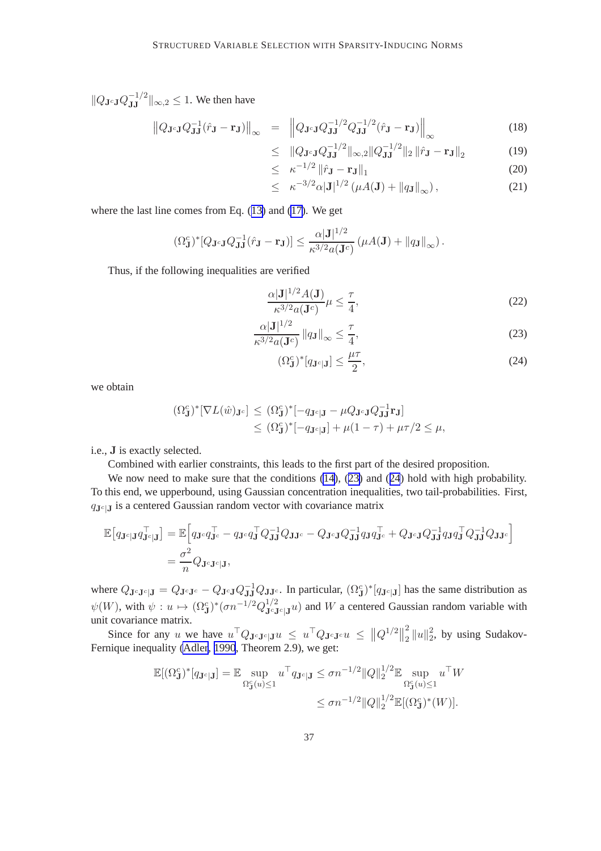$||Q_{\mathbf{J}^c\mathbf{J}}Q_{\mathbf{J}\mathbf{J}}^{-1/2}||_{\infty,2} \leq 1$ . We then have

$$
\left\|Q_{\mathbf{J}^c\mathbf{J}}Q_{\mathbf{J}\mathbf{J}}^{-1}(\hat{r}_{\mathbf{J}}-\mathbf{r}_{\mathbf{J}})\right\|_{\infty} = \left\|Q_{\mathbf{J}^c\mathbf{J}}Q_{\mathbf{J}\mathbf{J}}^{-1/2}Q_{\mathbf{J}\mathbf{J}}^{-1/2}(\hat{r}_{\mathbf{J}}-\mathbf{r}_{\mathbf{J}})\right\|_{\infty}
$$
(18)

$$
\leq \|Q_{\mathbf{J}^c \mathbf{J}} Q_{\mathbf{J} \mathbf{J}}^{-1/2} \|_{\infty,2} \|Q_{\mathbf{J} \mathbf{J}}^{-1/2}\|_2 \|\hat{r}_{\mathbf{J}} - \mathbf{r}_{\mathbf{J}}\|_2 \tag{19}
$$

$$
\leq \kappa^{-1/2} \left\| \hat{r}_{\mathbf{J}} - \mathbf{r}_{\mathbf{J}} \right\|_1 \tag{20}
$$

$$
\leq \ \kappa^{-3/2} \alpha |\mathbf{J}|^{1/2} \left( \mu A(\mathbf{J}) + ||q_{\mathbf{J}}||_{\infty} \right), \tag{21}
$$

where the last line comes from Eq. ([13\)](#page-35-0) and [\(17\)](#page-36-0). We get

$$
(\Omega_{\mathbf{J}}^c)^*[Q_{\mathbf{J}^c\mathbf{J}}Q_{\mathbf{J}\mathbf{J}}^{-1}(\hat{r}_{\mathbf{J}}-\mathbf{r}_{\mathbf{J}})] \leq \frac{\alpha|\mathbf{J}|^{1/2}}{\kappa^{3/2}a(\mathbf{J}^c)}\left(\mu A(\mathbf{J}) + \|q_{\mathbf{J}}\|_{\infty}\right).
$$

Thus, if the following inequalities are verified

$$
\frac{\alpha|\mathbf{J}|^{1/2}A(\mathbf{J})}{\kappa^{3/2}a(\mathbf{J}^c)}\mu \le \frac{\tau}{4},\tag{22}
$$

$$
\frac{\alpha |\mathbf{J}|^{1/2}}{\kappa^{3/2} a(\mathbf{J}^c)} \|q_{\mathbf{J}}\|_{\infty} \le \frac{\tau}{4},\tag{23}
$$

$$
(\Omega_{\mathbf{J}}^c)^*[q_{\mathbf{J}^c|\mathbf{J}}] \le \frac{\mu\tau}{2},\tag{24}
$$

we obtain

$$
\begin{aligned} (\Omega_{\mathbf{J}}^c)^* [\nabla L(\hat{w})_{\mathbf{J}^c}] &\leq (\Omega_{\mathbf{J}}^c)^* [-q_{\mathbf{J}^c|\mathbf{J}} - \mu Q_{\mathbf{J}^c \mathbf{J}} Q_{\mathbf{J}\mathbf{J}}^{-1} \mathbf{r}_{\mathbf{J}}] \\ &\leq (\Omega_{\mathbf{J}}^c)^* [-q_{\mathbf{J}^c|\mathbf{J}}] + \mu (1 - \tau) + \mu \tau / 2 \leq \mu, \end{aligned}
$$

i.e., J is exactly selected.

Combined with earlier constraints, this leads to the first part of the desired proposition.

We now need to make sure that the conditions  $(14)$  $(14)$ ,  $(23)$  and  $(24)$  hold with high probability. To this end, we upperbound, using Gaussian concentration inequalities, two tail-probabilities. First,  $q_{Jc}$  is a centered Gaussian random vector with covariance matrix

$$
\mathbb{E}\big[q_{\mathbf{J}^c|\mathbf{J}}q_{\mathbf{J}^c|\mathbf{J}}^\top\big] = \mathbb{E}\Big[q_{\mathbf{J}^c}q_{\mathbf{J}^c}^\top - q_{\mathbf{J}^c}q_{\mathbf{J}}^\top Q_{\mathbf{J}\mathbf{J}}^{-1}Q_{\mathbf{J}\mathbf{J}^c} - Q_{\mathbf{J}^c\mathbf{J}}Q_{\mathbf{J}\mathbf{J}}^{-1}q_{\mathbf{J}}q_{\mathbf{J}^c}^\top + Q_{\mathbf{J}^c\mathbf{J}}Q_{\mathbf{J}\mathbf{J}}^{-1}q_{\mathbf{J}}q_{\mathbf{J}}^\top Q_{\mathbf{J}\mathbf{J}}^{-1}Q_{\mathbf{J}\mathbf{J}^c}\Big]
$$
  
= 
$$
\frac{\sigma^2}{n}Q_{\mathbf{J}^c\mathbf{J}^c|\mathbf{J}},
$$

where  $Q_{\mathbf{J}^c\mathbf{J}^c|\mathbf{J}} = Q_{\mathbf{J}^c\mathbf{J}^c} - Q_{\mathbf{J}^c\mathbf{J}}Q_{\mathbf{J}\mathbf{J}}^{-1}Q_{\mathbf{J}\mathbf{J}^c}$ . In particular,  $(\Omega_{\mathbf{J}}^c)^*[q_{\mathbf{J}^c|\mathbf{J}}]$  has the same distribution as  $\psi(W)$ , with  $\psi: u \mapsto (\Omega_{\mathbf{J}}^c)^*(\sigma n^{-1/2}Q_{\mathbf{J}^c\mathbf{J}^c\mathbf{J}}^{1/2}u)$  and W a centered Gaussian random variable with unit covariance matrix.

Since for any u we have  $u^\top Q_{\mathbf{J}^c \mathbf{J}^c \mathbf{J}^d} \leq u^\top Q_{\mathbf{J}^c \mathbf{J}^c} u \leq ||Q^{1/2}||$ 2  $\frac{2}{2}$   $\|u\|_2^2$  $2^2$ , by using Sudakov-Fernique inequality [\(Adler](#page-44-0), [1990](#page-44-0), Theorem 2.9), we get:

$$
\mathbb{E}[(\Omega_{\mathbf{J}}^c)^*[q_{\mathbf{J}^c|\mathbf{J}}] = \mathbb{E} \sup_{\Omega_{\mathbf{J}}^c(u)\leq 1} u^\top q_{\mathbf{J}^c|\mathbf{J}} \leq \sigma n^{-1/2} ||Q||_2^{1/2} \mathbb{E} \sup_{\Omega_{\mathbf{J}}^c(u)\leq 1} u^\top W
$$
  

$$
\leq \sigma n^{-1/2} ||Q||_2^{1/2} \mathbb{E}[(\Omega_{\mathbf{J}}^c)^*(W)].
$$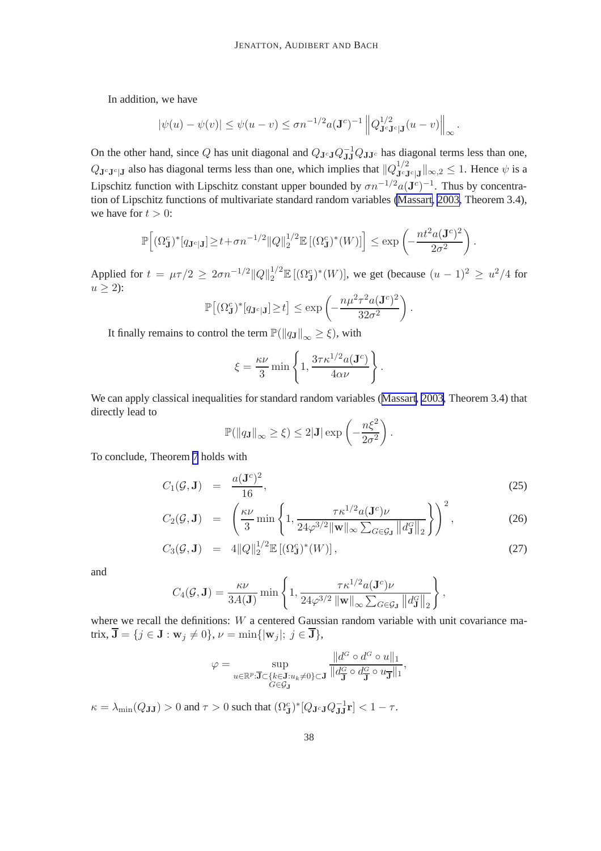In addition, we have

$$
|\psi(u) - \psi(v)| \le \psi(u - v) \le \sigma n^{-1/2} a(\mathbf{J}^c)^{-1} \|Q_{\mathbf{J}^c \mathbf{J}^c \mathbf{J}}^{1/2} (u - v) \|_{\infty}.
$$

On the other hand, since Q has unit diagonal and  $Q_{J^cJ}Q_{JJ}^{-1}Q_{JJ^c}$  has diagonal terms less than one,  $Q_{\mathbf{J}^c\mathbf{J}^c|\mathbf{J}}$  also has diagonal terms less than one, which implies that  $||Q_{\mathbf{J}^c\mathbf{J}^c|\mathbf{J}}^{1/2}||_{\infty,2} \le 1$ . Hence  $\psi$  is a Lipschitz function with Lipschitz constant upper bounded by  $\sigma n^{-1/2} a(\mathbf{J}^c)^{-1}$ . Thus by concentration of Lipschitz functions of multivariate standard random variables [\(Massart, 2003,](#page-45-0) Theorem 3.4), we have for  $t > 0$ :

$$
\mathbb{P}\Big[(\Omega_{\mathbf{J}}^c)^*[q_{\mathbf{J}^c|\mathbf{J}}] \geq t + \sigma n^{-1/2} \|Q\|_2^{1/2} \mathbb{E}\left[(\Omega_{\mathbf{J}}^c)^*(W)\right] \Big] \leq \exp\left(-\frac{nt^2 a (\mathbf{J}^c)^2}{2\sigma^2}\right).
$$

Applied for  $t = \mu \tau/2 \ge 2\sigma n^{-1/2} ||Q||_2^{1/2} \mathbb{E} [(\Omega_J^c)^*(W)]$ , we get (because  $(u - 1)^2 \ge u^2/4$  for  $u \geq 2$ :

$$
\mathbb{P}\big[(\Omega_{\mathbf{J}}^c)^*[q_{\mathbf{J}^c|\mathbf{J}}] \geq t\big] \leq \exp\left(-\frac{n\mu^2\tau^2a(\mathbf{J}^c)^2}{32\sigma^2}\right).
$$

It finally remains to control the term  $\mathbb{P}(\|q_J\|_{\infty} \geq \xi)$ , with

$$
\xi = \frac{\kappa \nu}{3} \min \left\{ 1, \frac{3\tau \kappa^{1/2} a(\mathbf{J}^c)}{4\alpha \nu} \right\}.
$$

We can apply classical inequalities for standard random variables ([Massart, 2003,](#page-45-0) Theorem 3.4) that directly lead to

$$
\mathbb{P}(\|q_{\mathbf{J}}\|_{\infty} \geq \xi) \leq 2|\mathbf{J}| \exp\left(-\frac{n\xi^2}{2\sigma^2}\right).
$$

To conclude, Theorem [7](#page-20-0) holds with

$$
C_1(\mathcal{G}, \mathbf{J}) = \frac{a(\mathbf{J}^c)^2}{16}, \tag{25}
$$

$$
C_2(\mathcal{G}, \mathbf{J}) = \left( \frac{\kappa \nu}{3} \min \left\{ 1, \frac{\tau \kappa^{1/2} a(\mathbf{J}^c) \nu}{24 \varphi^{3/2} ||\mathbf{w}||_{\infty} \sum_{G \in \mathcal{G}_{\mathbf{J}}} ||d_{\mathbf{J}}^G||_2} \right\} \right)^2, \tag{26}
$$

$$
C_3(\mathcal{G}, \mathbf{J}) = 4||Q||_2^{1/2} \mathbb{E}[(\Omega_{\mathbf{J}}^c)^*(W)], \qquad (27)
$$

and

$$
C_4(\mathcal{G}, \mathbf{J}) = \frac{\kappa \nu}{3A(\mathbf{J})} \min \left\{ 1, \frac{\tau \kappa^{1/2} a(\mathbf{J}^c) \nu}{24\varphi^{3/2} \|\mathbf{w}\|_{\infty} \sum_{G \in \mathcal{G}_{\mathbf{J}}} \|d_{\mathbf{J}}^G\|_2} \right\},
$$

where we recall the definitions: W a centered Gaussian random variable with unit covariance matrix,  $\overline{\mathbf{J}} = \{j \in \mathbf{J} : \mathbf{w}_j \neq 0\}, \nu = \min\{|\mathbf{w}_j|; j \in \overline{\mathbf{J}}\},\$ 

$$
\varphi = \sup_{u \in \mathbb{R}^p : \mathbf{J} \subset \{k \in \mathbf{J} : u_k \neq 0\} \subset \mathbf{J}} \frac{\|d^G \circ d^G \circ u\|_1}{\|d^G_{\mathbf{J}} \circ d^G_{\mathbf{J}} \circ u_{\mathbf{J}}\|_1},
$$

 $\kappa = \lambda_{\min}(Q_{\mathbf{J}\mathbf{J}}) > 0$  and  $\tau > 0$  such that  $(\Omega_{\mathbf{J}}^c)^* [Q_{\mathbf{J}^c\mathbf{J}} Q_{\mathbf{J}\mathbf{J}}^{-1} \mathbf{r}] < 1 - \tau$ .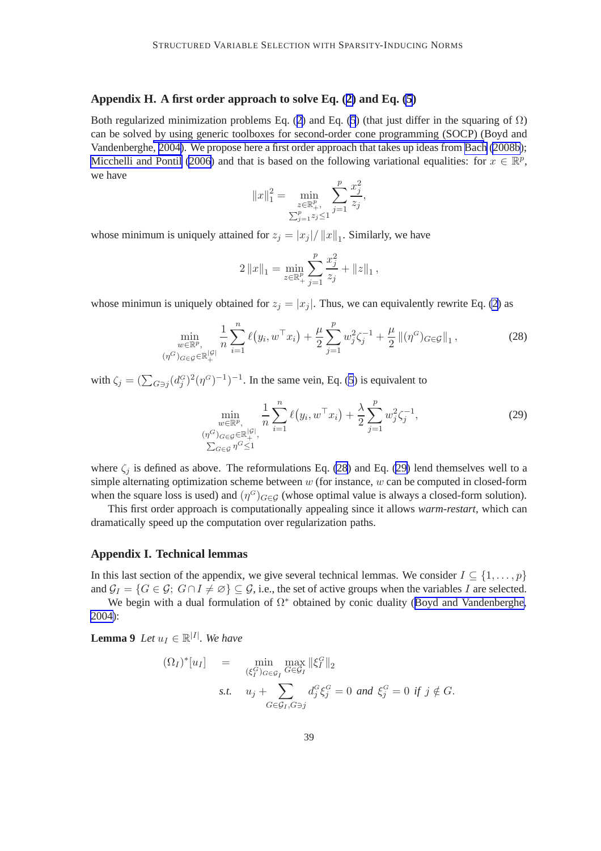#### <span id="page-39-0"></span>**Appendix H. A first order approach to solve Eq. ([2\)](#page-4-0) and Eq. [\(5](#page-13-0))**

Both regularized minimization problems Eq. ([2](#page-4-0)) and Eq. ([5](#page-13-0)) (that just differ in the squaring of  $\Omega$ ) can be solved by using generic toolboxes for second-order cone programming (SOCP) (Boyd and Vandenberghe, [2004\)](#page-44-0). We propose here a first order approach that takes up ideas from [Bach](#page-44-0) [\(2008b](#page-44-0)); [Micchelli and Pontil](#page-45-0) [\(2006\)](#page-45-0) and that is based on the following variational equalities: for  $x \in \mathbb{R}^p$ , we have

$$
||x||_1^2 = \min_{\substack{z \in \mathbb{R}_+^p, \\ \sum_{j=1}^p z_j \le 1}} \sum_{j=1}^p \frac{x_j^2}{z_j},
$$

whose minimum is uniquely attained for  $z_j = |x_j| / ||x||_1$ . Similarly, we have

$$
2\left\|x\right\|_1=\min_{z\in\mathbb{R}^p_+}\sum_{j=1}^p\frac{x_j^2}{z_j}+\left\|z\right\|_1,
$$

whose minimun is uniquely obtained for  $z_i = |x_i|$ . Thus, we can equivalently rewrite Eq. [\(2\)](#page-4-0) as

$$
\min_{\substack{w \in \mathbb{R}^p, \\ (\eta^G)_{G \in \mathcal{G}} \in \mathbb{R}_+^{|\mathcal{G}|}}} \frac{1}{n} \sum_{i=1}^n \ell(y_i, w^\top x_i) + \frac{\mu}{2} \sum_{j=1}^p w_j^2 \zeta_j^{-1} + \frac{\mu}{2} ||(\eta^G)_{G \in \mathcal{G}}||_1, \tag{28}
$$

with  $\zeta_j = (\sum_{G \ni j} (d_j^G)^2 (\eta^G)^{-1})^{-1}$ . In the same vein, Eq. [\(5](#page-13-0)) is equivalent to

$$
\min_{\substack{w \in \mathbb{R}^p, \\ (\eta^G)_{G \in \mathcal{G}} \in \mathbb{R}_+^{|{\mathcal{G}}|}, \\ \sum_{G \in \mathcal{G}} \eta^G \le 1}} \frac{1}{n} \sum_{i=1}^n \ell(y_i, w^\top x_i) + \frac{\lambda}{2} \sum_{j=1}^p w_j^2 \zeta_j^{-1},
$$
\n(29)

where  $\zeta_j$  is defined as above. The reformulations Eq. (28) and Eq. (29) lend themselves well to a simple alternating optimization scheme between  $w$  (for instance,  $w$  can be computed in closed-form when the square loss is used) and  $(\eta^G)_{G \in \mathcal{G}}$  (whose optimal value is always a closed-form solution).

This first order approach is computationally appealing since it allows *warm-restart*, which can dramatically speed up the computation over regularization paths.

#### **Appendix I. Technical lemmas**

In this last section of the appendix, we give several technical lemmas. We consider  $I \subseteq \{1, \ldots, p\}$ and  $\mathcal{G}_I = \{G \in \mathcal{G}; G \cap I \neq \emptyset\} \subseteq \mathcal{G}$ , i.e., the set of active groups when the variables I are selected.

We begin with a dual formulation of  $\Omega^*$  obtained by conic duality ([Boyd and Vandenberghe,](#page-44-0) [2004\)](#page-44-0):

**Lemma 9** *Let*  $u_I \in \mathbb{R}^{|I|}$ *. We have* 

$$
(\Omega_I)^*[u_I] = \min_{\substack{(\xi_I^G)_{G \in \mathcal{G}_I} \ G \in \mathcal{G}_I}} \max_{G \in \mathcal{G}_I} \|\xi_I^G\|_2
$$
  
s.t.  $u_j + \sum_{G \in \mathcal{G}_I, G \ni j} d_j^G \xi_j^G = 0 \text{ and } \xi_j^G = 0 \text{ if } j \notin G.$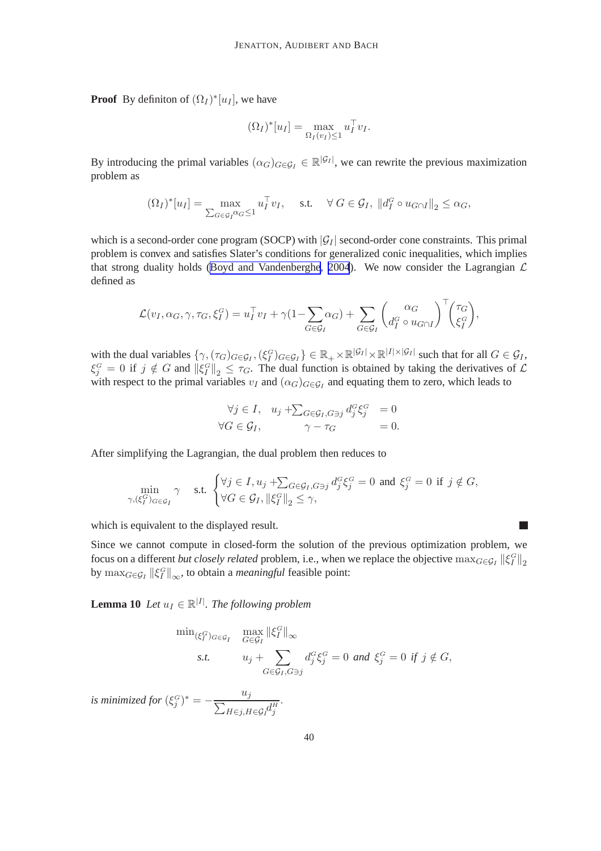<span id="page-40-0"></span>**Proof** By definiton of  $(\Omega_I)^*[u_I]$ , we have

$$
(\Omega_I)^*[u_I] = \max_{\Omega_I(v_I)\leq 1} u_I^\top v_I.
$$

By introducing the primal variables  $(\alpha_G)_{G \in \mathcal{G}_I} \in \mathbb{R}^{|\mathcal{G}_I|}$ , we can rewrite the previous maximization problem as

$$
(\Omega_I)^*[u_I] = \max_{\sum_{G \in \mathcal{G}_I} \alpha_G \le 1} u_I^{\top} v_I, \quad \text{s.t.} \quad \forall G \in \mathcal{G}_I, \|d_I^G \circ u_{G \cap I}\|_2 \le \alpha_G,
$$

which is a second-order cone program (SOCP) with  $|\mathcal{G}_I|$  second-order cone constraints. This primal problem is convex and satisfies Slater's conditions for generalized conic inequalities, which implies that strong duality holds ([Boyd and Vandenberghe](#page-44-0), [2004](#page-44-0)). We now consider the Lagrangian  $\mathcal L$ defined as

$$
\mathcal{L}(v_I, \alpha_G, \gamma, \tau_G, \xi_I^G) = u_I^{\top} v_I + \gamma (1 - \sum_{G \in \mathcal{G}_I} \alpha_G) + \sum_{G \in \mathcal{G}_I} \left( \begin{matrix} \alpha_G \\ d_I^G \circ u_{G \cap I} \end{matrix} \right)^{\top} \left( \begin{matrix} \tau_G \\ \xi_I^G \end{matrix} \right),
$$

with the dual variables  $\{\gamma, (\tau_G)_{G \in \mathcal{G}_I}, (\xi_I^G)_{G \in \mathcal{G}_I}\}\in \mathbb{R}_+ \times \mathbb{R}^{|\mathcal{G}_I|} \times \mathbb{R}^{|I| \times |\mathcal{G}_I|}$  such that for all  $G \in \mathcal{G}_I$ ,  $\xi_j^G = 0$  if  $j \notin G$  and  $\|\xi_j^G\|_2 \leq \tau_G$ . The dual function is obtained by taking the derivatives of  $\mathcal L$ with respect to the primal variables  $v_I$  and  $(\alpha_G)_{G \in \mathcal{G}_I}$  and equating them to zero, which leads to

$$
\forall j \in I, \quad u_j + \sum_{G \in \mathcal{G}_I, G \ni j} d_j^G \xi_j^G = 0
$$
  

$$
\forall G \in \mathcal{G}_I, \qquad \gamma - \tau_G = 0.
$$

After simplifying the Lagrangian, the dual problem then reduces to

$$
\min_{\gamma, (\xi_I^G)_{G \in \mathcal{G}_I}} \gamma \quad \text{s.t. } \begin{cases} \forall j \in I, u_j + \sum_{G \in \mathcal{G}_I, G \ni j} d_j^G \xi_j^G = 0 \text{ and } \xi_j^G = 0 \text{ if } j \notin G, \\ \forall G \in \mathcal{G}_I, \|\xi_I^G\|_2 \le \gamma, \end{cases}
$$

which is equivalent to the displayed result.

Since we cannot compute in closed-form the solution of the previous optimization problem, we focus on a different *but closely related* problem, i.e., when we replace the objective  $\max_{G \in \mathcal{G}_I} ||\xi_I^G||_2$ by  $\max_{G \in \mathcal{G}_I} ||\xi_I^G||_{\infty}$ , to obtain a *meaningful* feasible point:

 $\Box$ 

**Lemma 10** *Let*  $u_I \in \mathbb{R}^{|I|}$ *. The following problem* 

$$
\min_{(\xi_I^G)_{G \in \mathcal{G}_I}} \max_{G \in \mathcal{G}_I} \|\xi_I^G\|_{\infty}
$$
  
s.t.  $u_j + \sum_{G \in \mathcal{G}_I, G \ni j} d_j^G \xi_j^G = 0$  and  $\xi_j^G = 0$  if  $j \notin G$ ,

*is minimized for*  $(\xi_j^G)^* = -\frac{u_j}{\sum_{H \in \mathfrak{z} \mid H}}$  $H\in j, H\in {\cal G}_I^{\cal U}_j^H$ .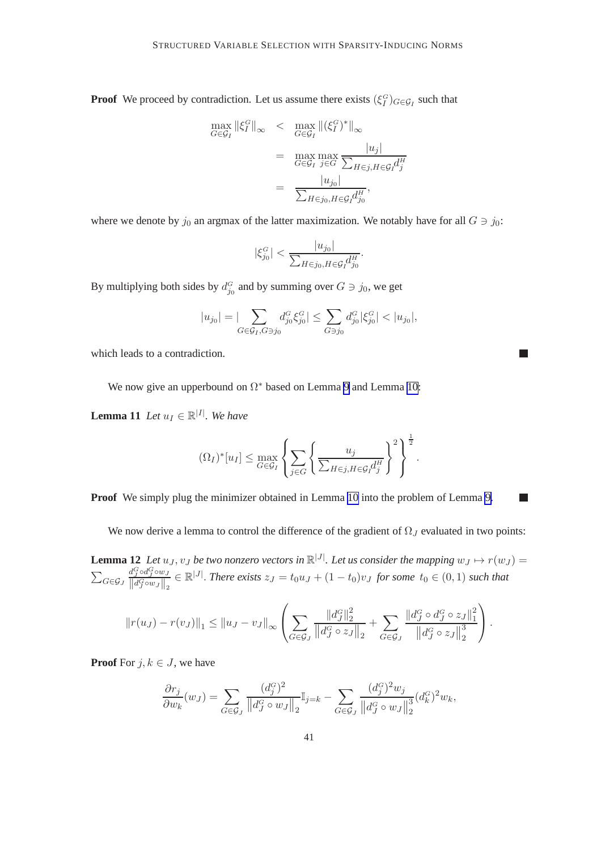<span id="page-41-0"></span>**Proof** We proceed by contradiction. Let us assume there exists  $(\xi_i^G)_{G \in \mathcal{G}_I}$  such that

$$
\max_{G \in \mathcal{G}_I} ||\xi_I^G||_{\infty} < \max_{G \in \mathcal{G}_I} ||(\xi_I^G)^*||_{\infty}
$$
  
= 
$$
\max_{G \in \mathcal{G}_I} \max_{j \in G} \frac{|u_j|}{\sum_{H \in j, H \in \mathcal{G}_I} d_j^H}
$$
  
= 
$$
\frac{|u_{j_0}|}{\sum_{H \in j_0, H \in \mathcal{G}_I} d_{j_0}^H},
$$

where we denote by  $j_0$  an argmax of the latter maximization. We notably have for all  $G \ni j_0$ :

$$
|\xi_{j_0}^G| < \frac{|u_{j_0}|}{\sum_{H \in j_0, H \in \mathcal{G}_I} d_{j_0}^H}.
$$

By multiplying both sides by  $d_{j_0}^G$  and by summing over  $G \ni j_0$ , we get

$$
|u_{j_0}| = |\sum_{G \in \mathcal{G}_I, G \ni j_0} d_{j_0}^G \xi_{j_0}^G| \le \sum_{G \ni j_0} d_{j_0}^G |\xi_{j_0}^G| < |u_{j_0}|,
$$

H

 $\mathbb{R}^n$ 

which leads to a contradiction.

We now give an upperbound on  $\Omega^*$  based on Lemma [9](#page-39-0) and Lemma [10:](#page-40-0)

**Lemma 11** *Let*  $u_I \in \mathbb{R}^{|I|}$ *. We have* 

$$
(\Omega_I)^*[u_I] \leq \max_{G \in \mathcal{G}_I} \left\{ \sum_{j \in G} \left\{ \frac{u_j}{\sum_{H \in j, H \in \mathcal{G}_I} d_j^H} \right\}^2 \right\}^{\frac{1}{2}}.
$$

**Proof** We simply plug the minimizer obtained in Lemma [10](#page-40-0) into the problem of Lemma [9.](#page-39-0)

We now derive a lemma to control the difference of the gradient of  $\Omega_J$  evaluated in two points:

**Lemma 12** Let  $u_J, v_J$  be two nonzero vectors in  $\mathbb{R}^{|J|}$ . Let us consider the mapping  $w_J \mapsto r(w_J) =$  $\sum_{G\in {\cal G}_J}$  $d_J^G$ o $d_J^G$ ow J  $\frac{d^G_j \circ d^G_j \circ w_J}{\|d^G_j \circ w_J\|_2} \in \mathbb{R}^{|J|}$ . *There exists*  $z_J = t_0 u_J + (1-t_0)v_J$  *for some*  $t_0 \in (0,1)$  *such that* 

$$
||r(u_J) - r(v_J)||_1 \le ||u_J - v_J||_{\infty} \left( \sum_{G \in \mathcal{G}_J} \frac{||d_J^G||_2^2}{||d_J^G \circ z_J||_2} + \sum_{G \in \mathcal{G}_J} \frac{||d_J^G \circ d_J^G \circ z_J||_1^2}{||d_J^G \circ z_J||_2^3} \right).
$$

**Proof** For  $j, k \in J$ , we have

$$
\frac{\partial r_j}{\partial w_k}(w_J) = \sum_{G \in \mathcal{G}_J} \frac{(d_j^G)^2}{\left\| d_J^G \circ w_J \right\|_2} \mathbb{I}_{j=k} - \sum_{G \in \mathcal{G}_J} \frac{(d_j^G)^2 w_j}{\left\| d_J^G \circ w_J \right\|_2^3} (d_k^G)^2 w_k,
$$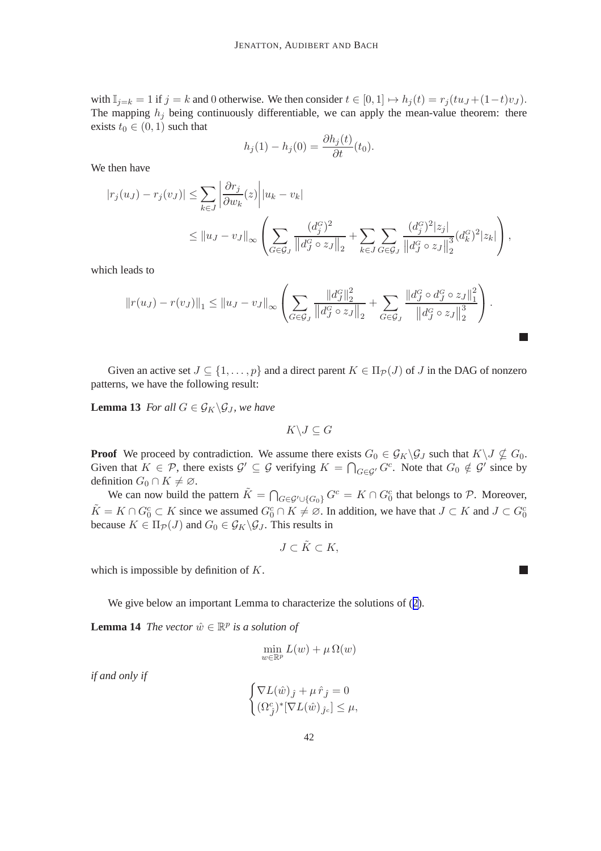<span id="page-42-0"></span>with  $\mathbb{I}_{j=k} = 1$  if  $j = k$  and 0 otherwise. We then consider  $t \in [0,1] \mapsto h_j(t) = r_j (tu_J + (1-t)v_J)$ . The mapping  $h_j$  being continuously differentiable, we can apply the mean-value theorem: there exists  $t_0 \in (0, 1)$  such that

$$
h_j(1) - h_j(0) = \frac{\partial h_j(t)}{\partial t}(t_0).
$$

We then have

$$
|r_j(u_J) - r_j(v_J)| \leq \sum_{k \in J} \left| \frac{\partial r_j}{\partial w_k}(z) \right| |u_k - v_k|
$$
  

$$
\leq ||u_J - v_J||_{\infty} \left( \sum_{G \in \mathcal{G}_J} \frac{(d_j^G)^2}{||d_j^G \circ z_J||_2} + \sum_{k \in J} \sum_{G \in \mathcal{G}_J} \frac{(d_j^G)^2 |z_j|}{||d_j^G \circ z_J||_2^3} (d_k^G)^2 |z_k| \right),
$$

which leads to

$$
||r(u_J) - r(v_J)||_1 \le ||u_J - v_J||_{\infty} \left( \sum_{G \in \mathcal{G}_J} \frac{||d_J^G||_2^2}{||d_J^G \circ z_J||_2} + \sum_{G \in \mathcal{G}_J} \frac{||d_J^G \circ d_J^G \circ z_J||_1^2}{||d_J^G \circ z_J||_2^3} \right).
$$

Given an active set  $J \subset \{1, \ldots, p\}$  and a direct parent  $K \in \Pi_{\mathcal{P}}(J)$  of J in the DAG of nonzero patterns, we have the following result:

**Lemma 13** *For all*  $G \in \mathcal{G}_K \backslash \mathcal{G}_J$ *, we have* 

 $K\backslash J\subseteq G$ 

**Proof** We proceed by contradiction. We assume there exists  $G_0 \in \mathcal{G}_K \backslash \mathcal{G}_J$  such that  $K \backslash J \nsubseteq G_0$ . Given that  $K \in \mathcal{P}$ , there exists  $\mathcal{G}' \subseteq \mathcal{G}$  verifying  $K = \bigcap_{G \in \mathcal{G}'} G^c$ . Note that  $G_0 \notin \mathcal{G}'$  since by definition  $G_0 \cap K \neq \emptyset$ .

We can now build the pattern  $\tilde{K} = \bigcap_{G \in \mathcal{G}' \cup \{G_0\}} G^c = K \cap G_0^c$  that belongs to  $\mathcal{P}$ . Moreover,  $\tilde{K} = K \cap G_0^c \subset K$  since we assumed  $G_0^c \cap K \neq \emptyset$ . In addition, we have that  $J \subset K$  and  $J \subset G_0^c$ because  $K \in \Pi_{\mathcal{P}}(J)$  and  $G_0 \in \mathcal{G}_K \backslash \mathcal{G}_J$ . This results in

$$
J\subset \tilde{K}\subset K,
$$

which is impossible by definition of K.

We give below an important Lemma to characterize the solutions of ([2](#page-4-0)).

**Lemma 14** *The vector*  $\hat{w} \in \mathbb{R}^p$  *is a solution of* 

$$
\min_{w \in \mathbb{R}^p} L(w) + \mu \Omega(w)
$$

*if and only if*

$$
\begin{cases} \nabla L(\hat{w})_{\hat{J}} + \mu \,\hat{r}_{\hat{J}} = 0 \\ (\Omega_{\hat{J}}^c)^* [\nabla L(\hat{w})_{\hat{J}^c}] \leq \mu, \end{cases}
$$

 $\Box$ 

 $\Box$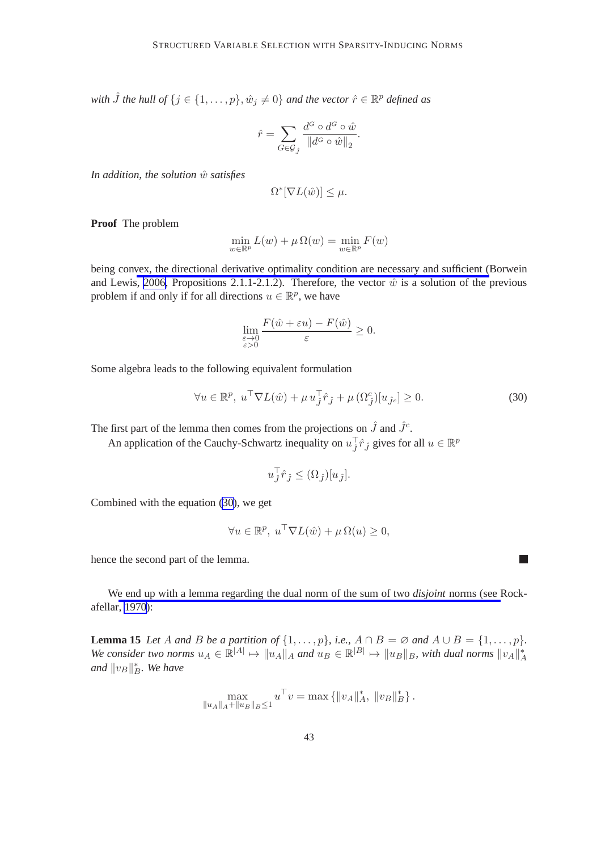<span id="page-43-0"></span>with  $\hat{J}$  the hull of  $\{j \in \{1, \ldots, p\}, \hat{w}_j \neq 0\}$  and the vector  $\hat{r} \in \mathbb{R}^p$  defined as

$$
\hat{r} = \sum_{G \in \mathcal{G}_j} \frac{d^G \circ d^G \circ \hat{w}}{\|d^G \circ \hat{w}\|_2}.
$$

*In addition, the solution*  $\hat{w}$  *satisfies* 

$$
\Omega^*[\nabla L(\hat{w})] \leq \mu.
$$

**Proof** The problem

$$
\min_{w \in \mathbb{R}^p} L(w) + \mu \Omega(w) = \min_{w \in \mathbb{R}^p} F(w)
$$

being convex, the directional derivative optimality condition are necessary and sufficient (Borwein and Lewis, [2006,](#page-44-0) Propositions 2.1.1-2.1.2). Therefore, the vector  $\hat{w}$  is a solution of the previous problem if and only if for all directions  $u \in \mathbb{R}^p$ , we have

$$
\lim_{\substack{\varepsilon \to 0 \\ \varepsilon > 0}} \frac{F(\hat{w} + \varepsilon u) - F(\hat{w})}{\varepsilon} \ge 0.
$$

Some algebra leads to the following equivalent formulation

$$
\forall u \in \mathbb{R}^p, u^{\top} \nabla L(\hat{w}) + \mu u_j^{\top} \hat{r}_j + \mu (\Omega_j^c) [u_{j_c}] \ge 0.
$$
 (30)

П

The first part of the lemma then comes from the projections on  $\hat{J}$  and  $\hat{J}^c$ .

An application of the Cauchy-Schwartz inequality on  $u_j^{\top} \hat{r}_j$  gives for all  $u \in \mathbb{R}^p$ 

$$
u_j^\top \hat{r}_j \le (\Omega_j)[u_j].
$$

Combined with the equation (30), we get

$$
\forall u \in \mathbb{R}^p, u^{\top} \nabla L(\hat{w}) + \mu \Omega(u) \ge 0,
$$

hence the second part of the lemma.

We end up with a lemma regarding the dual norm of the sum of two *disjoint* norms (see Rockafellar, [1970\)](#page-45-0):

**Lemma 15** *Let* A *and* B *be a partition of*  $\{1, \ldots, p\}$ *, i.e.,*  $A \cap B = \emptyset$  *and*  $A \cup B = \{1, \ldots, p\}$ *. We consider two norms*  $u_A \in \mathbb{R}^{|A|} \mapsto ||u_A||_A$  *and*  $u_B \in \mathbb{R}^{|B|} \mapsto ||u_B||_B$ , with dual norms  $||u_A||_A^*$ and  $||v_B||_B^*$ . We have

$$
\max_{\|u_A\|_A + \|u_B\|_B \le 1} u^\top v = \max\left\{ \|v_A\|_A^*, \|v_B\|_B^* \right\}.
$$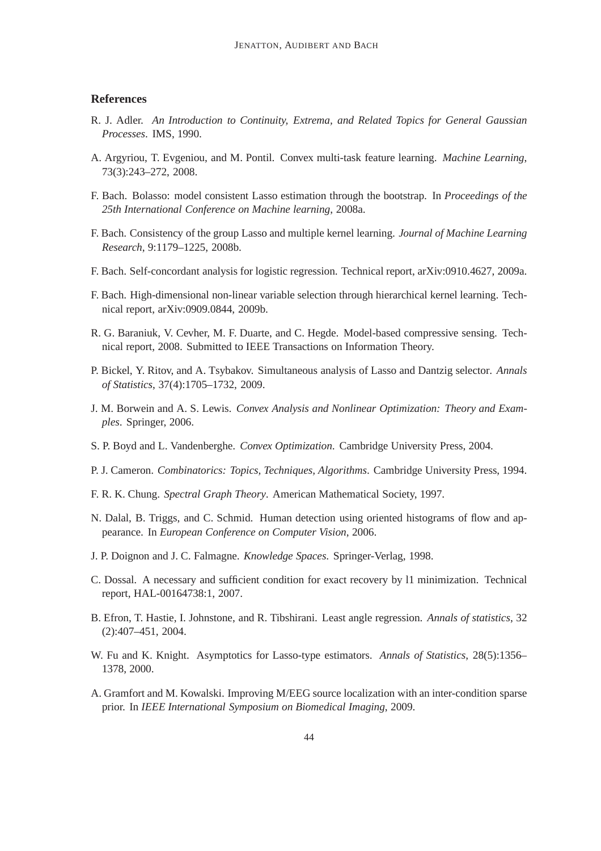#### <span id="page-44-0"></span>**References**

- R. J. Adler. *An Introduction to Continuity, Extrema, and Related Topics for General Gaussian Processes*. IMS, 1990.
- A. Argyriou, T. Evgeniou, and M. Pontil. Convex multi-task feature learning. *Machine Learning*, 73(3):243–272, 2008.
- F. Bach. Bolasso: model consistent Lasso estimation through the bootstrap. In *Proceedings of the 25th International Conference on Machine learning*, 2008a.
- F. Bach. Consistency of the group Lasso and multiple kernel learning. *Journal of Machine Learning Research*, 9:1179–1225, 2008b.
- F. Bach. Self-concordant analysis for logistic regression. Technical report, arXiv:0910.4627, 2009a.
- F. Bach. High-dimensional non-linear variable selection through hierarchical kernel learning. Technical report, arXiv:0909.0844, 2009b.
- R. G. Baraniuk, V. Cevher, M. F. Duarte, and C. Hegde. Model-based compressive sensing. Technical report, 2008. Submitted to IEEE Transactions on Information Theory.
- P. Bickel, Y. Ritov, and A. Tsybakov. Simultaneous analysis of Lasso and Dantzig selector. *Annals of Statistics*, 37(4):1705–1732, 2009.
- J. M. Borwein and A. S. Lewis. *Convex Analysis and Nonlinear Optimization: Theory and Examples*. Springer, 2006.
- S. P. Boyd and L. Vandenberghe. *Convex Optimization*. Cambridge University Press, 2004.
- P. J. Cameron. *Combinatorics: Topics, Techniques, Algorithms*. Cambridge University Press, 1994.
- F. R. K. Chung. *Spectral Graph Theory*. American Mathematical Society, 1997.
- N. Dalal, B. Triggs, and C. Schmid. Human detection using oriented histograms of flow and appearance. In *European Conference on Computer Vision*, 2006.
- J. P. Doignon and J. C. Falmagne. *Knowledge Spaces*. Springer-Verlag, 1998.
- C. Dossal. A necessary and sufficient condition for exact recovery by l1 minimization. Technical report, HAL-00164738:1, 2007.
- B. Efron, T. Hastie, I. Johnstone, and R. Tibshirani. Least angle regression. *Annals of statistics*, 32 (2):407–451, 2004.
- W. Fu and K. Knight. Asymptotics for Lasso-type estimators. *Annals of Statistics*, 28(5):1356– 1378, 2000.
- A. Gramfort and M. Kowalski. Improving M/EEG source localization with an inter-condition sparse prior. In *IEEE International Symposium on Biomedical Imaging*, 2009.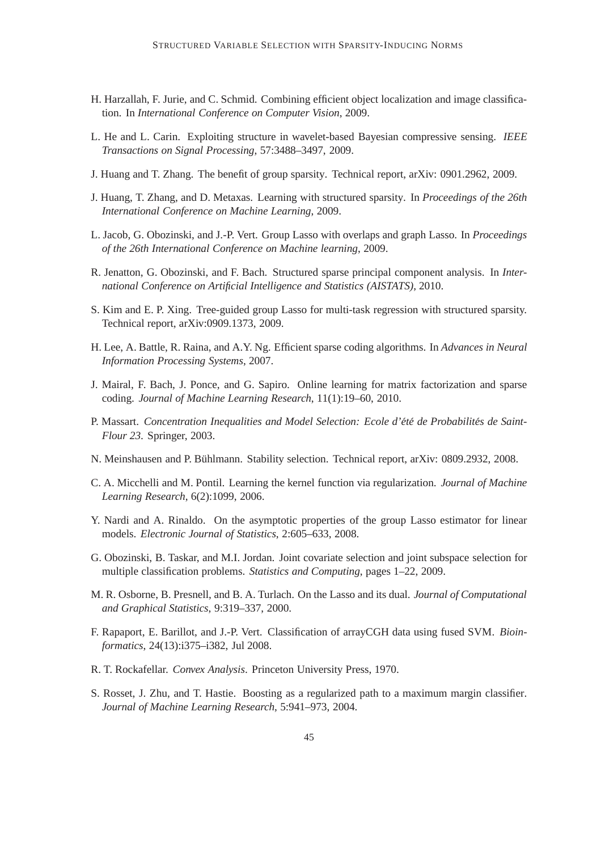- <span id="page-45-0"></span>H. Harzallah, F. Jurie, and C. Schmid. Combining efficient object localization and image classification. In *International Conference on Computer Vision*, 2009.
- L. He and L. Carin. Exploiting structure in wavelet-based Bayesian compressive sensing. *IEEE Transactions on Signal Processing*, 57:3488–3497, 2009.
- J. Huang and T. Zhang. The benefit of group sparsity. Technical report, arXiv: 0901.2962, 2009.
- J. Huang, T. Zhang, and D. Metaxas. Learning with structured sparsity. In *Proceedings of the 26th International Conference on Machine Learning*, 2009.
- L. Jacob, G. Obozinski, and J.-P. Vert. Group Lasso with overlaps and graph Lasso. In *Proceedings of the 26th International Conference on Machine learning*, 2009.
- R. Jenatton, G. Obozinski, and F. Bach. Structured sparse principal component analysis. In *International Conference on Artificial Intelligence and Statistics (AISTATS)*, 2010.
- S. Kim and E. P. Xing. Tree-guided group Lasso for multi-task regression with structured sparsity. Technical report, arXiv:0909.1373, 2009.
- H. Lee, A. Battle, R. Raina, and A.Y. Ng. Efficient sparse coding algorithms. In *Advances in Neural Information Processing Systems*, 2007.
- J. Mairal, F. Bach, J. Ponce, and G. Sapiro. Online learning for matrix factorization and sparse coding. *Journal of Machine Learning Research*, 11(1):19–60, 2010.
- P. Massart. *Concentration Inequalities and Model Selection: Ecole d'été de Probabilités de Saint-Flour 23*. Springer, 2003.
- N. Meinshausen and P. Bühlmann. Stability selection. Technical report, arXiv: 0809.2932, 2008.
- C. A. Micchelli and M. Pontil. Learning the kernel function via regularization. *Journal of Machine Learning Research*, 6(2):1099, 2006.
- Y. Nardi and A. Rinaldo. On the asymptotic properties of the group Lasso estimator for linear models. *Electronic Journal of Statistics*, 2:605–633, 2008.
- G. Obozinski, B. Taskar, and M.I. Jordan. Joint covariate selection and joint subspace selection for multiple classification problems. *Statistics and Computing*, pages 1–22, 2009.
- M. R. Osborne, B. Presnell, and B. A. Turlach. On the Lasso and its dual. *Journal of Computational and Graphical Statistics*, 9:319–337, 2000.
- F. Rapaport, E. Barillot, and J.-P. Vert. Classification of arrayCGH data using fused SVM. *Bioinformatics*, 24(13):i375–i382, Jul 2008.
- R. T. Rockafellar. *Convex Analysis*. Princeton University Press, 1970.
- S. Rosset, J. Zhu, and T. Hastie. Boosting as a regularized path to a maximum margin classifier. *Journal of Machine Learning Research*, 5:941–973, 2004.